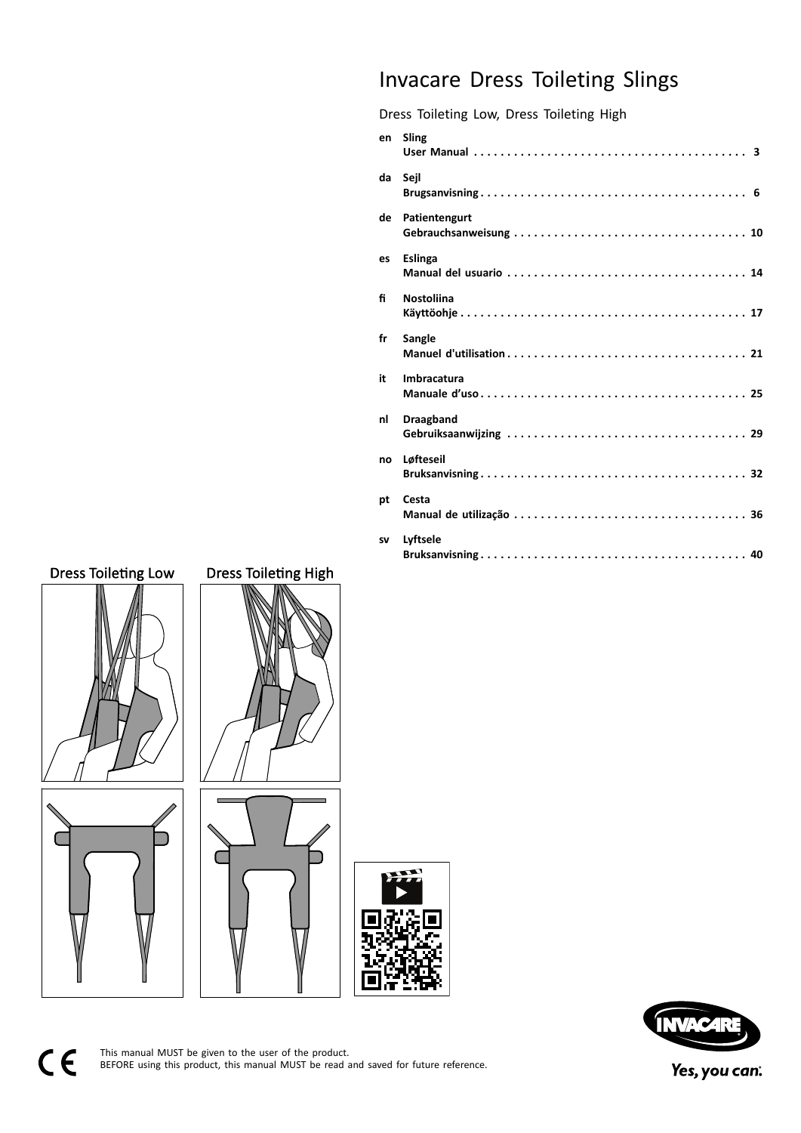# Invacare Dress Toileting Slings

Dress Toileting Low, Dress Toileting High

|           | en Sling          |
|-----------|-------------------|
| da        | Sejl              |
| de        | Patientengurt     |
| es        | <b>Eslinga</b>    |
| fi        | <b>Nostoliina</b> |
| fr        | Sangle            |
| it        | Imbracatura       |
| nl        | <b>Draagband</b>  |
| no        | Løfteseil         |
| pt        | Cesta             |
| <b>SV</b> | Lyftsele          |
|           |                   |





This manual MUST be given to the user of the product.<br>REFORE using this product, this manual MUST be read. BEFORE using this product, this manual MUST be read and saved for future reference.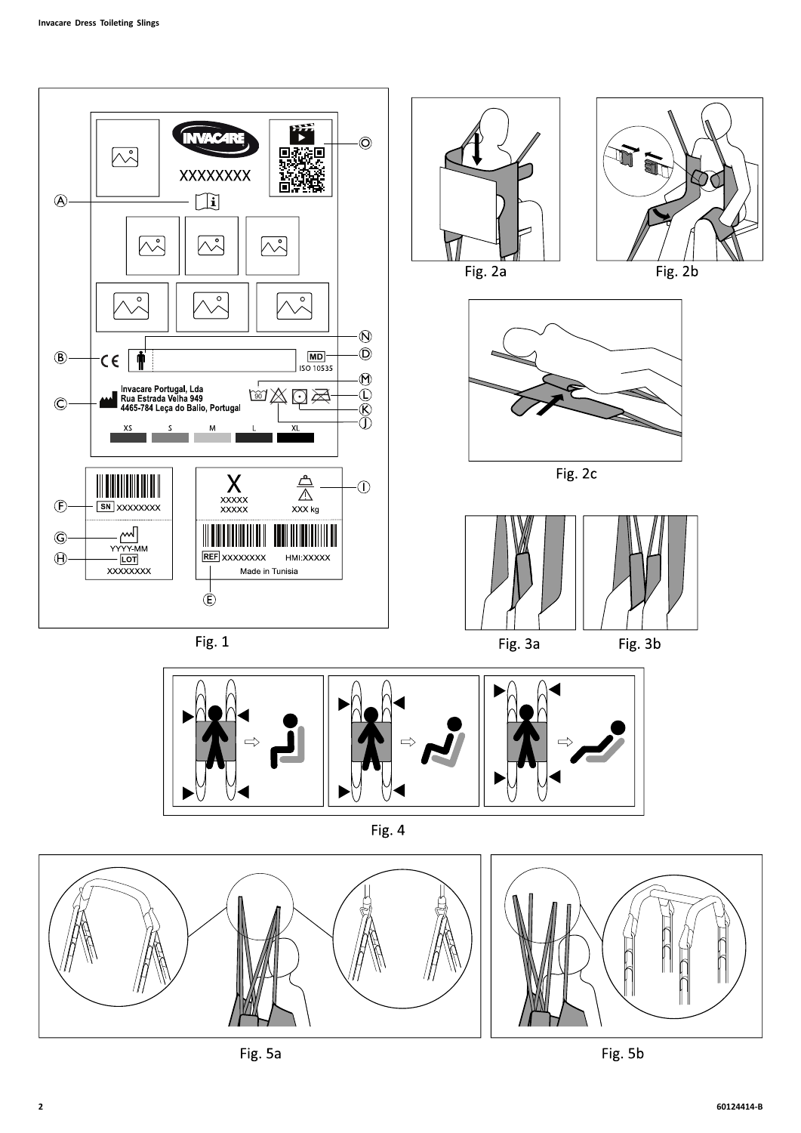



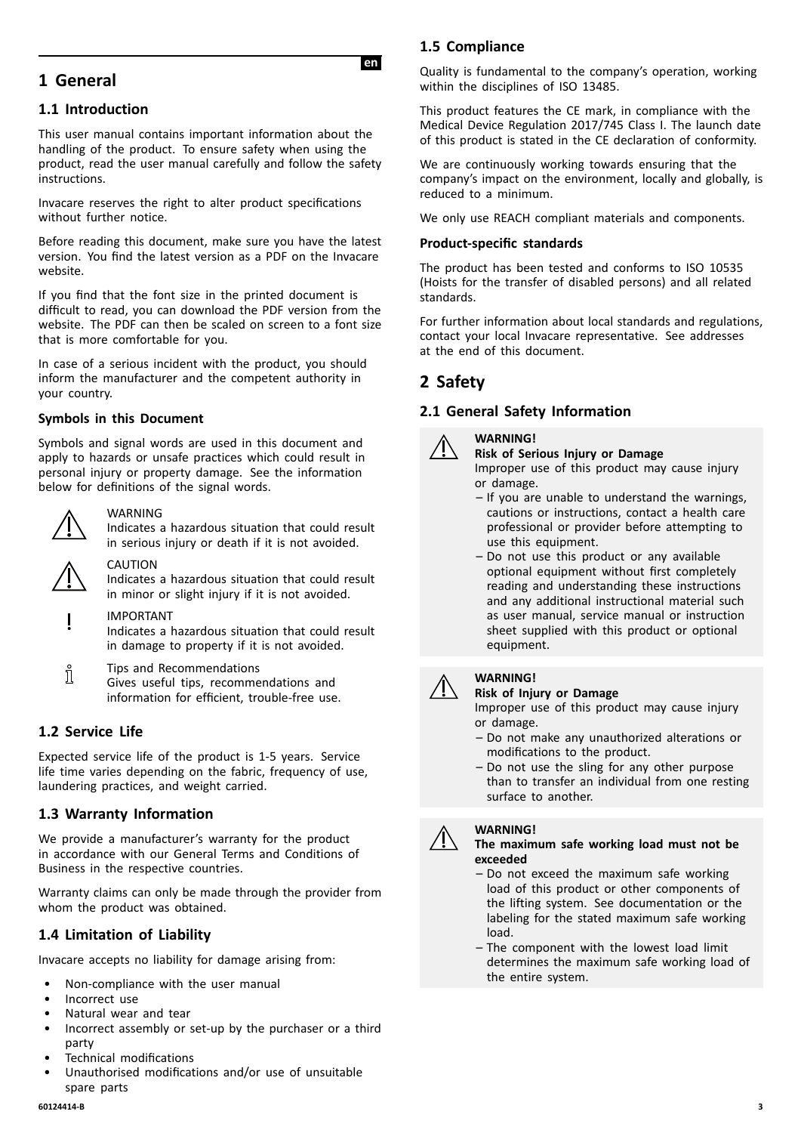# <span id="page-2-0"></span>**<sup>1</sup> General**

# **1.1 Introduction**

This user manual contains important information about the handling of the product. To ensure safety when using the product, read the user manual carefully and follow the safety instructions.

Invacare reserves the right to alter product specifications without further notice.

Before reading this document, make sure you have the latest version. You find the latest version as <sup>a</sup> PDF on the Invacare website.

If you find that the font size in the printed document is difficult to read, you can download the PDF version from the website. The PDF can then be scaled on screen to <sup>a</sup> font size that is more comfortable for you.

In case of <sup>a</sup> serious incident with the product, you should inform the manufacturer and the competent authority in your country.

#### **Symbols in this Document**

Symbols and signal words are used in this document and apply to hazards or unsafe practices which could result in personal injury or property damage. See the information below for definitions of the signal words.



#### WARNING

Indicates <sup>a</sup> hazardous situation that could result in serious injury or death if it is not avoided.



#### CAUTION

Indicates <sup>a</sup> hazardous situation that could result in minor or slight injury if it is not avoided.

#### IMPORTANT

Indicates <sup>a</sup> hazardous situation that could result in damage to property if it is not avoided.

Tips and Recommendations ĭ Gives useful tips, recommendations and information for efficient, trouble-free use.

# **1.2 Service Life**

Expected service life of the product is 1-5 years. Service life time varies depending on the fabric, frequency of use, laundering practices, and weight carried.

# **1.3 Warranty Information**

We provide <sup>a</sup> manufacturer's warranty for the product in accordance with our General Terms and Conditions of Business in the respective countries.

Warranty claims can only be made through the provider from whom the product was obtained.

# **1.4 Limitation of Liability**

Invacare accepts no liability for damage arising from:

- Non-compliance with the user manual
- Incorrect use
- Natural wear and tear
- Incorrect assembly or set-up by the purchaser or <sup>a</sup> third party
- Technical modifications
- Unauthorised modifications and/or use of unsuitable spare parts<br>60124414-B

**IenI**

Quality is fundamental to the company's operation, working within the disciplines of ISO 13485.

This product features the CE mark, in compliance with the Medical Device Regulation 2017/745 Class I. The launch date of this product is stated in the CE declaration of conformity.

We are continuously working towards ensuring that the company's impact on the environment, locally and globally, is reduced to <sup>a</sup> minimum.

We only use REACH compliant materials and components.

#### **Product-specific standards**

The product has been tested and conforms to ISO <sup>10535</sup> (Hoists for the transfer of disabled persons) and all related standards.

For further information about local standards and regulations, contact your local Invacare representative. See addresses at the end of this document.

# **<sup>2</sup> Safety**

#### **2.1 General Safety Information**

#### **WARNING!**

**Risk of Serious Injury or Damage** Improper use of this product may cause injury or damage.

- If you are unable to understand the warnings, cautions or instructions, contact <sup>a</sup> health care professional or provider before attempting to use this equipment.
- Do not use this product or any available optional equipment without first completely reading and understanding these instructions and any additional instructional material such as user manual, service manual or instruction sheet supplied with this product or optional equipment.

#### **WARNING!**

**Risk of Injury or Damage**

Improper use of this product may cause injury or damage.

- Do not make any unauthorized alterations or modifications to the product.
- Do not use the sling for any other purpose than to transfer an individual from one resting surface to another.



#### **The maximum safe working load must not be exceeded**

- Do not exceed the maximum safe working load of this product or other components of the lifting system. See documentation or the labeling for the stated maximum safe working load.
- The component with the lowest load limit determines the maximum safe working load of the entire system.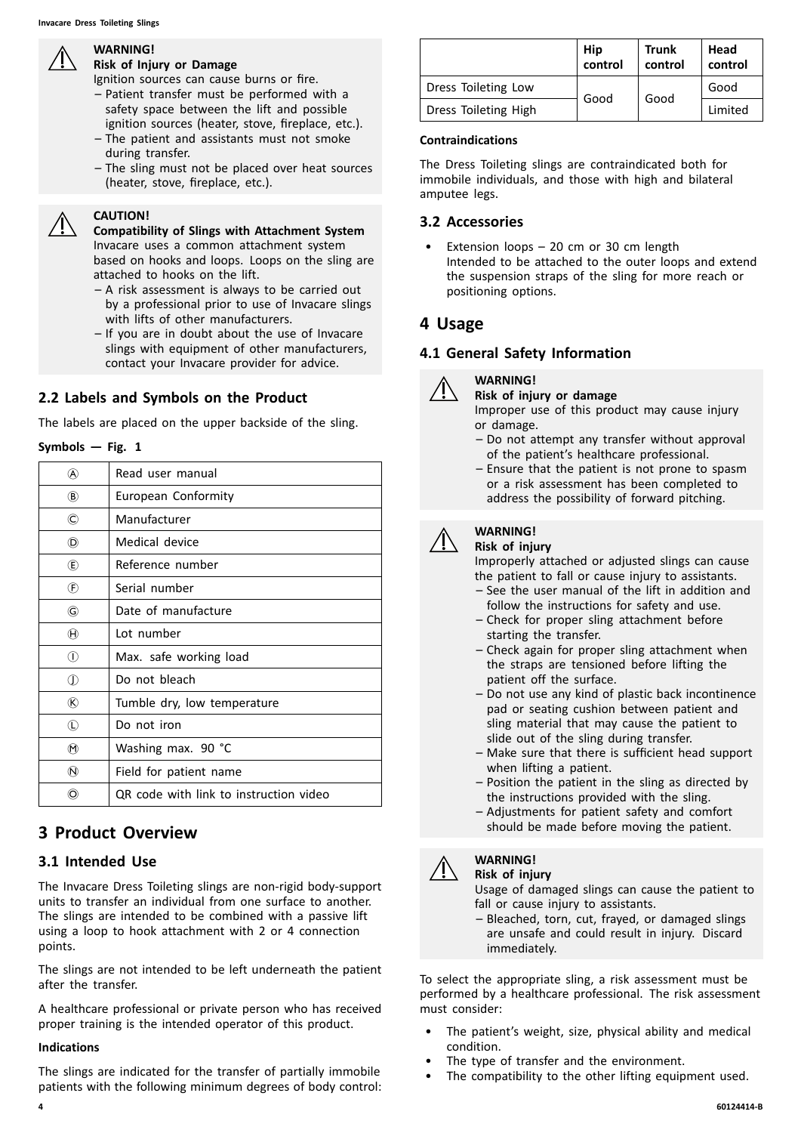# **WARNING!**

# **Risk of Injury or Damage**

Ignition sources can cause burns or fire.

- Patient transfer must be performed with <sup>a</sup> safety space between the lift and possible ignition sources (heater, stove, fireplace, etc.).
- The patient and assistants must not smoke during transfer.
- The sling must not be placed over heat sources (heater, stove, fireplace, etc.).

#### **CAUTION!**

**Compatibility of Slings with Attachment System** Invacare uses <sup>a</sup> common attachment system based on hooks and loops. Loops on the sling are attached to hooks on the lift.

- <sup>A</sup> risk assessment is always to be carried out by <sup>a</sup> professional prior to use of Invacare slings with lifts of other manufacturers.
- If you are in doubt about the use of Invacare slings with equipment of other manufacturers, contact your Invacare provider for advice.

# **2.2 Labels and Symbols on the Product**

The labels are placed on the upper backside of the sling.

#### $Symbols$  **– Fig. 1**

| (A)                         | Read user manual                       |
|-----------------------------|----------------------------------------|
| $\circledR$                 | European Conformity                    |
| ©                           | Manufacturer                           |
| O)                          | Medical device                         |
| $\mathbf{\widehat{E}}$      | Reference number                       |
| $^{\circledR}$              | Serial number                          |
| G                           | Date of manufacture                    |
| $^{\textcircled{\text{H}}}$ | Lot number                             |
| $\circled{\scriptstyle 1}$  | Max. safe working load                 |
| ⊕                           | Do not bleach                          |
| (R)                         | Tumble dry, low temperature            |
| $\mathbb O$                 | Do not iron                            |
| $^{\textregistered}$        | Washing max. 90 °C                     |
| $\circledR$                 | Field for patient name                 |
| O)                          | QR code with link to instruction video |

# **<sup>3</sup> Product Overview**

# **3.1 Intended Use**

The Invacare Dress Toileting slings are non-rigid body-support units to transfer an individual from one surface to another. The slings are intended to be combined with <sup>a</sup> passive lift using <sup>a</sup> loop to hook attachment with <sup>2</sup> or <sup>4</sup> connection points.

The slings are not intended to be left underneath the patient after the transfer.

<sup>A</sup> healthcare professional or private person who has received proper training is the intended operator of this product.

#### **Indications**

The slings are indicated for the transfer of partially immobile patients with the following minimum degrees of body control:<br>4

|                      | Hip<br>control | Trunk<br>control | Head<br>control |
|----------------------|----------------|------------------|-----------------|
| Dress Toileting Low  |                | Good             | Good            |
| Dress Toileting High | Good           |                  | Limited         |

#### **Contraindications**

The Dress Toileting slings are contraindicated both for immobile individuals, and those with high and bilateral amputee legs.

# **3.2 Accessories**

Extension loops  $-20$  cm or 30 cm length Intended to be attached to the outer loops and extend the suspension straps of the sling for more reach or positioning options.

# **<sup>4</sup> Usage**

# **4.1 General Safety Information**



- **WARNING!**
- **Risk of injury or damage**

Improper use of this product may cause injury or damage.

- Do not attempt any transfer without approval of the patient's healthcare professional.
- Ensure that the patient is not prone to spasm or <sup>a</sup> risk assessment has been completed to address the possibility of forward pitching.

# **WARNING!**

#### **Risk of injury**

Improperly attached or adjusted slings can cause the patient to fall or cause injury to assistants.

- See the user manual of the lift in addition and follow the instructions for safety and use.
- Check for proper sling attachment before starting the transfer.
- Check again for proper sling attachment when the straps are tensioned before lifting the patient off the surface.
- Do not use any kind of plastic back incontinence pad or seating cushion between patient and sling material that may cause the patient to slide out of the sling during transfer.
- Make sure that there is sufficient head support when lifting <sup>a</sup> patient.
- Position the patient in the sling as directed by the instructions provided with the sling.
- Adjustments for patient safety and comfort should be made before moving the patient.



#### **WARNING! Risk of injury**

Usage of damaged slings can cause the patient to fall or cause injury to assistants.

– Bleached, torn, cut, frayed, or damaged slings are unsafe and could result in injury. Discard immediately.

To select the appropriate sling, <sup>a</sup> risk assessment must be performed by <sup>a</sup> healthcare professional. The risk assessment must consider:

- The patient's weight, size, physical ability and medical condition.
- The type of transfer and the environment.
- The compatibility to the other lifting equipment used.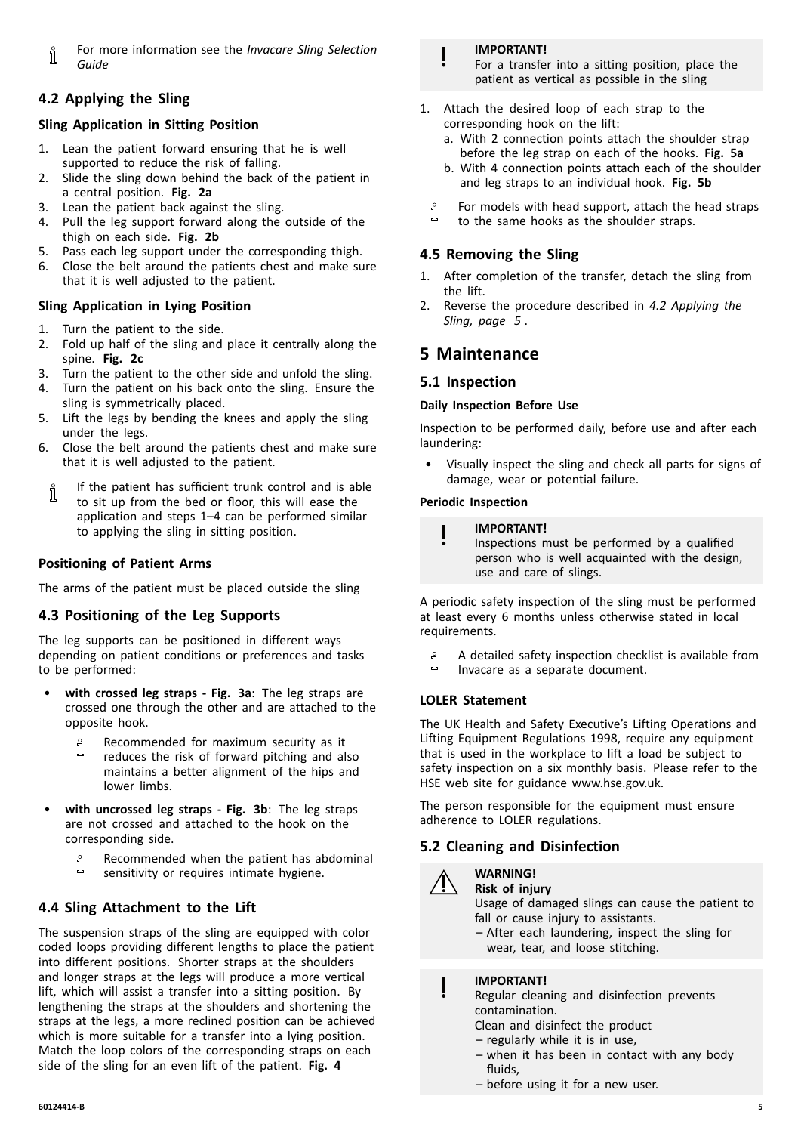<span id="page-4-0"></span>For more information see the *Invacare Sling Selection* Ñ *Guide*

# **4.2 Applying the Sling**

#### **Sling Application in Sitting Position**

- 1. Lean the patient forward ensuring that he is well supported to reduce the risk of falling.
- 2. Slide the sling down behind the back of the patient in <sup>a</sup> central position. **Fig. 2a**
- 3. Lean the patient back against the sling.
- 4. Pull the leg support forward along the outside of the thigh on each side. **Fig. 2b**
- 5. Pass each leg support under the corresponding thigh.
- 6. Close the belt around the patients chest and make sure that it is well adjusted to the patient.

#### **Sling Application in Lying Position**

- 1. Turn the patient to the side.
- 2. Fold up half of the sling and place it centrally along the spine. **Fig. 2c**
- 3. Turn the patient to the other side and unfold the sling.
- 4. Turn the patient on his back onto the sling. Ensure the sling is symmetrically placed.
- 5. Lift the legs by bending the knees and apply the sling under the legs.
- 6. Close the belt around the patients chest and make sure that it is well adjusted to the patient.
- If the patient has sufficient trunk control and is able Ĭ to sit up from the bed or floor, this will ease the application and steps 1–4 can be performed similar to applying the sling in sitting position.

#### **Positioning of Patient Arms**

The arms of the patient must be placed outside the sling

# **4.3 Positioning of the Leg Supports**

The leg supports can be positioned in different ways depending on patient conditions or preferences and tasks to be performed:

- • **with crossed leg straps - Fig. 3a**: The leg straps are crossed one through the other and are attached to the opposite hook.
	- Recommended for maximum security as it i reduces the risk of forward pitching and also maintains <sup>a</sup> better alignment of the hips and lower limbs.
- • **with uncrossed leg straps - Fig. 3b**: The leg straps are not crossed and attached to the hook on the corresponding side.
	- Recommended when the patient has abdominal ĬĬ sensitivity or requires intimate hygiene.

# **4.4 Sling Attachment to the Lift**

The suspension straps of the sling are equipped with color coded loops providing different lengths to place the patient into different positions. Shorter straps at the shoulders and longer straps at the legs will produce <sup>a</sup> more vertical lift, which will assist <sup>a</sup> transfer into <sup>a</sup> sitting position. By lengthening the straps at the shoulders and shortening the straps at the legs, <sup>a</sup> more reclined position can be achieved which is more suitable for <sup>a</sup> transfer into <sup>a</sup> lying position. Match the loop colors of the corresponding straps on each side of the sling for an even lift of the patient. **Fig. <sup>4</sup>**

#### **IMPORTANT!**

For <sup>a</sup> transfer into <sup>a</sup> sitting position, place the patient as vertical as possible in the sling

- 1. Attach the desired loop of each strap to the corresponding hook on the lift:
	- a. With <sup>2</sup> connection points attach the shoulder strap before the leg strap on each of the hooks. **Fig. 5a**
	- b. With <sup>4</sup> connection points attach each of the shoulder and leg straps to an individual hook. **Fig. 5b**
	- For models with head support, attach the head straps ĭ to the same hooks as the shoulder straps.

# **4.5 Removing the Sling**

- 1. After completion of the transfer, detach the sling from the lift.
- 2. Reverse the procedure described in *4.2 Applying the Sling, page <sup>5</sup>* .

# **<sup>5</sup> Maintenance**

#### **5.1 Inspection**

#### **Daily Inspection Before Use**

Inspection to be performed daily, before use and after each laundering:

Visually inspect the sling and check all parts for signs of damage, wear or potential failure.

#### **Periodic Inspection**

#### **IMPORTANT!**

Inspections must be performed by <sup>a</sup> qualified person who is well acquainted with the design, use and care of slings.

<sup>A</sup> periodic safety inspection of the sling must be performed at least every <sup>6</sup> months unless otherwise stated in local requirements.

<sup>A</sup> detailed safety inspection checklist is available from ĭ Invacare as <sup>a</sup> separate document.

#### **LOLER Statement**

The UK Health and Safety Executive's Lifting Operations and Lifting Equipment Regulations 1998, require any equipment that is used in the workplace to lift <sup>a</sup> load be subject to safety inspection on <sup>a</sup> six monthly basis. Please refer to the HSE web site for guidance www.hse.gov.uk.

The person responsible for the equipment must ensure adherence to LOLER regulations.

# **5.2 Cleaning and Disinfection**



#### **WARNING! Risk of injury**

Usage of damaged slings can cause the patient to fall or cause injury to assistants.

– After each laundering, inspect the sling for wear, tear, and loose stitching.

# **IMPORTANT!**

Regular cleaning and disinfection prevents contamination.

- Clean and disinfect the product
- regularly while it is in use,
- when it has been in contact with any body fluids,
- before using it for <sup>a</sup> new user.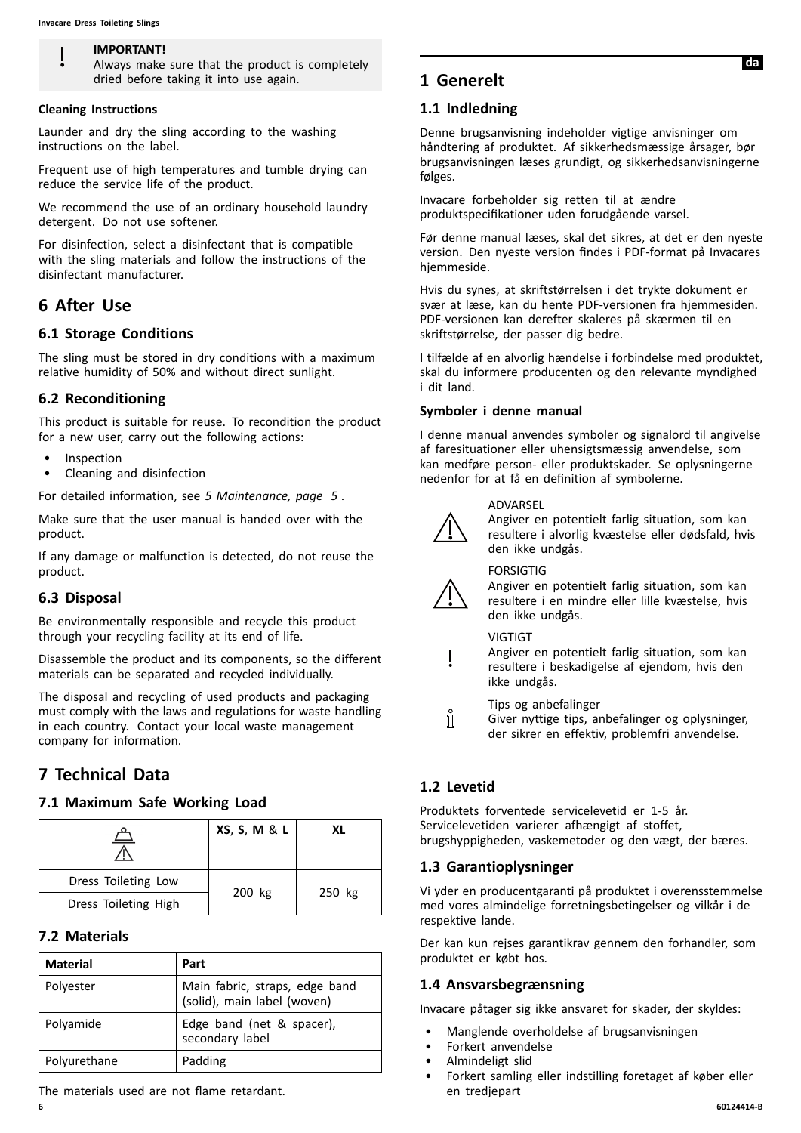#### <span id="page-5-0"></span>**IMPORTANT!**

Always make sure that the product is completely dried before taking it into use again.

#### **Cleaning Instructions**

Launder and dry the sling according to the washing instructions on the label.

Frequent use of high temperatures and tumble drying can reduce the service life of the product.

We recommend the use of an ordinary household laundry detergent. Do not use softener.

For disinfection, select <sup>a</sup> disinfectant that is compatible with the sling materials and follow the instructions of the disinfectant manufacturer.

#### **<sup>6</sup> After Use**

#### **6.1 Storage Conditions**

The sling must be stored in dry conditions with <sup>a</sup> maximum relative humidity of 50% and without direct sunlight.

#### **6.2 Reconditioning**

This product is suitable for reuse. To recondition the product for <sup>a</sup> new user, carry out the following actions:

- **Inspection**
- Cleaning and disinfection

For detailed information, see *<sup>5</sup> [Maintenance,](#page-4-0) page [5](#page-4-0)* .

Make sure that the user manual is handed over with the product.

If any damage or malfunction is detected, do not reuse the product.

#### **6.3 Disposal**

Be environmentally responsible and recycle this product through your recycling facility at its end of life.

Disassemble the product and its components, so the different materials can be separated and recycled individually.

The disposal and recycling of used products and packaging must comply with the laws and regulations for waste handling in each country. Contact your local waste management company for information.

# **<sup>7</sup> Technical Data**

#### **7.1 Maximum Safe Working Load**

|                      | XS, S, M & L | хı     |
|----------------------|--------------|--------|
| Dress Toileting Low  |              |        |
| Dress Toileting High | 200 kg       | 250 kg |

#### **7.2 Materials**

| <b>Material</b> | Part                                                          |
|-----------------|---------------------------------------------------------------|
| Polyester       | Main fabric, straps, edge band<br>(solid), main label (woven) |
| Polyamide       | Edge band (net & spacer),<br>secondary label                  |
| Polyurethane    | Padding                                                       |

The materials used are not flame retardant.

# **<sup>1</sup> Generelt**

#### **1.1 Indledning**

Denne brugsanvisning indeholder vigtige anvisninger om håndtering af produktet. Af sikkerhedsmæssige årsager, bør brugsanvisningen læses grundigt, og sikkerhedsanvisningerne følges.

Invacare forbeholder sig retten til at ændre produktspecifikationer uden forudgående varsel.

Før denne manual læses, skal det sikres, at det er den nyeste version. Den nyeste version findes <sup>i</sup> PDF-format på Invacares hjemmeside.

Hvis du synes, at skriftstørrelsen <sup>i</sup> det trykte dokument er svær at læse, kan du hente PDF-versionen fra hjemmesiden. PDF-versionen kan derefter skaleres på skærmen til en skriftstørrelse, der passer dig bedre.

<sup>I</sup> tilfælde af en alvorlig hændelse <sup>i</sup> forbindelse med produktet, skal du informere producenten og den relevante myndighed <sup>i</sup> dit land.

#### **Symboler <sup>i</sup> denne manual**

<sup>I</sup> denne manual anvendes symboler og signalord til angivelse af faresituationer eller uhensigtsmæssig anvendelse, som kan medføre person- eller produktskader. Se oplysningerne nedenfor for at få en definition af symbolerne.

#### ADVARSEL



Angiver en potentielt farlig situation, som kan resultere <sup>i</sup> alvorlig kvæstelse eller dødsfald, hvis den ikke undgås.



#### FORSIGTIG

Angiver en potentielt farlig situation, som kan resultere <sup>i</sup> en mindre eller lille kvæstelse, hvis den ikke undgås.

#### **VIGTIGT**

Angiver en potentielt farlig situation, som kan resultere <sup>i</sup> beskadigelse af ejendom, hvis den ikke undgås.

Tips og anbefalinger

Giver nyttige tips, anbefalinger og oplysninger, der sikrer en effektiv, problemfri anvendelse.

#### **1.2 Levetid**

Ñ

Produktets forventede servicelevetid er 1-5 år. Servicelevetiden varierer afhængigt af stoffet, brugshyppigheden, vaskemetoder og den vægt, der bæres.

#### **1.3 Garantioplysninger**

Vi yder en producentgaranti på produktet <sup>i</sup> overensstemmelse med vores almindelige forretningsbetingelser og vilkår <sup>i</sup> de respektive lande.

Der kan kun rejses garantikrav gennem den forhandler, som produktet er købt hos.

#### **1.4 Ansvarsbegrænsning**

Invacare påtager sig ikke ansvaret for skader, der skyldes:

- Manglende overholdelse af brugsanvisningen
- Forkert anvendelse
- Almindeligt slid
- Forkert samling eller indstilling foretaget af køber eller en tredjepart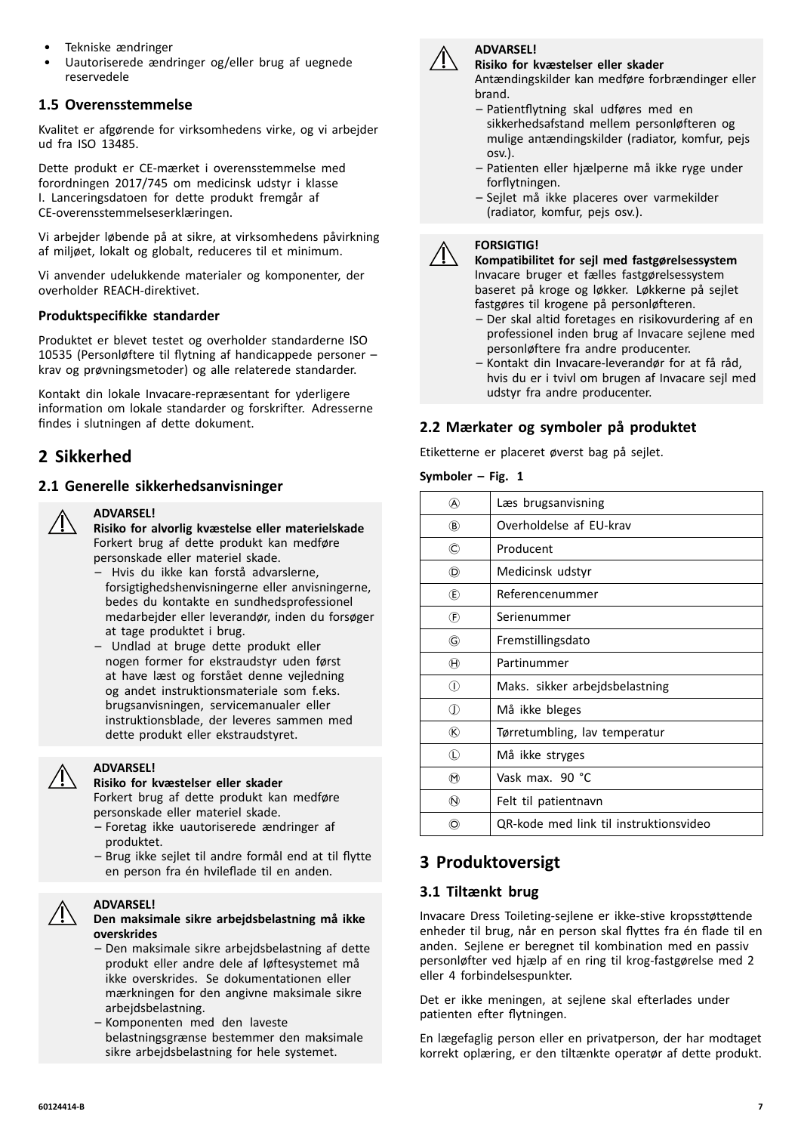- Tekniske ændringer
- Uautoriserede ændringer og/eller brug af uegnede reservedele

# **1.5 Overensstemmelse**

Kvalitet er afgørende for virksomhedens virke, og vi arbejder ud fra ISO 13485.

Dette produkt er CE-mærket <sup>i</sup> overensstemmelse med forordningen 2017/745 om medicinsk udstyr <sup>i</sup> klasse I. Lanceringsdatoen for dette produkt fremgår af CE-overensstemmelseserklæringen.

Vi arbejder løbende på at sikre, at virksomhedens påvirkning af miljøet, lokalt og globalt, reduceres til et minimum.

Vi anvender udelukkende materialer og komponenter, der overholder REACH-direktivet.

#### **Produktspecifikke standarder**

Produktet er blevet testet og overholder standarderne ISO <sup>10535</sup> (Personløftere til flytning af handicappede personer – krav og prøvningsmetoder) og alle relaterede standarder.

Kontakt din lokale Invacare-repræsentant for yderligere information om lokale standarder og forskrifter. Adresserne findes <sup>i</sup> slutningen af dette dokument.

# **<sup>2</sup> Sikkerhed**

# **2.1 Generelle sikkerhedsanvisninger**



#### **ADVARSEL!**

**Risiko for alvorlig kvæstelse eller materielskade** Forkert brug af dette produkt kan medføre personskade eller materiel skade.

- Hvis du ikke kan forstå advarslerne, forsigtighedshenvisningerne eller anvisningerne, bedes du kontakte en sundhedsprofessionel medarbejder eller leverandør, inden du forsøger at tage produktet <sup>i</sup> brug.
- Undlad at bruge dette produkt eller nogen former for ekstraudstyr uden først at have læst og forstået denne vejledning og andet instruktionsmateriale som f.eks. brugsanvisningen, servicemanualer eller instruktionsblade, der leveres sammen med dette produkt eller ekstraudstyret.

**ADVARSEL! Risiko for kvæstelser eller skader**

Forkert brug af dette produkt kan medføre personskade eller materiel skade.

- Foretag ikke uautoriserede ændringer af produktet.
- Brug ikke sejlet til andre formål end at til flytte en person fra én hvileflade til en anden.

#### **ADVARSEL!**



- Den maksimale sikre arbejdsbelastning af dette produkt eller andre dele af løftesystemet må ikke overskrides. Se dokumentationen eller mærkningen for den angivne maksimale sikre arbejdsbelastning.
- Komponenten med den laveste belastningsgrænse bestemmer den maksimale sikre arbejdsbelastning for hele systemet.



#### **ADVARSEL! Risiko for kvæstelser eller skader**

Antændingskilder kan medføre forbrændinger eller brand.

- Patientflytning skal udføres med en sikkerhedsafstand mellem personløfteren og mulige antændingskilder (radiator, komfur, pejs osv.).
- Patienten eller hjælperne må ikke ryge under forflytningen.
- Sejlet må ikke placeres over varmekilder (radiator, komfur, pejs osv.).

#### **FORSIGTIG!**

**Kompatibilitet for sejl med fastgørelsessystem** Invacare bruger et fælles fastgørelsessystem baseret på kroge og løkker. Løkkerne på sejlet fastgøres til krogene på personløfteren.

- Der skal altid foretages en risikovurdering af en professionel inden brug af Invacare sejlene med personløftere fra andre producenter.
- Kontakt din Invacare-leverandør for at få råd, hvis du er <sup>i</sup> tvivl om brugen af Invacare sejl med udstyr fra andre producenter.

# **2.2 Mærkater og symboler på produktet**

Etiketterne er placeret øverst bag på sejlet.

#### $Symboler - Fig. 1$

| (A)                         | Læs brugsanvisning                     |
|-----------------------------|----------------------------------------|
| $\circledR$                 | Overholdelse af EU-krav                |
| $\circled{c}$               | Producent                              |
| O)                          | Medicinsk udstyr                       |
| (E)                         | Referencenummer                        |
| $^{\circledR}$              | Serienummer                            |
| G                           | Fremstillingsdato                      |
| $^{\textcircled{\text{H}}}$ | Partinummer                            |
| ⋒                           | Maks. sikker arbejdsbelastning         |
| O)                          | Må ikke bleges                         |
| $^\circledR$                | Tørretumbling, lav temperatur          |
| $^{\circ}$                  | Må ikke stryges                        |
| $^\circledR$                | Vask max. 90 °C                        |
| $\circledR$                 | Felt til patientnavn                   |
| (O)                         | QR-kode med link til instruktionsvideo |
|                             |                                        |

# **<sup>3</sup> Produktoversigt**

# **3.1 Tiltænkt brug**

Invacare Dress Toileting-sejlene er ikke-stive kropsstøttende enheder til brug, når en person skal flyttes fra én flade til en anden. Sejlene er beregnet til kombination med en passiv personløfter ved hjælp af en ring til krog-fastgørelse med <sup>2</sup> eller <sup>4</sup> forbindelsespunkter.

Det er ikke meningen, at sejlene skal efterlades under patienten efter flytningen.

En lægefaglig person eller en privatperson, der har modtaget korrekt oplæring, er den tiltænkte operatør af dette produkt.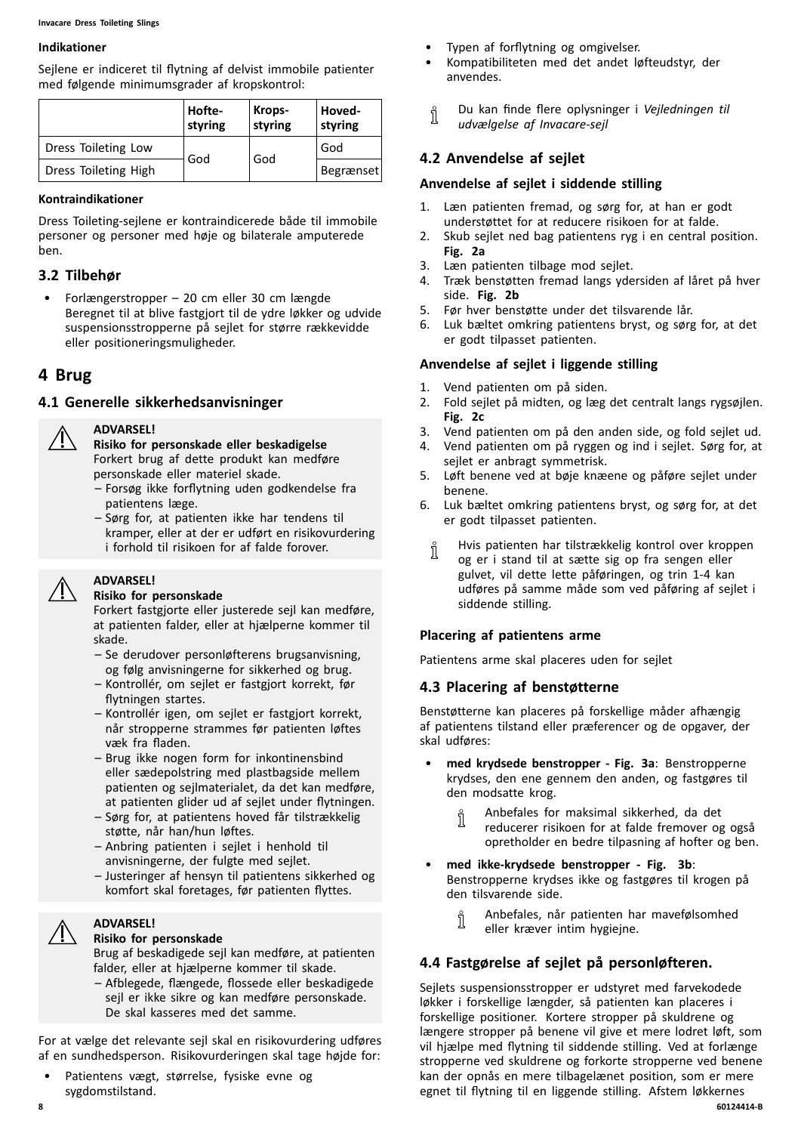#### <span id="page-7-0"></span>**Indikationer**

Sejlene er indiceret til flytning af delvist immobile patienter med følgende minimumsgrader af kropskontrol:

|                      | Hofte-<br>styring | Krops-<br>styring | Hoved-<br>styring |
|----------------------|-------------------|-------------------|-------------------|
| Dress Toileting Low  |                   | God               | God               |
| Dress Toileting High | God               |                   | <b>Begrænset</b>  |

#### **Kontraindikationer**

Dress Toileting-sejlene er kontraindicerede både til immobile personer og personer med høje og bilaterale amputerede ben.

#### **3.2 Tilbehør**

• Forlængerstropper – <sup>20</sup> cm eller <sup>30</sup> cm længde Beregnet til at blive fastgjort til de ydre løkker og udvide suspensionsstropperne på sejlet for større rækkevidde eller positioneringsmuligheder.

# **<sup>4</sup> Brug**

#### **4.1 Generelle sikkerhedsanvisninger**

#### **ADVARSEL!**

**Risiko for personskade eller beskadigelse** Forkert brug af dette produkt kan medføre personskade eller materiel skade.

- Forsøg ikke forflytning uden godkendelse fra patientens læge.
- Sørg for, at patienten ikke har tendens til kramper, eller at der er udført en risikovurdering <sup>i</sup> forhold til risikoen for af falde forover.

#### **ADVARSEL!**

#### **Risiko for personskade**

Forkert fastgjorte eller justerede sejl kan medføre, at patienten falder, eller at hjælperne kommer til skade.

- Se derudover personløfterens brugsanvisning, og følg anvisningerne for sikkerhed og brug.
- Kontrollér, om sejlet er fastgjort korrekt, før flytningen startes.
- Kontrollér igen, om sejlet er fastgjort korrekt, når stropperne strammes før patienten løftes væk fra fladen.
- Brug ikke nogen form for inkontinensbind eller sædepolstring med plastbagside mellem patienten og sejlmaterialet, da det kan medføre, at patienten glider ud af sejlet under flytningen.
- Sørg for, at patientens hoved får tilstrækkelig støtte, når han/hun løftes.
- Anbring patienten <sup>i</sup> sejlet <sup>i</sup> henhold til anvisningerne, der fulgte med sejlet.
- Justeringer af hensyn til patientens sikkerhed og komfort skal foretages, før patienten flyttes.

#### **ADVARSEL! Risiko for personskade**

Brug af beskadigede sejl kan medføre, at patienten falder, eller at hjælperne kommer til skade. – Afblegede, flængede, flossede eller beskadigede sejl er ikke sikre og kan medføre personskade. De skal kasseres med det samme.

For at vælge det relevante sejl skal en risikovurdering udføres af en sundhedsperson. Risikovurderingen skal tage højde for:

• Patientens vægt, størrelse, fysiske evne og sygdomstilstand.

- Typen af forflytning og omgivelser.
- Kompatibiliteten med det andet løfteudstyr, der anvendes.
- Du kan finde flere oplysninger <sup>i</sup> *Vejledningen til* ĭ *udvælgelse af Invacare-sejl*

# **4.2 Anvendelse af sejlet**

#### **Anvendelse af sejlet <sup>i</sup> siddende stilling**

- 1. Læn patienten fremad, og sørg for, at han er godt understøttet for at reducere risikoen for at falde.
- 2. Skub sejlet ned bag patientens ryg <sup>i</sup> en central position. **Fig. 2a**
- 3. Læn patienten tilbage mod sejlet.
- 4. Træk benstøtten fremad langs ydersiden af låret på hver side. **Fig. 2b**
- 5. Før hver benstøtte under det tilsvarende lår.<br>6. Luk bæltet omkring patientens bryst, og søre
- Luk bæltet omkring patientens bryst, og sørg for, at det er godt tilpasset patienten.

#### **Anvendelse af sejlet <sup>i</sup> liggende stilling**

- 1. Vend patienten om på siden.<br>2. Fold seilet på midten, og læg
- 2. Fold sejlet på midten, og læg det centralt langs rygsøjlen. **Fig. 2c**
- 3. Vend patienten om på den anden side, og fold sejlet ud.<br>4. Vend patienten om på ryggen og ind i sejlet. Sørg for, at
- 4. Vend patienten om på ryggen og ind <sup>i</sup> sejlet. Sørg for, at sejlet er anbragt symmetrisk.
- 5. Løft benene ved at bøje knæene og påføre sejlet under benene.
- 6. Luk bæltet omkring patientens bryst, og sørg for, at det er godt tilpasset patienten.
	- Hvis patienten har tilstrækkelig kontrol over kroppen J, og er <sup>i</sup> stand til at sætte sig op fra sengen eller gulvet, vil dette lette påføringen, og trin 1-4 kan udføres på samme måde som ved påføring af sejlet <sup>i</sup> siddende stilling.

#### **Placering af patientens arme**

Patientens arme skal placeres uden for sejlet

#### **4.3 Placering af benstøtterne**

Benstøtterne kan placeres på forskellige måder afhængig af patientens tilstand eller præferencer og de opgaver, der skal udføres:

- • **med krydsede benstropper - Fig. 3a**: Benstropperne krydses, den ene gennem den anden, og fastgøres til den modsatte krog.
	- Anbefales for maksimal sikkerhed, da det ĭ reducerer risikoen for at falde fremover og også opretholder en bedre tilpasning af hofter og ben.
- • **med ikke-krydsede benstropper - Fig. 3b**: Benstropperne krydses ikke og fastgøres til krogen på den tilsvarende side.
	- Anbefales, når patienten har mavefølsomhed ႞႞ eller kræver intim hygiejne.

# **4.4 Fastgørelse af sejlet på personløfteren.**

Sejlets suspensionsstropper er udstyret med farvekodede løkker <sup>i</sup> forskellige længder, så patienten kan placeres <sup>i</sup> forskellige positioner. Kortere stropper på skuldrene og længere stropper på benene vil give et mere lodret løft, som vil hjælpe med flytning til siddende stilling. Ved at forlænge stropperne ved skuldrene og forkorte stropperne ved benene kan der opnås en mere tilbagelænet position, som er mere egnet til flytning til en liggende stilling. Afstem løkkernes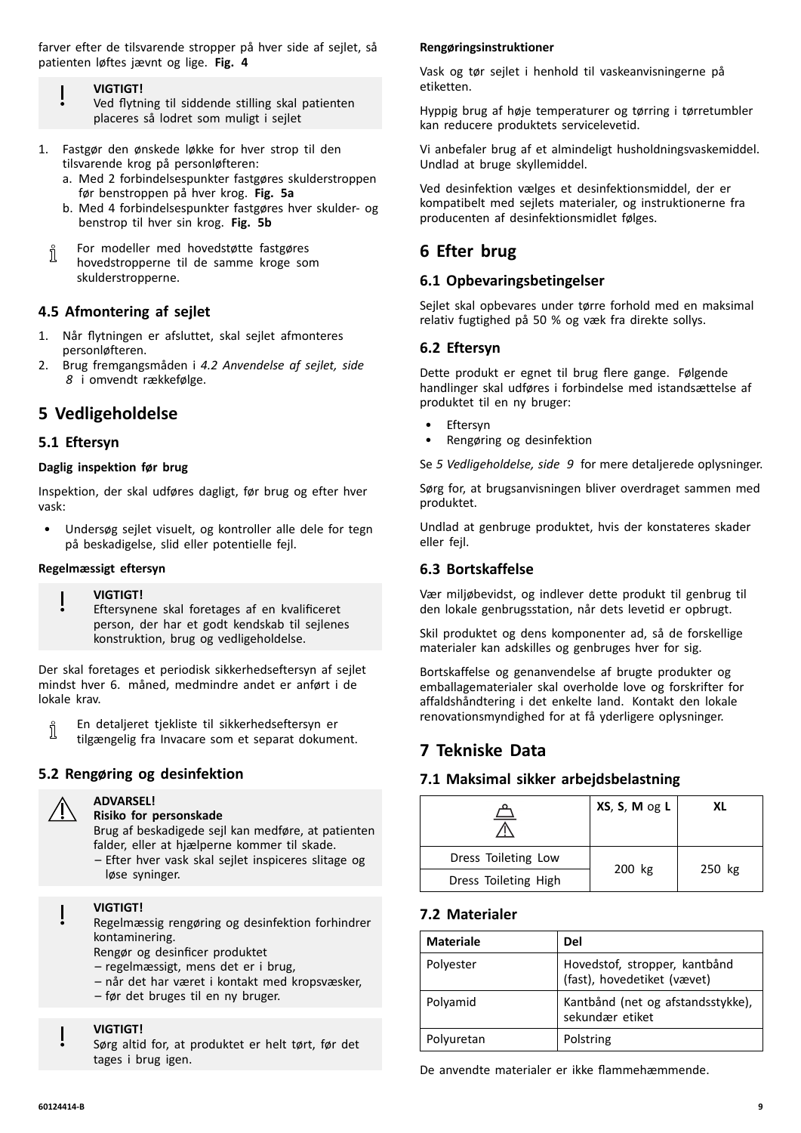farver efter de tilsvarende stropper på hver side af sejlet, så patienten løftes jævnt og lige. **Fig. <sup>4</sup>**

- **VIGTIGT!**
- Ved flytning til siddende stilling skal patienten placeres så lodret som muligt <sup>i</sup> sejlet
- 1. Fastgør den ønskede løkke for hver strop til den tilsvarende krog på personløfteren:
	- a. Med <sup>2</sup> forbindelsespunkter fastgøres skulderstroppen før benstroppen på hver krog. **Fig. 5a**
	- b. Med <sup>4</sup> forbindelsespunkter fastgøres hver skulder- og benstrop til hver sin krog. **Fig. 5b**
	- For modeller med hovedstøtte fastgøres Ĭ hovedstropperne til de samme kroge som skulderstropperne.

# **4.5 Afmontering af sejlet**

- 1. Når flytningen er afsluttet, skal sejlet afmonteres personløfteren.
- 2. Brug fremgangsmåden <sup>i</sup> *4.2 [Anvendelse](#page-7-0) af sejlet, side [8](#page-7-0)* <sup>i</sup> omvendt rækkefølge.

# **<sup>5</sup> Vedligeholdelse**

# **5.1 Eftersyn**

#### **Daglig inspektion før brug**

Inspektion, der skal udføres dagligt, før brug og efter hver vask:

• Undersøg sejlet visuelt, og kontroller alle dele for tegn på beskadigelse, slid eller potentielle fejl.

#### **Regelmæssigt eftersyn**

#### **VIGTIGT!**

Eftersynene skal foretages af en kvalificeret person, der har et godt kendskab til sejlenes konstruktion, brug og vedligeholdelse.

Der skal foretages et periodisk sikkerhedseftersyn af sejlet mindst hver 6. måned, medmindre andet er anført <sup>i</sup> de lokale krav.

En detaljeret tjekliste til sikkerhedseftersyn er ĭ tilgængelig fra Invacare som et separat dokument.

# **5.2 Rengøring og desinfektion**



#### **ADVARSEL! Risiko for personskade**

Brug af beskadigede sejl kan medføre, at patienten falder, eller at hjælperne kommer til skade.

– Efter hver vask skal sejlet inspiceres slitage og løse syninger.

#### **VIGTIGT!**

Regelmæssig rengøring og desinfektion forhindrer kontaminering.

Rengør og desinficer produktet

- regelmæssigt, mens det er <sup>i</sup> brug,
- når det har været <sup>i</sup> kontakt med kropsvæsker,
- før det bruges til en ny bruger.

#### **VIGTIGT!**

Sørg altid for, at produktet er helt tørt, før det tages <sup>i</sup> brug igen.

#### **Rengøringsinstruktioner**

Vask og tør sejlet <sup>i</sup> henhold til vaskeanvisningerne på etiketten.

Hyppig brug af høje temperaturer og tørring <sup>i</sup> tørretumbler kan reducere produktets servicelevetid.

Vi anbefaler brug af et almindeligt husholdningsvaskemiddel. Undlad at bruge skyllemiddel.

Ved desinfektion vælges et desinfektionsmiddel, der er kompatibelt med sejlets materialer, og instruktionerne fra producenten af desinfektionsmidlet følges.

# **<sup>6</sup> Efter brug**

# **6.1 Opbevaringsbetingelser**

Sejlet skal opbevares under tørre forhold med en maksimal relativ fugtighed på <sup>50</sup> % og væk fra direkte sollys.

# **6.2 Eftersyn**

Dette produkt er egnet til brug flere gange. Følgende handlinger skal udføres <sup>i</sup> forbindelse med istandsættelse af produktet til en ny bruger:

- **Eftersyn**
- Rengøring og desinfektion

Se *<sup>5</sup> Vedligeholdelse, side <sup>9</sup>* for mere detaljerede oplysninger.

Sørg for, at brugsanvisningen bliver overdraget sammen med produktet.

Undlad at genbruge produktet, hvis der konstateres skader eller fejl.

# **6.3 Bortskaffelse**

Vær miljøbevidst, og indlever dette produkt til genbrug til den lokale genbrugsstation, når dets levetid er opbrugt.

Skil produktet og dens komponenter ad, så de forskellige materialer kan adskilles og genbruges hver for sig.

Bortskaffelse og genanvendelse af brugte produkter og emballagematerialer skal overholde love og forskrifter for affaldshåndtering <sup>i</sup> det enkelte land. Kontakt den lokale renovationsmyndighed for at få yderligere oplysninger.

# **<sup>7</sup> Tekniske Data**

# **7.1 Maksimal sikker arbejdsbelastning**

|                      | XS, S, M og L | XL     |
|----------------------|---------------|--------|
| Dress Toileting Low  |               | 250 kg |
| Dress Toileting High | 200 kg        |        |

# **7.2 Materialer**

| <b>Materiale</b> | Del                                                          |
|------------------|--------------------------------------------------------------|
| Polyester        | Hovedstof, stropper, kantbånd<br>(fast), hovedetiket (vævet) |
| Polyamid         | Kantbånd (net og afstandsstykke),<br>sekundær etiket         |
| Polyuretan       | Polstring                                                    |

De anvendte materialer er ikke flammehæmmende.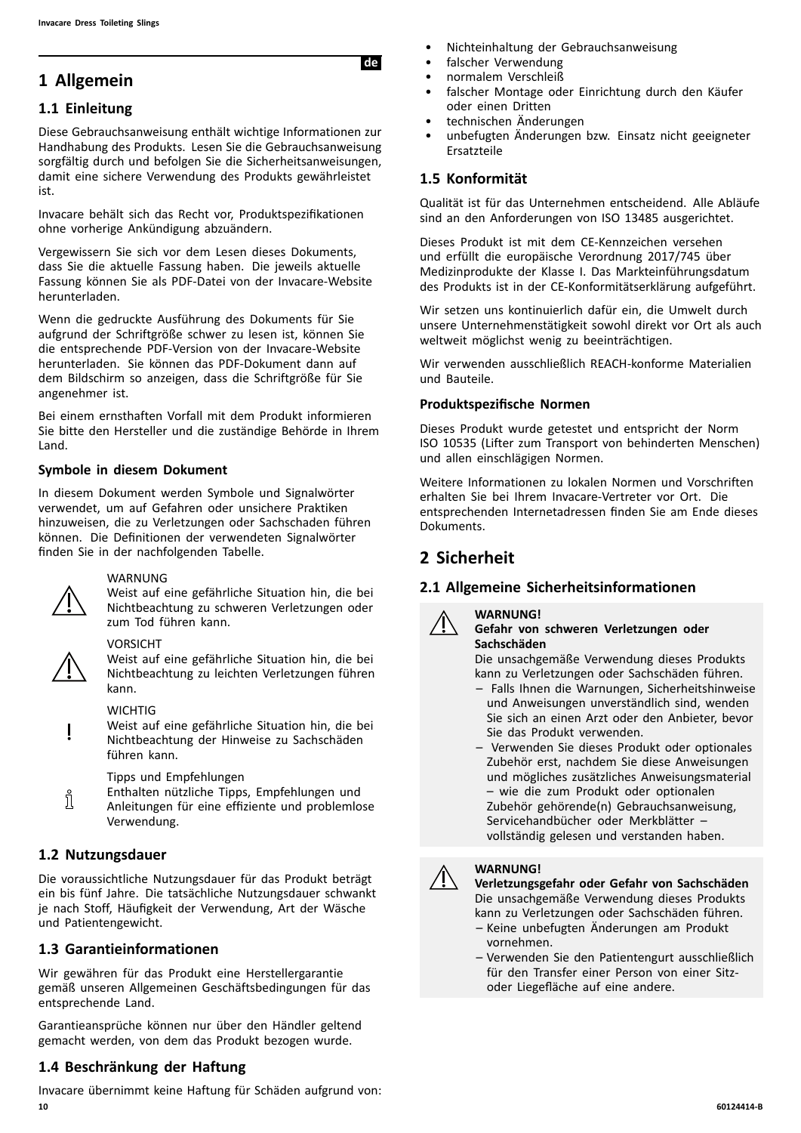# <span id="page-9-0"></span>**<sup>1</sup> Allgemein**

# **1.1 Einleitung**

Diese Gebrauchsanweisung enthält wichtige Informationen zur Handhabung des Produkts. Lesen Sie die Gebrauchsanweisung sorgfältig durch und befolgen Sie die Sicherheitsanweisungen, damit eine sichere Verwendung des Produkts gewährleistet ist.

Invacare behält sich das Recht vor, Produktspezifikationen ohne vorherige Ankündigung abzuändern.

Vergewissern Sie sich vor dem Lesen dieses Dokuments, dass Sie die aktuelle Fassung haben. Die jeweils aktuelle Fassung können Sie als PDF-Datei von der Invacare-Website herunterladen.

Wenn die gedruckte Ausführung des Dokuments für Sie aufgrund der Schriftgröße schwer zu lesen ist, können Sie die entsprechende PDF-Version von der Invacare-Website herunterladen. Sie können das PDF-Dokument dann auf dem Bildschirm so anzeigen, dass die Schriftgröße für Sie angenehmer ist.

Bei einem ernsthaften Vorfall mit dem Produkt informieren Sie bitte den Hersteller und die zuständige Behörde in Ihrem Land.

# **Symbole in diesem Dokument**

In diesem Dokument werden Symbole und Signalwörter verwendet, um auf Gefahren oder unsichere Praktiken hinzuweisen, die zu Verletzungen oder Sachschaden führen können. Die Definitionen der verwendeten Signalwörter finden Sie in der nachfolgenden Tabelle.



#### WARNUNG

Weist auf eine gefährliche Situation hin, die bei Nichtbeachtung zu schweren Verletzungen oder zum Tod führen kann.

#### VORSICHT



Weist auf eine gefährliche Situation hin, die bei Nichtbeachtung zu leichten Verletzungen führen kann.

#### **WICHTIG**

Weist auf eine gefährliche Situation hin, die bei Nichtbeachtung der Hinweise zu Sachschäden führen kann.

Tipps und Empfehlungen

Enthalten nützliche Tipps, Empfehlungen und ĭ Anleitungen für eine effiziente und problemlose Verwendung.

# **1.2 Nutzungsdauer**

Die voraussichtliche Nutzungsdauer für das Produkt beträgt ein bis fünf Jahre. Die tatsächliche Nutzungsdauer schwankt je nach Stoff, Häufigkeit der Verwendung, Art der Wäsche und Patientengewicht.

# **1.3 Garantieinformationen**

Wir gewähren für das Produkt eine Herstellergarantie gemäß unseren Allgemeinen Geschäftsbedingungen für das entsprechende Land.

Garantieansprüche können nur über den Händler geltend gemacht werden, von dem das Produkt bezogen wurde.

# **1.4 Beschränkung der Haftung**

Invacare übernimmt keine Haftung für Schäden aufgrund von: **10 60124414-B**

- Nichteinhaltung der Gebrauchsanweisung<br>• falscher Verwendung
- falscher Verwendung<br>• normalem Verschleiß
- normalem Verschleiß

de

- falscher Montage oder Einrichtung durch den Käufer oder einen Dritten
- technischen Änderungen
- unbefugten Änderungen bzw. Einsatz nicht geeigneter Ersatzteile

# **1.5 Konformität**

Qualität ist für das Unternehmen entscheidend. Alle Abläufe sind an den Anforderungen von ISO <sup>13485</sup> ausgerichtet.

Dieses Produkt ist mit dem CE-Kennzeichen versehen und erfüllt die europäische Verordnung 2017/745 über Medizinprodukte der Klasse I. Das Markteinführungsdatum des Produkts ist in der CE-Konformitätserklärung aufgeführt.

Wir setzen uns kontinuierlich dafür ein, die Umwelt durch unsere Unternehmenstätigkeit sowohl direkt vor Ort als auch weltweit möglichst wenig zu beeinträchtigen.

Wir verwenden ausschließlich REACH-konforme Materialien und Bauteile.

#### **Produktspezifische Normen**

Dieses Produkt wurde getestet und entspricht der Norm ISO <sup>10535</sup> (Lifter zum Transport von behinderten Menschen) und allen einschlägigen Normen.

Weitere Informationen zu lokalen Normen und Vorschriften erhalten Sie bei Ihrem Invacare-Vertreter vor Ort. Die entsprechenden Internetadressen finden Sie am Ende dieses Dokuments.

# **<sup>2</sup> Sicherheit**

# **2.1 Allgemeine Sicherheitsinformationen**



#### **Gefahr von schweren Verletzungen oder Sachschäden**

Die unsachgemäße Verwendung dieses Produkts kann zu Verletzungen oder Sachschäden führen.

- Falls Ihnen die Warnungen, Sicherheitshinweise und Anweisungen unverständlich sind, wenden Sie sich an einen Arzt oder den Anbieter, bevor Sie das Produkt verwenden.
- Verwenden Sie dieses Produkt oder optionales Zubehör erst, nachdem Sie diese Anweisungen und mögliches zusätzliches Anweisungsmaterial – wie die zum Produkt oder optionalen Zubehör gehörende(n) Gebrauchsanweisung, Servicehandbücher oder Merkblätter – vollständig gelesen und verstanden haben.



#### **WARNUNG!**

**Verletzungsgefahr oder Gefahr von Sachschäden** Die unsachgemäße Verwendung dieses Produkts kann zu Verletzungen oder Sachschäden führen.

- Keine unbefugten Änderungen am Produkt vornehmen.
- Verwenden Sie den Patientengurt ausschließlich für den Transfer einer Person von einer Sitzoder Liegefläche auf eine andere.

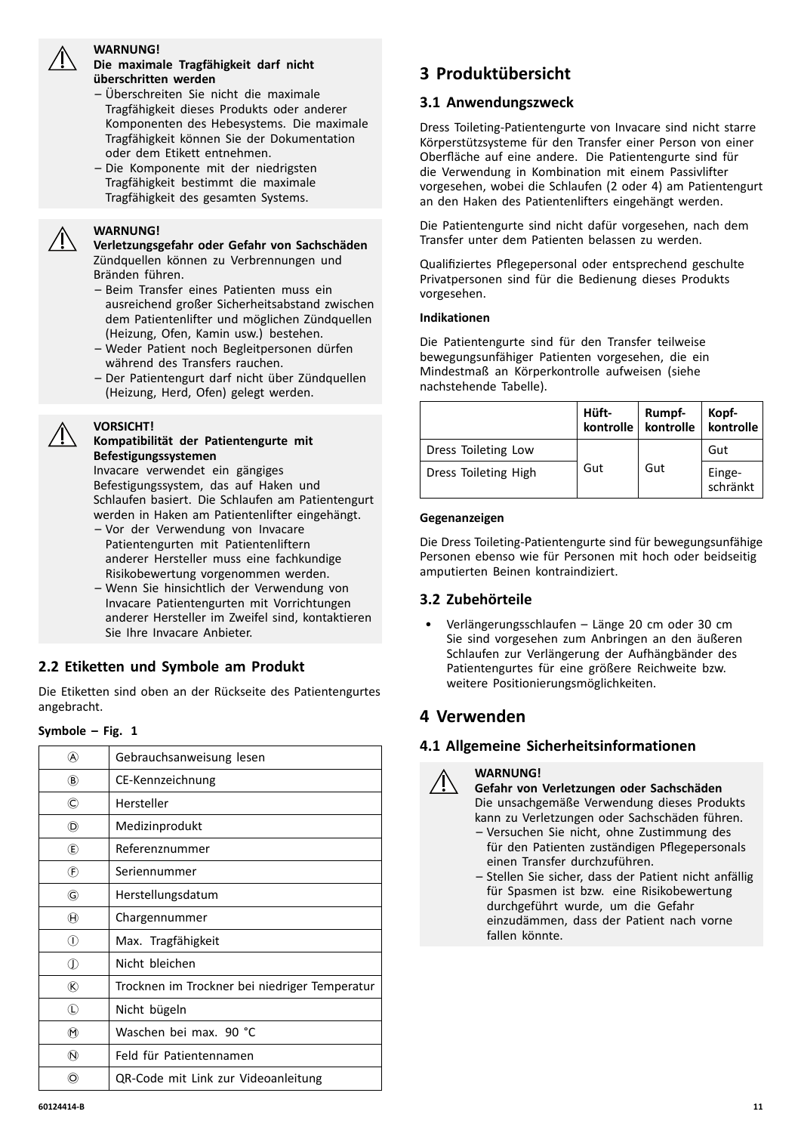

#### **WARNUNG!**

#### **Die maximale Tragfähigkeit darf nicht überschritten werden**

- Überschreiten Sie nicht die maximale Tragfähigkeit dieses Produkts oder anderer Komponenten des Hebesystems. Die maximale Tragfähigkeit können Sie der Dokumentation oder dem Etikett entnehmen.
- Die Komponente mit der niedrigsten Tragfähigkeit bestimmt die maximale Tragfähigkeit des gesamten Systems.

#### **WARNUNG!**

**VORSICHT!**

**Verletzungsgefahr oder Gefahr von Sachschäden** Zündquellen können zu Verbrennungen und Bränden führen.

- Beim Transfer eines Patienten muss ein ausreichend großer Sicherheitsabstand zwischen dem Patientenlifter und möglichen Zündquellen (Heizung, Ofen, Kamin usw.) bestehen.
- Weder Patient noch Begleitpersonen dürfen während des Transfers rauchen.
- Der Patientengurt darf nicht über Zündquellen (Heizung, Herd, Ofen) gelegt werden.

#### **Kompatibilität der Patientengurte mit Befestigungssystemen**

Invacare verwendet ein gängiges Befestigungssystem, das auf Haken und Schlaufen basiert. Die Schlaufen am Patientengurt werden in Haken am Patientenlifter eingehängt.

- Vor der Verwendung von Invacare Patientengurten mit Patientenliftern anderer Hersteller muss eine fachkundige Risikobewertung vorgenommen werden.
- Wenn Sie hinsichtlich der Verwendung von Invacare Patientengurten mit Vorrichtungen anderer Hersteller im Zweifel sind, kontaktieren Sie Ihre Invacare Anbieter.

# **2.2 Etiketten und Symbole am Produkt**

Die Etiketten sind oben an der Rückseite des Patientengurtes angebracht.

#### **Symbole – Fig. <sup>1</sup>**

| (A)                         | Gebrauchsanweisung lesen                      |
|-----------------------------|-----------------------------------------------|
| $\circledR$                 | CE-Kennzeichnung                              |
| ©                           | Hersteller                                    |
| (D)                         | Medizinprodukt                                |
| ®                           | Referenznummer                                |
| $^{\circledR}$              | Seriennummer                                  |
| G)                          | Herstellungsdatum                             |
| $^{\textcircled{\text{H}}}$ | Chargennummer                                 |
| ⋒                           | Max. Tragfähigkeit                            |
| ⋔                           | Nicht bleichen                                |
| $^{\circledR}$              | Trocknen im Trockner bei niedriger Temperatur |
| $\mathbb O$                 | Nicht bügeln                                  |
| $^\circledR$                | Waschen bei max. 90 °C                        |
| $\omega$                    | Feld für Patientennamen                       |
| O)                          | QR-Code mit Link zur Videoanleitung           |
|                             |                                               |

# **<sup>3</sup> Produktübersicht**

#### **3.1 Anwendungszweck**

Dress Toileting-Patientengurte von Invacare sind nicht starre Körperstützsysteme für den Transfer einer Person von einer Oberfläche auf eine andere. Die Patientengurte sind für die Verwendung in Kombination mit einem Passivlifter vorgesehen, wobei die Schlaufen (2 oder 4) am Patientengurt an den Haken des Patientenlifters eingehängt werden.

Die Patientengurte sind nicht dafür vorgesehen, nach dem Transfer unter dem Patienten belassen zu werden.

Qualifiziertes Pflegepersonal oder entsprechend geschulte Privatpersonen sind für die Bedienung dieses Produkts vorgesehen.

#### **Indikationen**

Die Patientengurte sind für den Transfer teilweise bewegungsunfähiger Patienten vorgesehen, die ein Mindestmaß an Körperkontrolle aufweisen (siehe nachstehende Tabelle).

|                      | Hüft-<br>kontrolle | Rumpf-<br>kontrolle | Kopf-<br>kontrolle |
|----------------------|--------------------|---------------------|--------------------|
| Dress Toileting Low  |                    |                     | Gut                |
| Dress Toileting High | Gut                | Gut                 | Einge-<br>schränkt |

#### **Gegenanzeigen**

Die Dress Toileting-Patientengurte sind für bewegungsunfähige Personen ebenso wie für Personen mit hoch oder beidseitig amputierten Beinen kontraindiziert.

#### **3.2 Zubehörteile**

• Verlängerungsschlaufen – Länge <sup>20</sup> cm oder <sup>30</sup> cm Sie sind vorgesehen zum Anbringen an den äußeren Schlaufen zur Verlängerung der Aufhängbänder des Patientengurtes für eine größere Reichweite bzw. weitere Positionierungsmöglichkeiten.

# **<sup>4</sup> Verwenden**

# **4.1 Allgemeine Sicherheitsinformationen**

#### **WARNUNG!**

**Gefahr von Verletzungen oder Sachschäden** Die unsachgemäße Verwendung dieses Produkts kann zu Verletzungen oder Sachschäden führen.

- Versuchen Sie nicht, ohne Zustimmung des für den Patienten zuständigen Pflegepersonals einen Transfer durchzuführen.
- Stellen Sie sicher, dass der Patient nicht anfällig für Spasmen ist bzw. eine Risikobewertung durchgeführt wurde, um die Gefahr einzudämmen, dass der Patient nach vorne fallen könnte.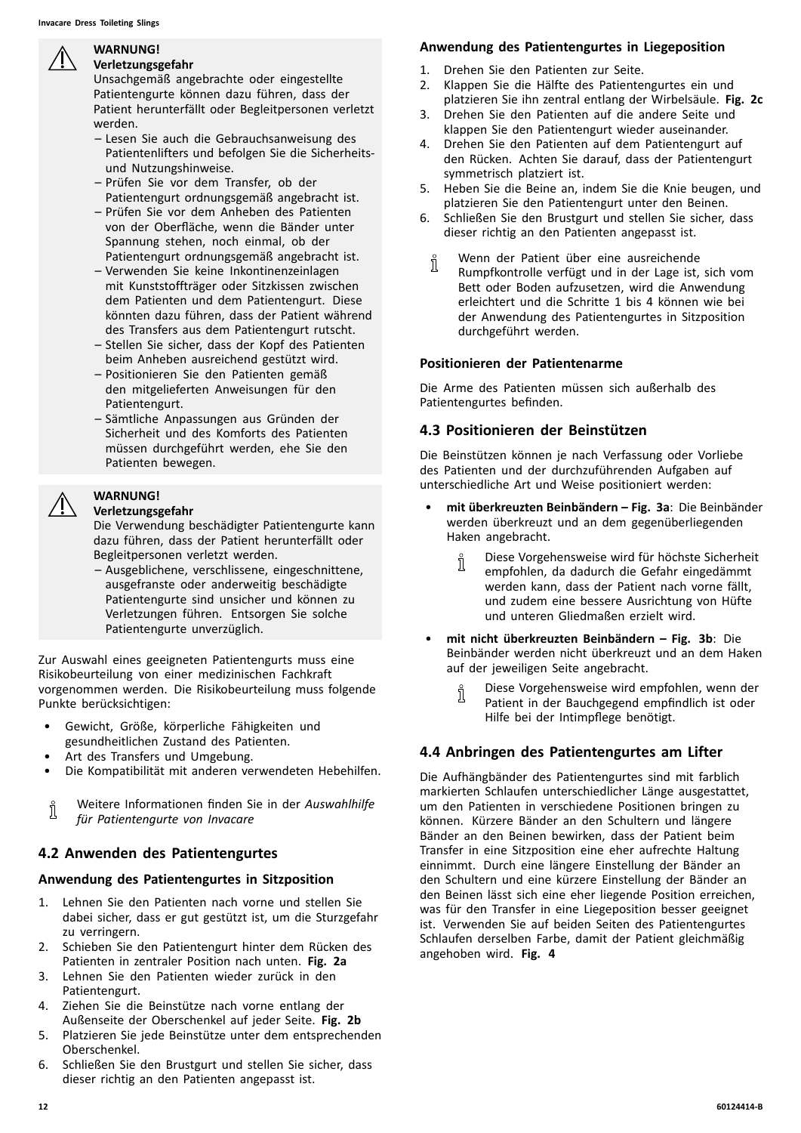<span id="page-11-0"></span>

#### **WARNUNG! Verletzungsgefahr**

Unsachgemäß angebrachte oder eingestellte Patientengurte können dazu führen, dass der Patient herunterfällt oder Begleitpersonen verletzt werden.

- Lesen Sie auch die Gebrauchsanweisung des Patientenlifters und befolgen Sie die Sicherheitsund Nutzungshinweise.
- Prüfen Sie vor dem Transfer, ob der Patientengurt ordnungsgemäß angebracht ist.
- Prüfen Sie vor dem Anheben des Patienten von der Oberfläche, wenn die Bänder unter Spannung stehen, noch einmal, ob der Patientengurt ordnungsgemäß angebracht ist.
- Verwenden Sie keine Inkontinenzeinlagen mit Kunststoffträger oder Sitzkissen zwischen dem Patienten und dem Patientengurt. Diese könnten dazu führen, dass der Patient während des Transfers aus dem Patientengurt rutscht.
- Stellen Sie sicher, dass der Kopf des Patienten beim Anheben ausreichend gestützt wird.
- Positionieren Sie den Patienten gemäß den mitgelieferten Anweisungen für den Patientengurt.
- Sämtliche Anpassungen aus Gründen der Sicherheit und des Komforts des Patienten müssen durchgeführt werden, ehe Sie den Patienten bewegen.

# **WARNUNG!**

#### **Verletzungsgefahr**

Die Verwendung beschädigter Patientengurte kann dazu führen, dass der Patient herunterfällt oder Begleitpersonen verletzt werden.

– Ausgeblichene, verschlissene, eingeschnittene, ausgefranste oder anderweitig beschädigte Patientengurte sind unsicher und können zu Verletzungen führen. Entsorgen Sie solche Patientengurte unverzüglich.

Zur Auswahl eines geeigneten Patientengurts muss eine Risikobeurteilung von einer medizinischen Fachkraft vorgenommen werden. Die Risikobeurteilung muss folgende Punkte berücksichtigen:

- Gewicht, Größe, körperliche Fähigkeiten und gesundheitlichen Zustand des Patienten.
- Art des Transfers und Umgebung.
- Die Kompatibilität mit anderen verwendeten Hebehilfen.

Weitere Informationen finden Sie in der *Auswahlhilfe* ſ *für Patientengurte von Invacare*

# **4.2 Anwenden des Patientengurtes**

# **Anwendung des Patientengurtes in Sitzposition**

- 1. Lehnen Sie den Patienten nach vorne und stellen Sie dabei sicher, dass er gut gestützt ist, um die Sturzgefahr zu verringern.
- 2. Schieben Sie den Patientengurt hinter dem Rücken des Patienten in zentraler Position nach unten. **Fig. 2a**
- 3. Lehnen Sie den Patienten wieder zurück in den Patientengurt.
- 4. Ziehen Sie die Beinstütze nach vorne entlang der Außenseite der Oberschenkel auf jeder Seite. **Fig. 2b**
- 5. Platzieren Sie jede Beinstütze unter dem entsprechenden Oberschenkel.
- 6. Schließen Sie den Brustgurt und stellen Sie sicher, dass dieser richtig an den Patienten angepasst ist.

# **Anwendung des Patientengurtes in Liegeposition**

- 1. Drehen Sie den Patienten zur Seite.<br>2. Klappen Sie die Hälfte des Patienter
- 2. Klappen Sie die Hälfte des Patientengurtes ein und platzieren Sie ihn zentral entlang der Wirbelsäule. **Fig. 2c**
- 3. Drehen Sie den Patienten auf die andere Seite und klappen Sie den Patientengurt wieder auseinander.
- 4. Drehen Sie den Patienten auf dem Patientengurt auf den Rücken. Achten Sie darauf, dass der Patientengurt symmetrisch platziert ist.
- 5. Heben Sie die Beine an, indem Sie die Knie beugen, und platzieren Sie den Patientengurt unter den Beinen.
- 6. Schließen Sie den Brustgurt und stellen Sie sicher, dass dieser richtig an den Patienten angepasst ist.
	- Wenn der Patient über eine ausreichende ĭ Rumpfkontrolle verfügt und in der Lage ist, sich vom Bett oder Boden aufzusetzen, wird die Anwendung erleichtert und die Schritte <sup>1</sup> bis <sup>4</sup> können wie bei der Anwendung des Patientengurtes in Sitzposition durchgeführt werden.

#### **Positionieren der Patientenarme**

Die Arme des Patienten müssen sich außerhalb des Patientengurtes befinden.

# **4.3 Positionieren der Beinstützen**

Die Beinstützen können je nach Verfassung oder Vorliebe des Patienten und der durchzuführenden Aufgaben auf unterschiedliche Art und Weise positioniert werden:

- • **mit überkreuzten Beinbändern – Fig. 3a**: Die Beinbänder werden überkreuzt und an dem gegenüberliegenden Haken angebracht.
	- Diese Vorgehensweise wird für höchste Sicherheit
	- Ñ empfohlen, da dadurch die Gefahr eingedämmt werden kann, dass der Patient nach vorne fällt, und zudem eine bessere Ausrichtung von Hüfte und unteren Gliedmaßen erzielt wird.
- • **mit nicht überkreuzten Beinbändern – Fig. 3b**: Die Beinbänder werden nicht überkreuzt und an dem Haken auf der jeweiligen Seite angebracht.
	- Diese Vorgehensweise wird empfohlen, wenn der ĭ Patient in der Bauchgegend empfindlich ist oder Hilfe bei der Intimpflege benötigt.

# **4.4 Anbringen des Patientengurtes am Lifter**

Die Aufhängbänder des Patientengurtes sind mit farblich markierten Schlaufen unterschiedlicher Länge ausgestattet, um den Patienten in verschiedene Positionen bringen zu können. Kürzere Bänder an den Schultern und längere Bänder an den Beinen bewirken, dass der Patient beim Transfer in eine Sitzposition eine eher aufrechte Haltung einnimmt. Durch eine längere Einstellung der Bänder an den Schultern und eine kürzere Einstellung der Bänder an den Beinen lässt sich eine eher liegende Position erreichen, was für den Transfer in eine Liegeposition besser geeignet ist. Verwenden Sie auf beiden Seiten des Patientengurtes Schlaufen derselben Farbe, damit der Patient gleichmäßig angehoben wird. **Fig. <sup>4</sup>**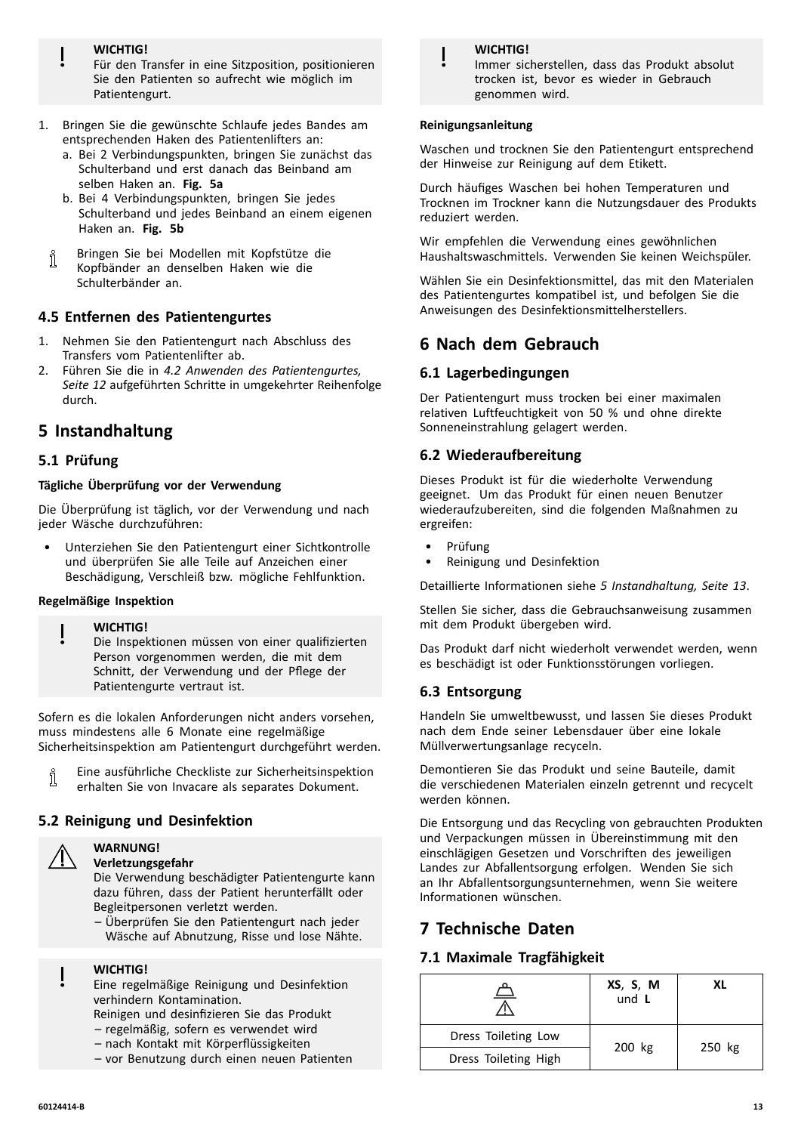**WICHTIG!**

Für den Transfer in eine Sitzposition, positionieren Sie den Patienten so aufrecht wie möglich im Patientengurt.

- 1. Bringen Sie die gewünschte Schlaufe jedes Bandes am entsprechenden Haken des Patientenlifters an:
	- a. Bei <sup>2</sup> Verbindungspunkten, bringen Sie zunächst das Schulterband und erst danach das Beinband am selben Haken an. **Fig. 5a**
	- b. Bei <sup>4</sup> Verbindungspunkten, bringen Sie jedes Schulterband und jedes Beinband an einem eigenen Haken an. **Fig. 5b**
	- Bringen Sie bei Modellen mit Kopfstütze die ่า Kopfbänder an denselben Haken wie die Schulterbänder an.

# **4.5 Entfernen des Patientengurtes**

- 1. Nehmen Sie den Patientengurt nach Abschluss des Transfers vom Patientenlifter ab.
- 2. Führen Sie die in *4.2 Anwenden des [Patientengurtes,](#page-11-0) [Seite](#page-11-0) [12](#page-11-0)* aufgeführten Schritte in umgekehrter Reihenfolge durch.

# **<sup>5</sup> Instandhaltung**

# **5.1 Prüfung**

#### **Tägliche Überprüfung vor der Verwendung**

Die Überprüfung ist täglich, vor der Verwendung und nach jeder Wäsche durchzuführen:

• Unterziehen Sie den Patientengurt einer Sichtkontrolle und überprüfen Sie alle Teile auf Anzeichen einer Beschädigung, Verschleiß bzw. mögliche Fehlfunktion.

#### **Regelmäßige Inspektion**

#### **WICHTIG!**

Die Inspektionen müssen von einer qualifizierten Person vorgenommen werden, die mit dem Schnitt, der Verwendung und der Pflege der Patientengurte vertraut ist.

Sofern es die lokalen Anforderungen nicht anders vorsehen, muss mindestens alle <sup>6</sup> Monate eine regelmäßige Sicherheitsinspektion am Patientengurt durchgeführt werden.

Eine ausführliche Checkliste zur Sicherheitsinspektion Ĭ erhalten Sie von Invacare als separates Dokument.

# **5.2 Reinigung und Desinfektion**



# **Verletzungsgefahr**

**WARNUNG!**

Die Verwendung beschädigter Patientengurte kann dazu führen, dass der Patient herunterfällt oder Begleitpersonen verletzt werden.

– Überprüfen Sie den Patientengurt nach jeder Wäsche auf Abnutzung, Risse und lose Nähte.

#### **WICHTIG!**

Eine regelmäßige Reinigung und Desinfektion verhindern Kontamination.

- Reinigen und desinfizieren Sie das Produkt – regelmäßig, sofern es verwendet wird
- nach Kontakt mit Körperflüssigkeiten
- vor Benutzung durch einen neuen Patienten

# **WICHTIG!**

Immer sicherstellen, dass das Produkt absolut trocken ist, bevor es wieder in Gebrauch genommen wird.

#### **Reinigungsanleitung**

Waschen und trocknen Sie den Patientengurt entsprechend der Hinweise zur Reinigung auf dem Etikett.

Durch häufiges Waschen bei hohen Temperaturen und Trocknen im Trockner kann die Nutzungsdauer des Produkts reduziert werden.

Wir empfehlen die Verwendung eines gewöhnlichen Haushaltswaschmittels. Verwenden Sie keinen Weichspüler.

Wählen Sie ein Desinfektionsmittel, das mit den Materialen des Patientengurtes kompatibel ist, und befolgen Sie die Anweisungen des Desinfektionsmittelherstellers.

# **<sup>6</sup> Nach dem Gebrauch**

# **6.1 Lagerbedingungen**

Der Patientengurt muss trocken bei einer maximalen relativen Luftfeuchtigkeit von <sup>50</sup> % und ohne direkte Sonneneinstrahlung gelagert werden.

# **6.2 Wiederaufbereitung**

Dieses Produkt ist für die wiederholte Verwendung geeignet. Um das Produkt für einen neuen Benutzer wiederaufzubereiten, sind die folgenden Maßnahmen zu ergreifen:

- Prüfung
- Reinigung und Desinfektion

Detaillierte Informationen siehe *<sup>5</sup> Instandhaltung, Seite <sup>13</sup>*.

Stellen Sie sicher, dass die Gebrauchsanweisung zusammen mit dem Produkt übergeben wird.

Das Produkt darf nicht wiederholt verwendet werden, wenn es beschädigt ist oder Funktionsstörungen vorliegen.

# **6.3 Entsorgung**

Handeln Sie umweltbewusst, und lassen Sie dieses Produkt nach dem Ende seiner Lebensdauer über eine lokale Müllverwertungsanlage recyceln.

Demontieren Sie das Produkt und seine Bauteile, damit die verschiedenen Materialen einzeln getrennt und recycelt werden können.

Die Entsorgung und das Recycling von gebrauchten Produkten und Verpackungen müssen in Übereinstimmung mit den einschlägigen Gesetzen und Vorschriften des jeweiligen Landes zur Abfallentsorgung erfolgen. Wenden Sie sich an Ihr Abfallentsorgungsunternehmen, wenn Sie weitere Informationen wünschen.

# **<sup>7</sup> Technische Daten**

# **7.1 Maximale Tragfähigkeit**

|                      | XS, S, M<br>und $L$ | ΧI     |  |
|----------------------|---------------------|--------|--|
| Dress Toileting Low  |                     |        |  |
| Dress Toileting High | 200 kg              | 250 kg |  |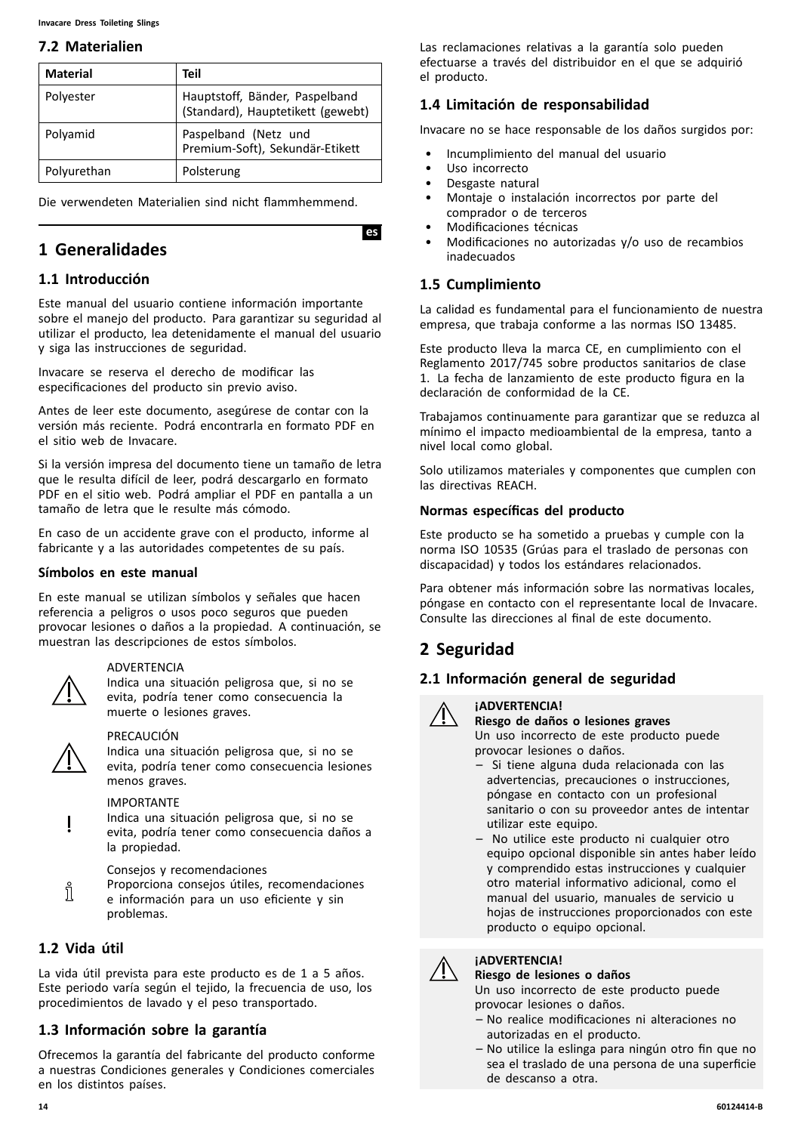#### <span id="page-13-0"></span>**7.2 Materialien**

| <b>Material</b> | Teil                                                                |
|-----------------|---------------------------------------------------------------------|
| Polyester       | Hauptstoff, Bänder, Paspelband<br>(Standard), Hauptetikett (gewebt) |
| Polyamid        | Paspelband (Netz und<br>Premium-Soft), Sekundär-Etikett             |
| Polyurethan     | Polsterung                                                          |

Die verwendeten Materialien sind nicht flammhemmend.

# **<sup>1</sup> Generalidades**

# **1.1 Introducción**

Este manual del usuario contiene información importante sobre el manejo del producto. Para garantizar su seguridad al utilizar el producto, lea detenidamente el manual del usuario <sup>y</sup> siga las instrucciones de seguridad.

Invacare se reserva el derecho de modificar las especificaciones del producto sin previo aviso.

Antes de leer este documento, asegúrese de contar con la versión más reciente. Podrá encontrarla en formato PDF en el sitio web de Invacare.

Si la versión impresa del documento tiene un tamaño de letra que le resulta difícil de leer, podrá descargarlo en formato PDF en el sitio web. Podrá ampliar el PDF en pantalla <sup>a</sup> un tamaño de letra que le resulte más cómodo.

En caso de un accidente grave con el producto, informe al fabricante <sup>y</sup> <sup>a</sup> las autoridades competentes de su país.

#### **Símbolos en este manual**

En este manual se utilizan símbolos <sup>y</sup> señales que hacen referencia <sup>a</sup> peligros <sup>o</sup> usos poco seguros que pueden provocar lesiones <sup>o</sup> daños <sup>a</sup> la propiedad. <sup>A</sup> continuación, se muestran las descripciones de estos símbolos.

#### ADVERTENCIA

Indica una situación peligrosa que, si no se evita, podría tener como consecuencia la muerte <sup>o</sup> lesiones graves.



#### PRECAUCIÓN

Indica una situación peligrosa que, si no se evita, podría tener como consecuencia lesiones menos graves.

#### IMPORTANTE

Indica una situación peligrosa que, si no se evita, podría tener como consecuencia daños <sup>a</sup> la propiedad.

Consejos <sup>y</sup> recomendaciones

Proporciona consejos útiles, recomendaciones i <sup>e</sup> información para un uso eficiente <sup>y</sup> sin problemas.

# **1.2 Vida útil**

La vida útil prevista para este producto es de <sup>1</sup> <sup>a</sup> <sup>5</sup> años. Este periodo varía según el tejido, la frecuencia de uso, los procedimientos de lavado <sup>y</sup> el peso transportado.

# **1.3 Información sobre la garantía**

Ofrecemos la garantía del fabricante del producto conforme <sup>a</sup> nuestras Condiciones generales <sup>y</sup> Condiciones comerciales en los distintos países.

Las reclamaciones relativas <sup>a</sup> la garantía solo pueden efectuarse <sup>a</sup> través del distribuidor en el que se adquirió el producto.

# **1.4 Limitación de responsabilidad**

Invacare no se hace responsable de los daños surgidos por:

- Incumplimiento del manual del usuario
- Uso incorrecto
- Desgaste natural<br>• Montaie o instali

**IesI**

- Montaje <sup>o</sup> instalación incorrectos por parte del comprador <sup>o</sup> de terceros
- Modificaciones técnicas
- Modificaciones no autorizadas y/o uso de recambios inadecuados

# **1.5 Cumplimiento**

La calidad es fundamental para el funcionamiento de nuestra empresa, que trabaja conforme <sup>a</sup> las normas ISO 13485.

Este producto lleva la marca CE, en cumplimiento con el Reglamento 2017/745 sobre productos sanitarios de clase 1. La fecha de lanzamiento de este producto figura en la declaración de conformidad de la CE.

Trabajamos continuamente para garantizar que se reduzca al mínimo el impacto medioambiental de la empresa, tanto <sup>a</sup> nivel local como global.

Solo utilizamos materiales <sup>y</sup> componentes que cumplen con las directivas REACH.

#### **Normas específicas del producto**

Este producto se ha sometido <sup>a</sup> pruebas <sup>y</sup> cumple con la norma ISO <sup>10535</sup> (Grúas para el traslado de personas con discapacidad) <sup>y</sup> todos los estándares relacionados.

Para obtener más información sobre las normativas locales, póngase en contacto con el representante local de Invacare. Consulte las direcciones al final de este documento.

# **<sup>2</sup> Seguridad**

# **2.1 Información general de seguridad**



# **¡ADVERTENCIA!**

**Riesgo de daños <sup>o</sup> lesiones graves** Un uso incorrecto de este producto puede provocar lesiones <sup>o</sup> daños.

- Si tiene alguna duda relacionada con las advertencias, precauciones <sup>o</sup> instrucciones, póngase en contacto con un profesional sanitario <sup>o</sup> con su proveedor antes de intentar utilizar este equipo.
- No utilice este producto ni cualquier otro equipo opcional disponible sin antes haber leído <sup>y</sup> comprendido estas instrucciones <sup>y</sup> cualquier otro material informativo adicional, como el manual del usuario, manuales de servicio <sup>u</sup> hojas de instrucciones proporcionados con este producto <sup>o</sup> equipo opcional.

# **¡ADVERTENCIA!**

#### **Riesgo de lesiones <sup>o</sup> daños** Un uso incorrecto de este producto puede

- provocar lesiones <sup>o</sup> daños.
- No realice modificaciones ni alteraciones no autorizadas en el producto.
- No utilice la eslinga para ningún otro fin que no sea el traslado de una persona de una superficie de descanso <sup>a</sup> otra.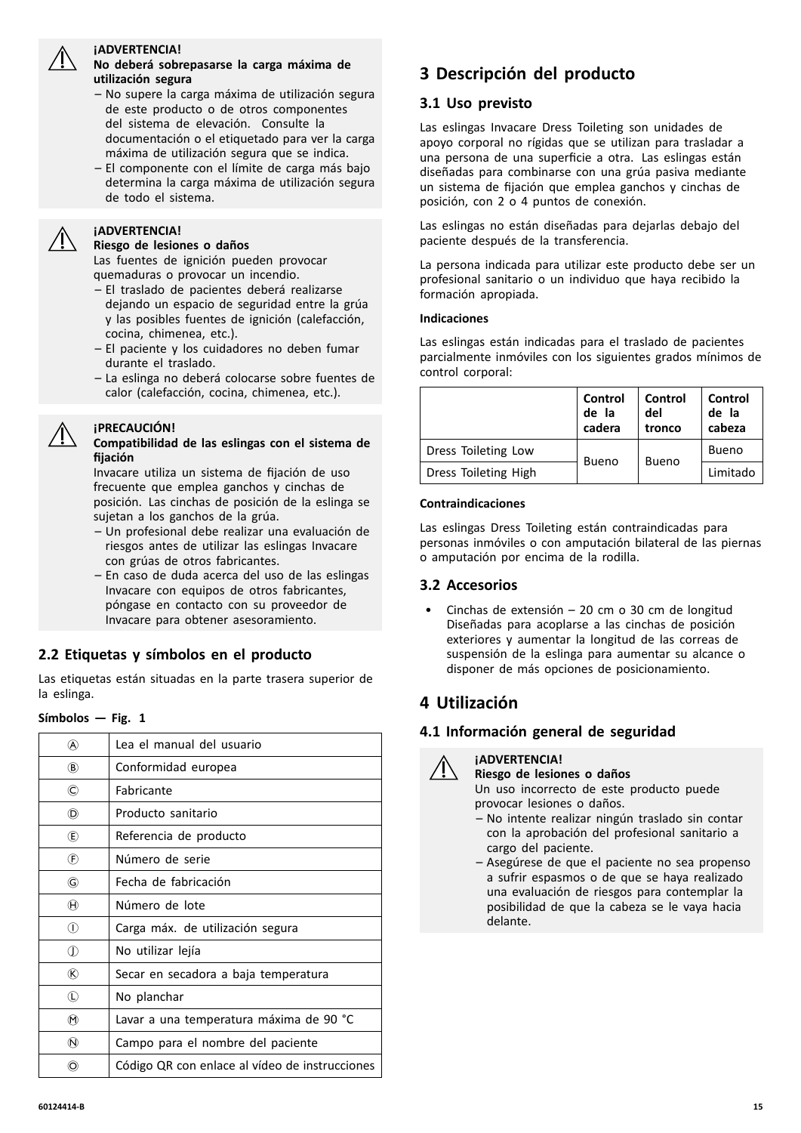

#### **¡ADVERTENCIA!**

#### **No deberá sobrepasarse la carga máxima de utilización segura**

- No supere la carga máxima de utilización segura de este producto <sup>o</sup> de otros componentes del sistema de elevación. Consulte la documentación <sup>o</sup> el etiquetado para ver la carga máxima de utilización segura que se indica.
- El componente con el límite de carga más bajo determina la carga máxima de utilización segura de todo el sistema.

#### **¡ADVERTENCIA!**

#### **Riesgo de lesiones <sup>o</sup> daños**

Las fuentes de ignición pueden provocar quemaduras <sup>o</sup> provocar un incendio.

- El traslado de pacientes deberá realizarse dejando un espacio de seguridad entre la grúa <sup>y</sup> las posibles fuentes de ignición (calefacción, cocina, chimenea, etc.).
- El paciente <sup>y</sup> los cuidadores no deben fumar durante el traslado.
- La eslinga no deberá colocarse sobre fuentes de calor (calefacción, cocina, chimenea, etc.).



#### **¡PRECAUCIÓN!**

#### **Compatibilidad de las eslingas con el sistema de fijación**

Invacare utiliza un sistema de fijación de uso frecuente que emplea ganchos <sup>y</sup> cinchas de posición. Las cinchas de posición de la eslinga se sujetan <sup>a</sup> los ganchos de la grúa.

- Un profesional debe realizar una evaluación de riesgos antes de utilizar las eslingas Invacare con grúas de otros fabricantes.
- En caso de duda acerca del uso de las eslingas Invacare con equipos de otros fabricantes, póngase en contacto con su proveedor de Invacare para obtener asesoramiento.

#### **2.2 Etiquetas <sup>y</sup> símbolos en el producto**

Las etiquetas están situadas en la parte trasera superior de la eslinga.

#### $Símbolos - Fig. 1$

| W                           | Lea el manual del usuario                      |
|-----------------------------|------------------------------------------------|
| (B)                         | Conformidad europea                            |
| ©                           | Fabricante                                     |
| (D)                         | Producto sanitario                             |
| Œ)                          | Referencia de producto                         |
| $\left( \widehat{F}\right)$ | Número de serie                                |
| G)                          | Fecha de fabricación                           |
| $^\circledR$                | Número de lote                                 |
| ⋒                           | Carga máx. de utilización segura               |
| $\mathbb O$                 | No utilizar lejía                              |
| ®                           | Secar en secadora a baja temperatura           |
| $\mathbb O$                 | No planchar                                    |
| $^{\textregistered}$        | Lavar a una temperatura máxima de 90 °C        |
| $\circledR$                 | Campo para el nombre del paciente              |
| O)                          | Código QR con enlace al vídeo de instrucciones |

# **<sup>3</sup> Descripción del producto**

#### **3.1 Uso previsto**

Las eslingas Invacare Dress Toileting son unidades de apoyo corporal no rígidas que se utilizan para trasladar <sup>a</sup> una persona de una superficie <sup>a</sup> otra. Las eslingas están diseñadas para combinarse con una grúa pasiva mediante un sistema de fijación que emplea ganchos <sup>y</sup> cinchas de posición, con <sup>2</sup> <sup>o</sup> <sup>4</sup> puntos de conexión.

Las eslingas no están diseñadas para dejarlas debajo del paciente después de la transferencia.

La persona indicada para utilizar este producto debe ser un profesional sanitario <sup>o</sup> un individuo que haya recibido la formación apropiada.

#### **Indicaciones**

Las eslingas están indicadas para el traslado de pacientes parcialmente inmóviles con los siguientes grados mínimos de control corporal:

|                      | Control<br>de la<br>cadera | Control<br>del<br>tronco | Control<br>de la<br>cabeza |
|----------------------|----------------------------|--------------------------|----------------------------|
| Dress Toileting Low  | <b>Bueno</b>               | <b>Bueno</b>             | Bueno                      |
| Dress Toileting High |                            |                          | Limitado                   |

#### **Contraindicaciones**

Las eslingas Dress Toileting están contraindicadas para personas inmóviles <sup>o</sup> con amputación bilateral de las piernas <sup>o</sup> amputación por encima de la rodilla.

#### **3.2 Accesorios**

• Cinchas de extensión – <sup>20</sup> cm <sup>o</sup> <sup>30</sup> cm de longitud Diseñadas para acoplarse <sup>a</sup> las cinchas de posición exteriores <sup>y</sup> aumentar la longitud de las correas de suspensión de la eslinga para aumentar su alcance <sup>o</sup> disponer de más opciones de posicionamiento.

# **<sup>4</sup> Utilización**

#### **4.1 Información general de seguridad**



**¡ADVERTENCIA! Riesgo de lesiones <sup>o</sup> daños**

Un uso incorrecto de este producto puede provocar lesiones <sup>o</sup> daños.

- No intente realizar ningún traslado sin contar con la aprobación del profesional sanitario <sup>a</sup> cargo del paciente.
- Asegúrese de que el paciente no sea propenso <sup>a</sup> sufrir espasmos <sup>o</sup> de que se haya realizado una evaluación de riesgos para contemplar la posibilidad de que la cabeza se le vaya hacia delante.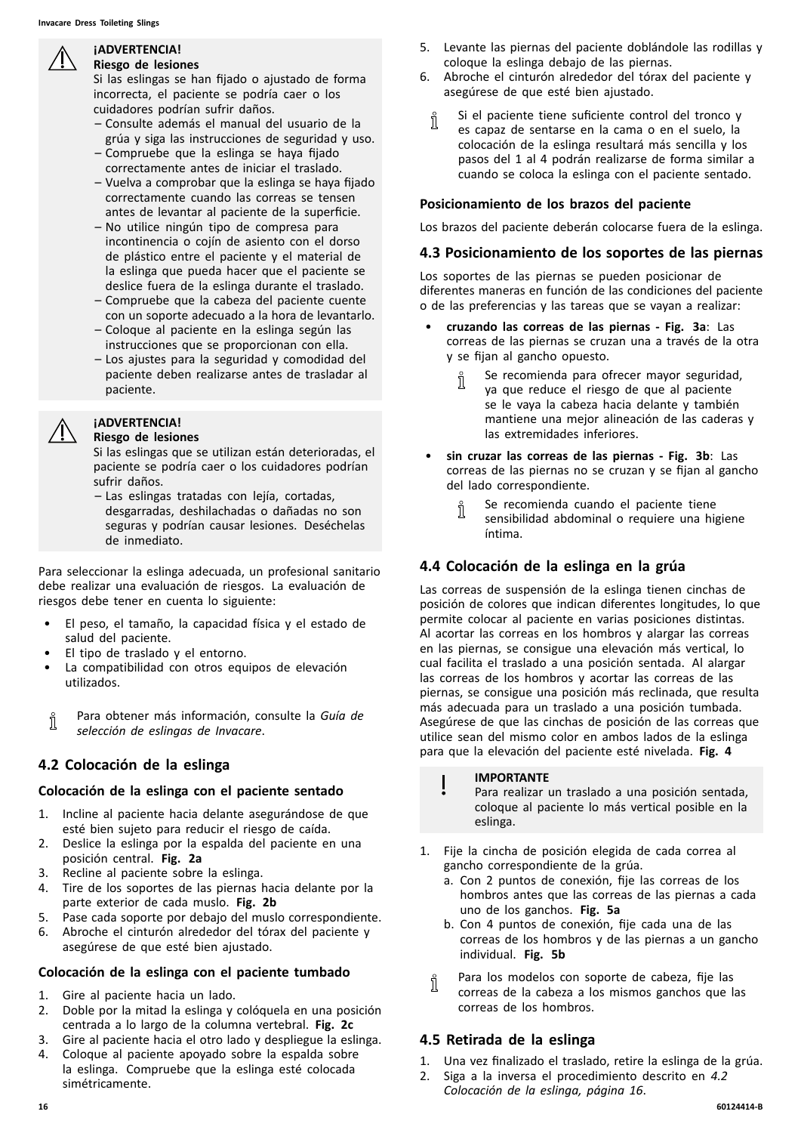#### **¡ADVERTENCIA! Riesgo de lesiones**

Si las eslingas se han fijado <sup>o</sup> ajustado de forma incorrecta, el paciente se podría caer <sup>o</sup> los cuidadores podrían sufrir daños.

- Consulte además el manual del usuario de la grúa <sup>y</sup> siga las instrucciones de seguridad <sup>y</sup> uso.
- Compruebe que la eslinga se haya fijado correctamente antes de iniciar el traslado.
- Vuelva <sup>a</sup> comprobar que la eslinga se haya fijado correctamente cuando las correas se tensen antes de levantar al paciente de la superficie.
- No utilice ningún tipo de compresa para incontinencia <sup>o</sup> cojín de asiento con el dorso de plástico entre el paciente <sup>y</sup> el material de la eslinga que pueda hacer que el paciente se deslice fuera de la eslinga durante el traslado.
- Compruebe que la cabeza del paciente cuente con un soporte adecuado <sup>a</sup> la hora de levantarlo.
- Coloque al paciente en la eslinga según las instrucciones que se proporcionan con ella.
- Los ajustes para la seguridad <sup>y</sup> comodidad del paciente deben realizarse antes de trasladar al paciente.

# **¡ADVERTENCIA!**

#### **Riesgo de lesiones**

Si las eslingas que se utilizan están deterioradas, el paciente se podría caer <sup>o</sup> los cuidadores podrían sufrir daños.

– Las eslingas tratadas con lejía, cortadas, desgarradas, deshilachadas <sup>o</sup> dañadas no son seguras <sup>y</sup> podrían causar lesiones. Deséchelas de inmediato.

Para seleccionar la eslinga adecuada, un profesional sanitario debe realizar una evaluación de riesgos. La evaluación de riesgos debe tener en cuenta lo siguiente:

- El peso, el tamaño, la capacidad física <sup>y</sup> el estado de salud del paciente.
- El tipo de traslado y el entorno.
- La compatibilidad con otros equipos de elevación utilizados.
- Para obtener más información, consulte la *Guía de* Ñ *selección de eslingas de Invacare*.

# **4.2 Colocación de la eslinga**

# **Colocación de la eslinga con el paciente sentado**

- 1. Incline al paciente hacia delante asegurándose de que esté bien sujeto para reducir el riesgo de caída.
- 2. Deslice la eslinga por la espalda del paciente en una posición central. **Fig. 2a**
- 3. Recline al paciente sobre la eslinga.
- 4. Tire de los soportes de las piernas hacia delante por la parte exterior de cada muslo. **Fig. 2b**
- 5. Pase cada soporte por debajo del muslo correspondiente.<br>6. Abroche el cinturón alrededor del tórax del paciente y
- Abroche el cinturón alrededor del tórax del paciente y asegúrese de que esté bien ajustado.

# **Colocación de la eslinga con el paciente tumbado**

- 1. Gire al paciente hacia un lado.
- 2. Doble por la mitad la eslinga <sup>y</sup> colóquela en una posición centrada <sup>a</sup> lo largo de la columna vertebral. **Fig. 2c**
- 3. Gire al paciente hacia el otro lado <sup>y</sup> despliegue la eslinga.
- 4. Coloque al paciente apoyado sobre la espalda sobre la eslinga. Compruebe que la eslinga esté colocada simétricamente.
- 5. Levante las piernas del paciente doblándole las rodillas <sup>y</sup> coloque la eslinga debajo de las piernas.
- 6. Abroche el cinturón alrededor del tórax del paciente <sup>y</sup> asegúrese de que esté bien ajustado.
	- Si el paciente tiene suficiente control del tronco <sup>y</sup> Ĭ es capaz de sentarse en la cama <sup>o</sup> en el suelo, la colocación de la eslinga resultará más sencilla <sup>y</sup> los pasos del <sup>1</sup> al <sup>4</sup> podrán realizarse de forma similar <sup>a</sup> cuando se coloca la eslinga con el paciente sentado.

#### **Posicionamiento de los brazos del paciente**

Los brazos del paciente deberán colocarse fuera de la eslinga.

# **4.3 Posicionamiento de los soportes de las piernas**

Los soportes de las piernas se pueden posicionar de diferentes maneras en función de las condiciones del paciente <sup>o</sup> de las preferencias <sup>y</sup> las tareas que se vayan <sup>a</sup> realizar:

- • **cruzando las correas de las piernas - Fig. 3a**: Las correas de las piernas se cruzan una <sup>a</sup> través de la otra <sup>y</sup> se fijan al gancho opuesto.
	- Se recomienda para ofrecer mayor seguridad, ĭ ya que reduce el riesgo de que al paciente se le vaya la cabeza hacia delante <sup>y</sup> también mantiene una mejor alineación de las caderas <sup>y</sup> las extremidades inferiores.
- • **sin cruzar las correas de las piernas - Fig. 3b**: Las correas de las piernas no se cruzan <sup>y</sup> se fijan al gancho del lado correspondiente.
	- Se recomienda cuando el paciente tiene Ĭ sensibilidad abdominal <sup>o</sup> requiere una higiene íntima.

# **4.4 Colocación de la eslinga en la grúa**

Las correas de suspensión de la eslinga tienen cinchas de posición de colores que indican diferentes longitudes, lo que permite colocar al paciente en varias posiciones distintas. Al acortar las correas en los hombros <sup>y</sup> alargar las correas en las piernas, se consigue una elevación más vertical, lo cual facilita el traslado <sup>a</sup> una posición sentada. Al alargar las correas de los hombros <sup>y</sup> acortar las correas de las piernas, se consigue una posición más reclinada, que resulta más adecuada para un traslado <sup>a</sup> una posición tumbada. Asegúrese de que las cinchas de posición de las correas que utilice sean del mismo color en ambos lados de la eslinga para que la elevación del paciente esté nivelada. **Fig. <sup>4</sup>**

#### **IMPORTANTE**

Para realizar un traslado <sup>a</sup> una posición sentada, coloque al paciente lo más vertical posible en la eslinga.

- 1. Fije la cincha de posición elegida de cada correa al gancho correspondiente de la grúa.
	- a. Con <sup>2</sup> puntos de conexión, fije las correas de los hombros antes que las correas de las piernas <sup>a</sup> cada uno de los ganchos. **Fig. 5a**
	- b. Con <sup>4</sup> puntos de conexión, fije cada una de las correas de los hombros <sup>y</sup> de las piernas <sup>a</sup> un gancho individual. **Fig. 5b**
	- Para los modelos con soporte de cabeza, fije las ĭĬ correas de la cabeza <sup>a</sup> los mismos ganchos que las correas de los hombros.

# **4.5 Retirada de la eslinga**

- 1. Una vez finalizado el traslado, retire la eslinga de la grúa.<br>2. Siga a la inversa el procedimiento descrito en 4.2
- 2. Siga <sup>a</sup> la inversa el procedimiento descrito en *4.2 Colocación de la eslinga, página <sup>16</sup>*.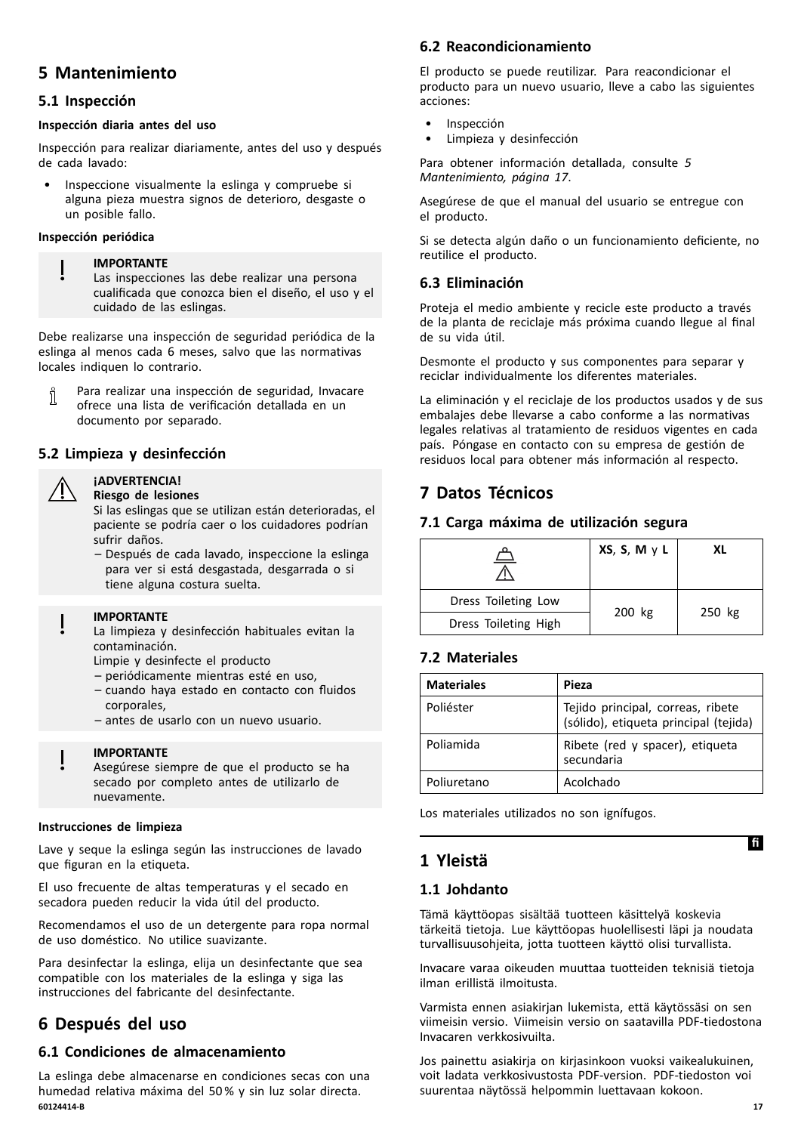# <span id="page-16-0"></span>**<sup>5</sup> Mantenimiento**

# **5.1 Inspección**

#### **Inspección diaria antes del uso**

Inspección para realizar diariamente, antes del uso <sup>y</sup> después de cada lavado:

• Inspeccione visualmente la eslinga <sup>y</sup> compruebe si alguna pieza muestra signos de deterioro, desgaste <sup>o</sup> un posible fallo.

#### **Inspección periódica**

#### **IMPORTANTE**

Las inspecciones las debe realizar una persona cualificada que conozca bien el diseño, el uso <sup>y</sup> el cuidado de las eslingas.

Debe realizarse una inspección de seguridad periódica de la eslinga al menos cada <sup>6</sup> meses, salvo que las normativas locales indiquen lo contrario.

Para realizar una inspección de seguridad, Invacare Ĭ ofrece una lista de verificación detallada en un documento por separado.

# **5.2 Limpieza <sup>y</sup> desinfección**

#### **¡ADVERTENCIA! Riesgo de lesiones**

Si las eslingas que se utilizan están deterioradas, el paciente se podría caer <sup>o</sup> los cuidadores podrían sufrir daños.

– Después de cada lavado, inspeccione la eslinga para ver si está desgastada, desgarrada <sup>o</sup> si tiene alguna costura suelta.

#### **IMPORTANTE**

La limpieza <sup>y</sup> desinfección habituales evitan la contaminación.

- Limpie <sup>y</sup> desinfecte el producto
- periódicamente mientras esté en uso,
- cuando haya estado en contacto con fluidos corporales,
- antes de usarlo con un nuevo usuario.

#### **IMPORTANTE**

Asegúrese siempre de que el producto se ha secado por completo antes de utilizarlo de nuevamente.

#### **Instrucciones de limpieza**

Lave <sup>y</sup> seque la eslinga según las instrucciones de lavado que figuran en la etiqueta.

El uso frecuente de altas temperaturas <sup>y</sup> el secado en secadora pueden reducir la vida útil del producto.

Recomendamos el uso de un detergente para ropa normal de uso doméstico. No utilice suavizante.

Para desinfectar la eslinga, elija un desinfectante que sea compatible con los materiales de la eslinga <sup>y</sup> siga las instrucciones del fabricante del desinfectante.

# **<sup>6</sup> Después del uso**

# **6.1 Condiciones de almacenamiento**

La eslinga debe almacenarse en condiciones secas con una humedad relativa máxima del <sup>50</sup> % <sup>y</sup> sin luz solar directa. **60124414-B 17**

# **6.2 Reacondicionamiento**

El producto se puede reutilizar. Para reacondicionar el producto para un nuevo usuario, lleve <sup>a</sup> cabo las siguientes acciones:

- Inspección
- Limpieza y desinfección

Para obtener información detallada, consulte *<sup>5</sup> Mantenimiento, página <sup>17</sup>*.

Asegúrese de que el manual del usuario se entregue con el producto.

Si se detecta algún daño <sup>o</sup> un funcionamiento deficiente, no reutilice el producto.

# **6.3 Eliminación**

Proteja el medio ambiente <sup>y</sup> recicle este producto <sup>a</sup> través de la planta de reciclaje más próxima cuando llegue al final de su vida útil.

Desmonte el producto <sup>y</sup> sus componentes para separar <sup>y</sup> reciclar individualmente los diferentes materiales.

La eliminación <sup>y</sup> el reciclaje de los productos usados <sup>y</sup> de sus embalajes debe llevarse <sup>a</sup> cabo conforme <sup>a</sup> las normativas legales relativas al tratamiento de residuos vigentes en cada país. Póngase en contacto con su empresa de gestión de residuos local para obtener más información al respecto.

# **<sup>7</sup> Datos Técnicos**

# **7.1 Carga máxima de utilización segura**

|                      | XS, S, M y L | ΧI     |  |
|----------------------|--------------|--------|--|
| Dress Toileting Low  |              |        |  |
| Dress Toileting High | 200 kg       | 250 kg |  |

# **7.2 Materiales**

| <b>Materiales</b> | Pieza                                                                      |
|-------------------|----------------------------------------------------------------------------|
| Poliéster         | Tejido principal, correas, ribete<br>(sólido), etiqueta principal (tejida) |
| Poliamida         | Ribete (red y spacer), etiqueta<br>secundaria                              |
| Poliuretano       | Acolchado                                                                  |

Los materiales utilizados no son ignífugos.

# **<sup>1</sup> Yleistä**

# **1.1 Johdanto**

Tämä käyttöopas sisältää tuotteen käsittelyä koskevia tärkeitä tietoja. Lue käyttöopas huolellisesti läpi ja noudata turvallisuusohjeita, jotta tuotteen käyttö olisi turvallista.

Invacare varaa oikeuden muuttaa tuotteiden teknisiä tietoja ilman erillistä ilmoitusta.

Varmista ennen asiakirjan lukemista, että käytössäsi on sen viimeisin versio. Viimeisin versio on saatavilla PDF-tiedostona Invacaren verkkosivuilta.

Jos painettu asiakirja on kirjasinkoon vuoksi vaikealukuinen, voit ladata verkkosivustosta PDF-version. PDF-tiedoston voi suurentaa näytössä helpommin luettavaan kokoon.

**Ifi**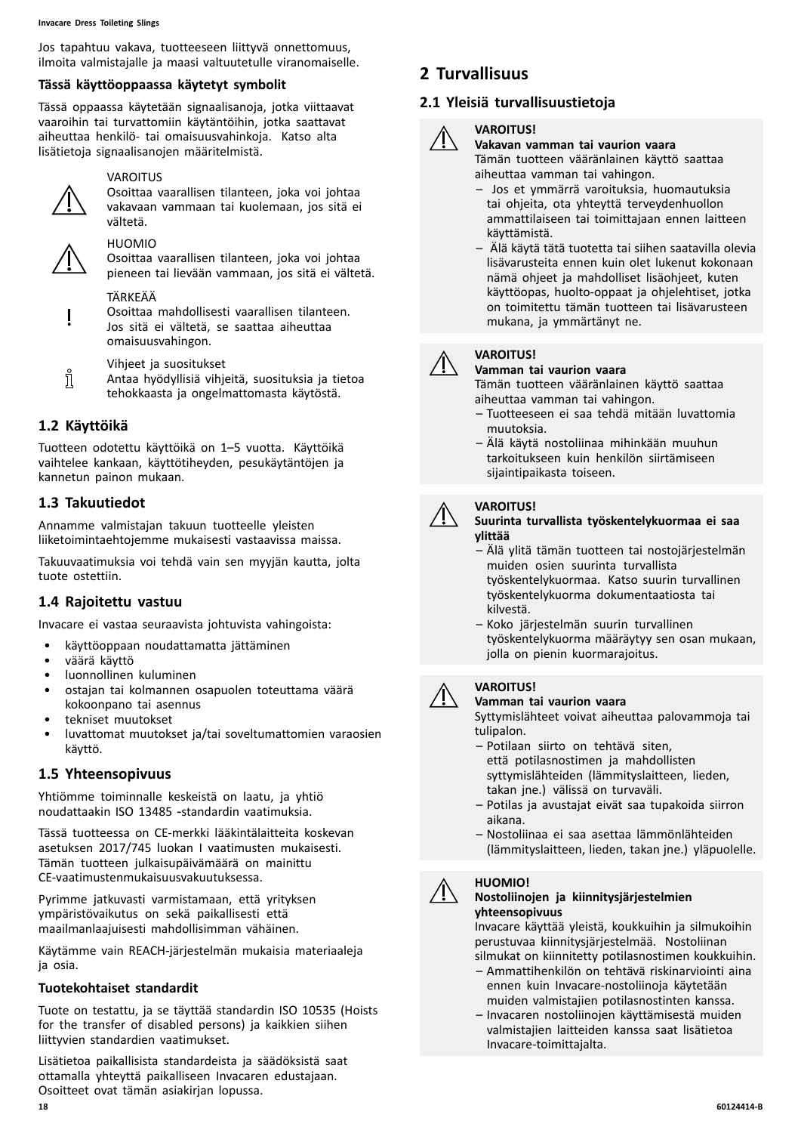#### **Invacare Dress Toileting Slings**

Jos tapahtuu vakava, tuotteeseen liittyvä onnettomuus, ilmoita valmistajalle ja maasi valtuutetulle viranomaiselle.

#### **Tässä käyttöoppaassa käytetyt symbolit**

Tässä oppaassa käytetään signaalisanoja, jotka viittaavat vaaroihin tai turvattomiin käytäntöihin, jotka saattavat aiheuttaa henkilö- tai omaisuusvahinkoja. Katso alta lisätietoja signaalisanojen määritelmistä.



#### VAROITUS

Osoittaa vaarallisen tilanteen, joka voi johtaa vakavaan vammaan tai kuolemaan, jos sitä ei vältetä.



# HUOMIO

Osoittaa vaarallisen tilanteen, joka voi johtaa pieneen tai lievään vammaan, jos sitä ei vältetä.

#### TÄRKEÄÄ

Osoittaa mahdollisesti vaarallisen tilanteen. Jos sitä ei vältetä, se saattaa aiheuttaa omaisuusvahingon.

- Vihjeet ja suositukset
- i Antaa hyödyllisiä vihjeitä, suosituksia ja tietoa tehokkaasta ja ongelmattomasta käytöstä.

# **1.2 Käyttöikä**

Tuotteen odotettu käyttöikä on 1–5 vuotta. Käyttöikä vaihtelee kankaan, käyttötiheyden, pesukäytäntöjen ja kannetun painon mukaan.

# **1.3 Takuutiedot**

Annamme valmistajan takuun tuotteelle yleisten liiketoimintaehtojemme mukaisesti vastaavissa maissa.

Takuuvaatimuksia voi tehdä vain sen myyjän kautta, jolta tuote ostettiin.

# **1.4 Rajoitettu vastuu**

Invacare ei vastaa seuraavista johtuvista vahingoista:

- käyttöoppaan noudattamatta jättäminen
- väärä käyttö
- luonnollinen kuluminen
- ostajan tai kolmannen osapuolen toteuttama väärä kokoonpano tai asennus
- tekniset muutokset
- luvattomat muutokset ja/tai soveltumattomien varaosien käyttö.

# **1.5 Yhteensopivuus**

Yhtiömme toiminnalle keskeistä on laatu, ja yhtiö noudattaakin ISO <sup>13485</sup> ‑standardin vaatimuksia.

Tässä tuotteessa on CE-merkki lääkintälaitteita koskevan asetuksen 2017/745 luokan <sup>I</sup> vaatimusten mukaisesti. Tämän tuotteen julkaisupäivämäärä on mainittu CE-vaatimustenmukaisuusvakuutuksessa.

Pyrimme jatkuvasti varmistamaan, että yrityksen ympäristövaikutus on sekä paikallisesti että maailmanlaajuisesti mahdollisimman vähäinen.

Käytämme vain REACH-järjestelmän mukaisia materiaaleja ja osia.

#### **Tuotekohtaiset standardit**

Tuote on testattu, ja se täyttää standardin ISO <sup>10535</sup> (Hoists for the transfer of disabled persons) ja kaikkien siihen liittyvien standardien vaatimukset.

Lisätietoa paikallisista standardeista ja säädöksistä saat ottamalla yhteyttä paikalliseen Invacaren edustajaan. Osoitteet ovat tämän asiakirjan lopussa.

# **<sup>2</sup> Turvallisuus**

# **2.1 Yleisiä turvallisuustietoja**

# **VAROITUS!**

**Vakavan vamman tai vaurion vaara** Tämän tuotteen vääränlainen käyttö saattaa aiheuttaa vamman tai vahingon.

- Jos et ymmärrä varoituksia, huomautuksia tai ohieita, ota yhteyttä terveydenhuollon ammattilaiseen tai toimittajaan ennen laitteen käyttämistä.
- Älä käytä tätä tuotetta tai siihen saatavilla olevia lisävarusteita ennen kuin olet lukenut kokonaan nämä ohjeet ja mahdolliset lisäohjeet, kuten käyttöopas, huolto-oppaat ja ohjelehtiset, jotka on toimitettu tämän tuotteen tai lisävarusteen mukana, ja ymmärtänyt ne.

#### **Vamman tai vaurion vaara**

Tämän tuotteen vääränlainen käyttö saattaa aiheuttaa vamman tai vahingon.

- Tuotteeseen ei saa tehdä mitään luvattomia muutoksia.
- Älä käytä nostoliinaa mihinkään muuhun tarkoitukseen kuin henkilön siirtämiseen sijaintipaikasta toiseen.

# **VAROITUS!**

**VAROITUS!**

#### **Suurinta turvallista työskentelykuormaa ei saa ylittää**

- Älä ylitä tämän tuotteen tai nostojärjestelmän muiden osien suurinta turvallista työskentelykuormaa. Katso suurin turvallinen työskentelykuorma dokumentaatiosta tai kilvestä.
- Koko järjestelmän suurin turvallinen työskentelykuorma määräytyy sen osan mukaan, jolla on pienin kuormarajoitus.



# **VAROITUS!**

**Vamman tai vaurion vaara**

Syttymislähteet voivat aiheuttaa palovammoja tai tulipalon.

- Potilaan siirto on tehtävä siten, että potilasnostimen ja mahdollisten syttymislähteiden (lämmityslaitteen, lieden, takan jne.) välissä on turvaväli.
- Potilas ja avustajat eivät saa tupakoida siirron aikana.
- Nostoliinaa ei saa asettaa lämmönlähteiden (lämmityslaitteen, lieden, takan jne.) yläpuolelle.

# **HUOMIO!**



#### **Nostoliinojen ja kiinnitysjärjestelmien yhteensopivuus**

Invacare käyttää yleistä, koukkuihin ja silmukoihin perustuvaa kiinnitysjärjestelmää. Nostoliinan silmukat on kiinnitetty potilasnostimen koukkuihin.

- Ammattihenkilön on tehtävä riskinarviointi aina ennen kuin Invacare-nostoliinoja käytetään muiden valmistajien potilasnostinten kanssa.
- Invacaren nostoliinojen käyttämisestä muiden valmistajien laitteiden kanssa saat lisätietoa Invacare-toimittajalta.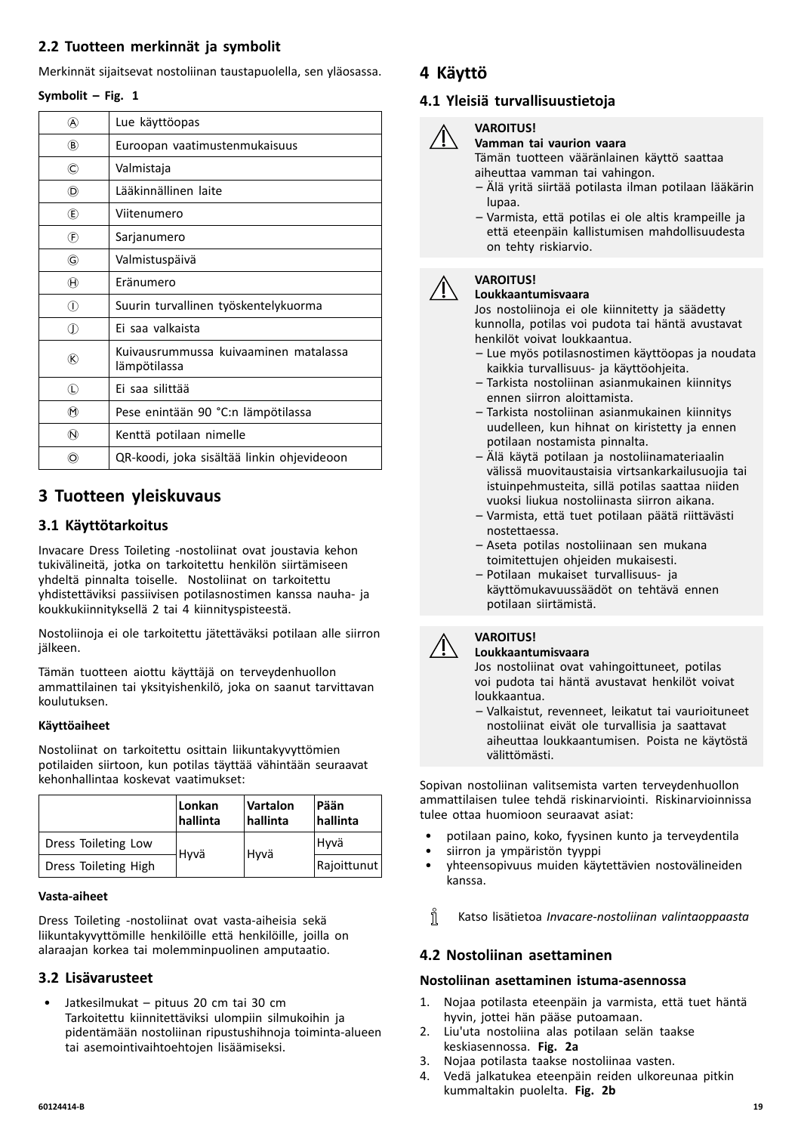# <span id="page-18-0"></span>**2.2 Tuotteen merkinnät ja symbolit**

Merkinnät sijaitsevat nostoliinan taustapuolella, sen yläosassa.

#### **Symbolit – Fig. <sup>1</sup>**

| @                           | Lue käyttöopas                                        |
|-----------------------------|-------------------------------------------------------|
| $\circledR$                 | Euroopan vaatimustenmukaisuus                         |
| $_{\mathbb{C}}$             | Valmistaja                                            |
| (D)                         | Lääkinnällinen laite                                  |
| Œ)                          | Viitenumero                                           |
| $\left( \widehat{F}\right)$ | Sarjanumero                                           |
| G                           | Valmistuspäivä                                        |
| $^\circledR$                | Eränumero                                             |
| ∩                           | Suurin turvallinen työskentelykuorma                  |
| ⊕                           | Ei saa valkaista                                      |
| ®                           | Kuivausrummussa kuivaaminen matalassa<br>lämpötilassa |
| $\mathbb O$                 | Ei saa silittää                                       |
| $^{\textregistered}$        | Pese enintään 90 °C:n lämpötilassa                    |
| $^\circledR$                | Kenttä potilaan nimelle                               |
| O)                          | QR-koodi, joka sisältää linkin ohjevideoon            |

# **<sup>3</sup> Tuotteen yleiskuvaus**

# **3.1 Käyttötarkoitus**

Invacare Dress Toileting -nostoliinat ovat joustavia kehon tukivälineitä, jotka on tarkoitettu henkilön siirtämiseen yhdeltä pinnalta toiselle. Nostoliinat on tarkoitettu yhdistettäviksi passiivisen potilasnostimen kanssa nauha- ja koukkukiinnityksellä <sup>2</sup> tai <sup>4</sup> kiinnityspisteestä.

Nostoliinoja ei ole tarkoitettu jätettäväksi potilaan alle siirron jälkeen.

Tämän tuotteen aiottu käyttäjä on terveydenhuollon ammattilainen tai yksityishenkilö, joka on saanut tarvittavan koulutuksen.

# **Käyttöaiheet**

Nostoliinat on tarkoitettu osittain liikuntakyvyttömien potilaiden siirtoon, kun potilas täyttää vähintään seuraavat kehonhallintaa koskevat vaatimukset:

|                      | Lonkan<br>hallinta | Vartalon<br>hallinta | Pään<br>hallinta |
|----------------------|--------------------|----------------------|------------------|
| Dress Toileting Low  |                    |                      | Hyvä             |
| Dress Toileting High | Hyvä               | Hyvä                 | Rajoittunut      |

#### **Vasta-aiheet**

Dress Toileting -nostoliinat ovat vasta-aiheisia sekä liikuntakyvyttömille henkilöille että henkilöille, joilla on alaraajan korkea tai molemminpuolinen amputaatio.

# **3.2 Lisävarusteet**

• Jatkesilmukat – pituus <sup>20</sup> cm tai <sup>30</sup> cm Tarkoitettu kiinnitettäviksi ulompiin silmukoihin ja pidentämään nostoliinan ripustushihnoja toiminta-alueen tai asemointivaihtoehtojen lisäämiseksi.

# **<sup>4</sup> Käyttö**

# **4.1 Yleisiä turvallisuustietoja**

#### **VAROITUS! Vamman tai vaurion vaara**

Tämän tuotteen vääränlainen käyttö saattaa aiheuttaa vamman tai vahingon.

- Älä yritä siirtää potilasta ilman potilaan lääkärin lupaa.
- Varmista, että potilas ei ole altis krampeille ja että eteenpäin kallistumisen mahdollisuudesta on tehty riskiarvio.

#### **VAROITUS! Loukkaantumisvaara**

Jos nostoliinoja ei ole kiinnitetty ja säädetty kunnolla, potilas voi pudota tai häntä avustavat henkilöt voivat loukkaantua.

- Lue myös potilasnostimen käyttöopas ja noudata kaikkia turvallisuus- ja käyttöohjeita.
- Tarkista nostoliinan asianmukainen kiinnitys ennen siirron aloittamista.
- Tarkista nostoliinan asianmukainen kiinnitys uudelleen, kun hihnat on kiristetty ja ennen potilaan nostamista pinnalta.
- Älä käytä potilaan ja nostoliinamateriaalin välissä muovitaustaisia virtsankarkailusuojia tai istuinpehmusteita, sillä potilas saattaa niiden vuoksi liukua nostoliinasta siirron aikana.
- Varmista, että tuet potilaan päätä riittävästi nostettaessa.
- Aseta potilas nostoliinaan sen mukana toimitettujen ohjeiden mukaisesti.
- Potilaan mukaiset turvallisuus- ja käyttömukavuussäädöt on tehtävä ennen potilaan siirtämistä.



# **VAROITUS!**

**Loukkaantumisvaara**

Jos nostoliinat ovat vahingoittuneet, potilas voi pudota tai häntä avustavat henkilöt voivat loukkaantua.

– Valkaistut, revenneet, leikatut tai vaurioituneet nostoliinat eivät ole turvallisia ja saattavat aiheuttaa loukkaantumisen. Poista ne käytöstä välittömästi.

Sopivan nostoliinan valitsemista varten terveydenhuollon ammattilaisen tulee tehdä riskinarviointi. Riskinarvioinnissa tulee ottaa huomioon seuraavat asiat:

- potilaan paino, koko, fyysinen kunto ja terveydentila
- siirron ja ympäristön tyyppi
- yhteensopivuus muiden käytettävien nostovälineiden kanssa.
- ĭ Katso lisätietoa *Invacare-nostoliinan valintaoppaasta*

# **4.2 Nostoliinan asettaminen**

# **Nostoliinan asettaminen istuma-asennossa**

- 1. Nojaa potilasta eteenpäin ja varmista, että tuet häntä hyvin, jottei hän pääse putoamaan.
- 2. Liu'uta nostoliina alas potilaan selän taakse keskiasennossa. **Fig. 2a**
- 3. Nojaa potilasta taakse nostoliinaa vasten.
- 4. Vedä jalkatukea eteenpäin reiden ulkoreunaa pitkin kummaltakin puolelta. **Fig. 2b**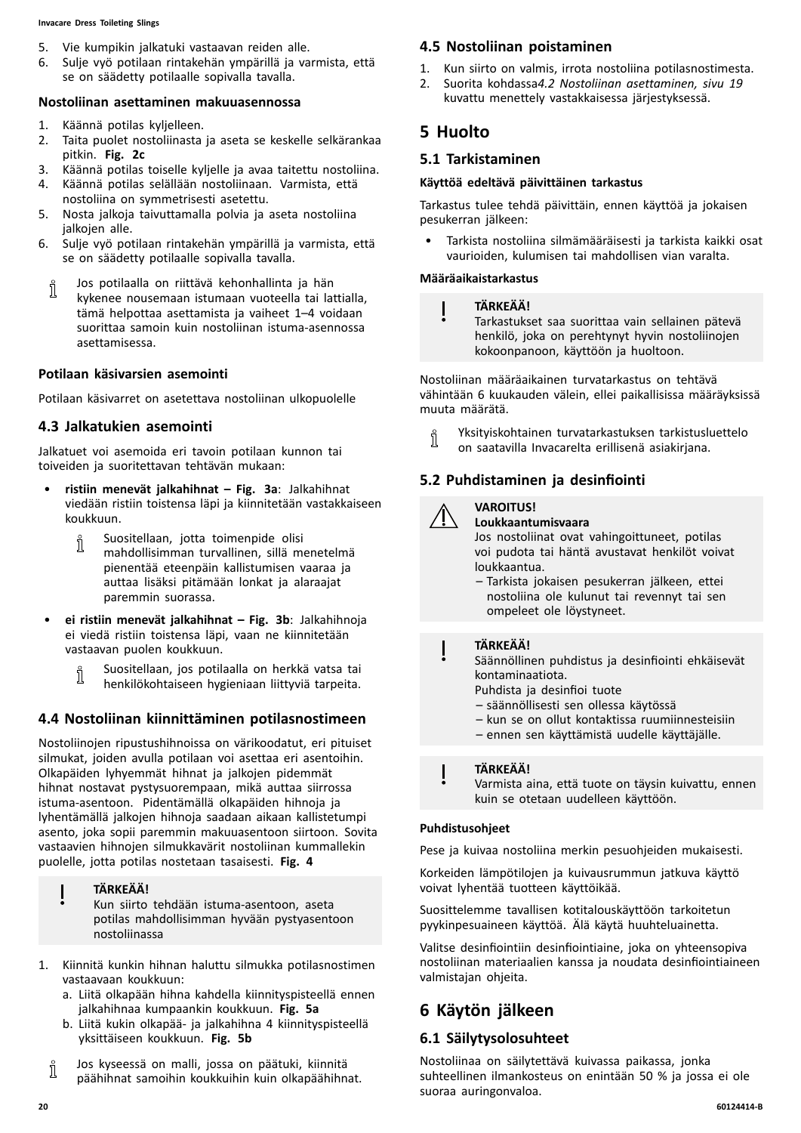#### <span id="page-19-0"></span>**Invacare Dress Toileting Slings**

- 5. Vie kumpikin jalkatuki vastaavan reiden alle.<br>6. Sulie vvö potilaan rintakehän vmpärillä ja va
- 6. Sulje vyö potilaan rintakehän ympärillä ja varmista, että se on säädetty potilaalle sopivalla tavalla.

#### **Nostoliinan asettaminen makuuasennossa**

- 1. Käännä potilas kyljelleen.<br>2. Taita puolet nostoliinasta
- Taita puolet nostoliinasta ja aseta se keskelle selkärankaa pitkin. **Fig. 2c**
- 3. Käännä potilas toiselle kyljelle ja avaa taitettu nostoliina.<br>4. Käännä potilas selällään nostoliinaan. Varmista, että
- 4. Käännä potilas selällään nostoliinaan. Varmista, että nostoliina on symmetrisesti asetettu.
- 5. Nosta jalkoja taivuttamalla polvia ja aseta nostoliina jalkojen alle.
- 6. Sulje vyö potilaan rintakehän ympärillä ja varmista, että se on säädetty potilaalle sopivalla tavalla.
- Jos potilaalla on riittävä kehonhallinta ja hän า kykenee nousemaan istumaan vuoteella tai lattialla, tämä helpottaa asettamista ja vaiheet 1–4 voidaan suorittaa samoin kuin nostoliinan istuma-asennossa asettamisessa.

# **Potilaan käsivarsien asemointi**

Potilaan käsivarret on asetettava nostoliinan ulkopuolelle

# **4.3 Jalkatukien asemointi**

Jalkatuet voi asemoida eri tavoin potilaan kunnon tai toiveiden ja suoritettavan tehtävän mukaan:

- • **ristiin menevät jalkahihnat – Fig. 3a**: Jalkahihnat viedään ristiin toistensa läpi ja kiinnitetään vastakkaiseen koukkuun.
	- Suositellaan, jotta toimenpide olisi ĭ mahdollisimman turvallinen, sillä menetelmä pienentää eteenpäin kallistumisen vaaraa ja auttaa lisäksi pitämään lonkat ja alaraajat paremmin suorassa.
- • **ei ristiin menevät jalkahihnat – Fig. 3b**: Jalkahihnoja ei viedä ristiin toistensa läpi, vaan ne kiinnitetään vastaavan puolen koukkuun.
	- Suositellaan, jos potilaalla on herkkä vatsa tai Ĭ henkilökohtaiseen hygieniaan liittyviä tarpeita.

# **4.4 Nostoliinan kiinnittäminen potilasnostimeen**

Nostoliinojen ripustushihnoissa on värikoodatut, eri pituiset silmukat, joiden avulla potilaan voi asettaa eri asentoihin. Olkapäiden lyhyemmät hihnat ja jalkojen pidemmät hihnat nostavat pystysuorempaan, mikä auttaa siirrossa istuma-asentoon. Pidentämällä olkapäiden hihnoja ja lyhentämällä jalkojen hihnoja saadaan aikaan kallistetumpi asento, joka sopii paremmin makuuasentoon siirtoon. Sovita vastaavien hihnojen silmukkavärit nostoliinan kummallekin puolelle, jotta potilas nostetaan tasaisesti. **Fig. <sup>4</sup>**

# **TÄRKEÄÄ!**

Kun siirto tehdään istuma-asentoon, aseta potilas mahdollisimman hyvään pystyasentoon nostoliinassa

- 1. Kiinnitä kunkin hihnan haluttu silmukka potilasnostimen vastaavaan koukkuun:
	- a. Liitä olkapään hihna kahdella kiinnityspisteellä ennen jalkahihnaa kumpaankin koukkuun. **Fig. 5a**
	- b. Liitä kukin olkapää- ja jalkahihna <sup>4</sup> kiinnityspisteellä yksittäiseen koukkuun. **Fig. 5b**
	- Jos kyseessä on malli, jossa on päätuki, kiinnitä ĭ päähihnat samoihin koukkuihin kuin olkapäähihnat.

# **4.5 Nostoliinan poistaminen**

- 1. Kun siirto on valmis, irrota nostoliina potilasnostimesta.<br>2. Suorita kohdassa4.2 Nostoliinan asettaminen. sivu 19
- 2. Suorita kohdassa*4.2 Nostoliinan [asettaminen,](#page-18-0) sivu [19](#page-18-0)* kuvattu menettely vastakkaisessa järjestyksessä.

# **<sup>5</sup> Huolto**

# **5.1 Tarkistaminen**

#### **Käyttöä edeltävä päivittäinen tarkastus**

Tarkastus tulee tehdä päivittäin, ennen käyttöä ja jokaisen pesukerran jälkeen:

• Tarkista nostoliina silmämääräisesti ja tarkista kaikki osat vaurioiden, kulumisen tai mahdollisen vian varalta.

#### **Määräaikaistarkastus**

#### **TÄRKEÄÄ!**

Tarkastukset saa suorittaa vain sellainen pätevä henkilö, joka on perehtynyt hyvin nostoliinojen kokoonpanoon, käyttöön ja huoltoon.

Nostoliinan määräaikainen turvatarkastus on tehtävä vähintään <sup>6</sup> kuukauden välein, ellei paikallisissa määräyksissä muuta määrätä.

Yksityiskohtainen turvatarkastuksen tarkistusluettelo ĭ on saatavilla Invacarelta erillisenä asiakirjana.

# **5.2 Puhdistaminen ja desinfiointi**

#### **VAROITUS! Loukkaantumisvaara**

Jos nostoliinat ovat vahingoittuneet, potilas voi pudota tai häntä avustavat henkilöt voivat loukkaantua.

– Tarkista jokaisen pesukerran jälkeen, ettei nostoliina ole kulunut tai revennyt tai sen ompeleet ole löystyneet.

#### **TÄRKEÄÄ!**

 $\mathbf I$ 

Säännöllinen puhdistus ja desinfiointi ehkäisevät kontaminaatiota.

- Puhdista ja desinfioi tuote
- säännöllisesti sen ollessa käytössä
- kun se on ollut kontaktissa ruumiinnesteisiin
- ennen sen käyttämistä uudelle käyttäjälle.

# **TÄRKEÄÄ!**

Varmista aina, että tuote on täysin kuivattu, ennen kuin se otetaan uudelleen käyttöön.

#### **Puhdistusohjeet**

Pese ja kuivaa nostoliina merkin pesuohjeiden mukaisesti.

Korkeiden lämpötilojen ja kuivausrummun jatkuva käyttö voivat lyhentää tuotteen käyttöikää.

Suosittelemme tavallisen kotitalouskäyttöön tarkoitetun pyykinpesuaineen käyttöä. Älä käytä huuhteluainetta.

Valitse desinfiointiin desinfiointiaine, joka on yhteensopiva nostoliinan materiaalien kanssa ja noudata desinfiointiaineen valmistajan ohjeita.

# **<sup>6</sup> Käytön jälkeen**

# **6.1 Säilytysolosuhteet**

Nostoliinaa on säilytettävä kuivassa paikassa, jonka suhteellinen ilmankosteus on enintään <sup>50</sup> % ja jossa ei ole suoraa auringonvaloa.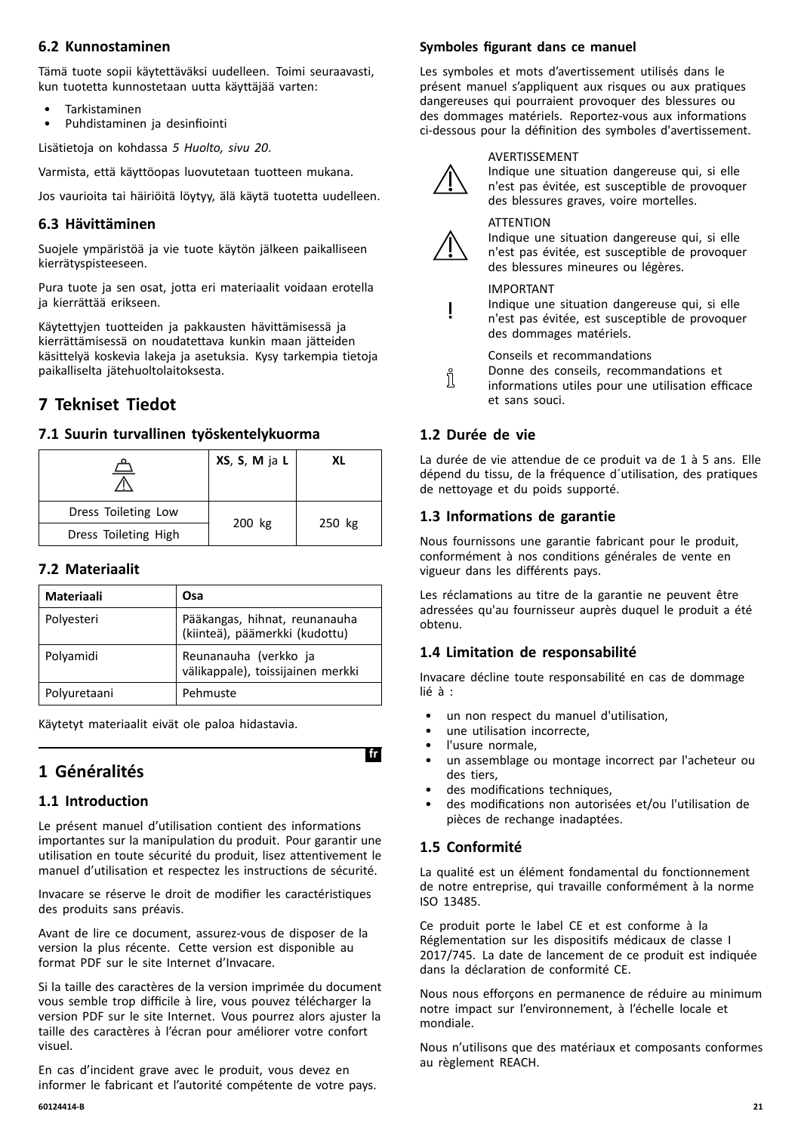# <span id="page-20-0"></span>**6.2 Kunnostaminen**

Tämä tuote sopii käytettäväksi uudelleen. Toimi seuraavasti, kun tuotetta kunnostetaan uutta käyttäjää varten:

- Tarkistaminen
- Puhdistaminen ja desinfiointi

Lisätietoja on kohdassa *<sup>5</sup> [Huolto,](#page-19-0) sivu [20](#page-19-0)*.

Varmista, että käyttöopas luovutetaan tuotteen mukana.

Jos vaurioita tai häiriöitä löytyy, älä käytä tuotetta uudelleen.

# **6.3 Hävittäminen**

Suojele ympäristöä ja vie tuote käytön jälkeen paikalliseen kierrätyspisteeseen.

Pura tuote ja sen osat, jotta eri materiaalit voidaan erotella ja kierrättää erikseen.

Käytettyjen tuotteiden ja pakkausten hävittämisessä ja kierrättämisessä on noudatettava kunkin maan jätteiden käsittelyä koskevia lakeja ja asetuksia. Kysy tarkempia tietoja paikalliselta jätehuoltolaitoksesta.

# **<sup>7</sup> Tekniset Tiedot**

# **7.1 Suurin turvallinen työskentelykuorma**

| ═                    | XS, S, M ja L | XL     |  |
|----------------------|---------------|--------|--|
| Dress Toileting Low  | 200 kg        |        |  |
| Dress Toileting High |               | 250 kg |  |

# **7.2 Materiaalit**

| <b>Materiaali</b> | Osa                                                             |
|-------------------|-----------------------------------------------------------------|
| Polyesteri        | Pääkangas, hihnat, reunanauha<br>(kiinteä), päämerkki (kudottu) |
| Polyamidi         | Reunanauha (verkko ja<br>välikappale), toissijainen merkki      |
| Polyuretaani      | Pehmuste                                                        |

Käytetyt materiaalit eivät ole paloa hidastavia.

# **<sup>1</sup> Généralités**

# **1.1 Introduction**

Le présent manuel d'utilisation contient des informations importantes sur la manipulation du produit. Pour garantir une utilisation en toute sécurité du produit, lisez attentivement le manuel d'utilisation et respectez les instructions de sécurité.

Invacare se réserve le droit de modifier les caractéristiques des produits sans préavis.

Avant de lire ce document, assurez-vous de disposer de la version la plus récente. Cette version est disponible au format PDF sur le site Internet d'Invacare.

Si la taille des caractères de la version imprimée du document vous semble trop difficile <sup>à</sup> lire, vous pouvez télécharger la version PDF sur le site Internet. Vous pourrez alors ajuster la taille des caractères <sup>à</sup> l'écran pour améliorer votre confort visuel.

En cas d'incident grave avec le produit, vous devez en informer le fabricant et l'autorité compétente de votre pays.

# **Symboles figurant dans ce manuel**

Les symboles et mots d'avertissement utilisés dans le présent manuel <sup>s</sup>'appliquent aux risques ou aux pratiques dangereuses qui pourraient provoquer des blessures ou des dommages matériels. Reportez-vous aux informations ci-dessous pour la définition des symboles d'avertissement.



#### AVERTISSEMENT

Indique une situation dangereuse qui, si elle <sup>n</sup>'est pas évitée, est susceptible de provoquer des blessures graves, voire mortelles.



# **ATTFNTION**

Indique une situation dangereuse qui, si elle <sup>n</sup>'est pas évitée, est susceptible de provoquer des blessures mineures ou légères.

#### IMPORTANT

Indique une situation dangereuse qui, si elle <sup>n</sup>'est pas évitée, est susceptible de provoquer des dommages matériels.

Conseils et recommandations

- Donne des conseils, recommandations et
- ที informations utiles pour une utilisation efficace et sans souci.

# **1.2 Durée de vie**

La durée de vie attendue de ce produit va de <sup>1</sup> <sup>à</sup> <sup>5</sup> ans. Elle dépend du tissu, de la fréquence d´utilisation, des pratiques de nettoyage et du poids supporté.

# **1.3 Informations de garantie**

Nous fournissons une garantie fabricant pour le produit, conformément <sup>à</sup> nos conditions générales de vente en vigueur dans les différents pays.

Les réclamations au titre de la garantie ne peuvent être adressées qu'au fournisseur auprès duquel le produit <sup>a</sup> été obtenu.

# **1.4 Limitation de responsabilité**

Invacare décline toute responsabilité en cas de dommage lié <sup>à</sup> :

- un non respect du manuel d'utilisation,
- une utilisation incorrecte.
- l'usure normale.
- un assemblage ou montage incorrect par l'acheteur ou des tiers,
- des modifications techniques.
- des modifications non autorisées et/ou l'utilisation de pièces de rechange inadaptées.

# **1.5 Conformité**

La qualité est un élément fondamental du fonctionnement de notre entreprise, qui travaille conformément <sup>à</sup> la norme ISO 13485.

Ce produit porte le label CE et est conforme <sup>à</sup> la Réglementation sur les dispositifs médicaux de classe <sup>I</sup> 2017/745. La date de lancement de ce produit est indiquée dans la déclaration de conformité CE.

Nous nous efforçons en permanence de réduire au minimum notre impact sur l'environnement, <sup>à</sup> l'échelle locale et mondiale.

Nous <sup>n</sup>'utilisons que des matériaux et composants conformes au règlement REACH.

# $fr$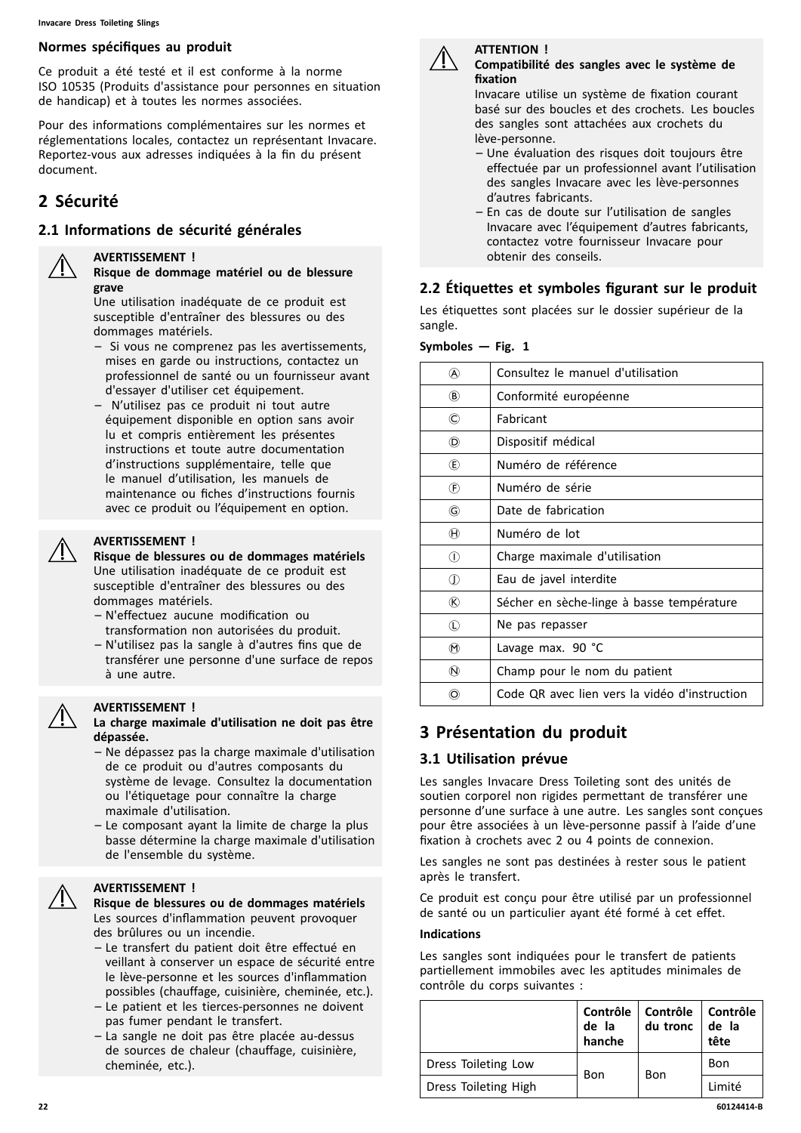#### **Normes spécifiques au produit**

Ce produit <sup>a</sup> été testé et il est conforme <sup>à</sup> la norme ISO <sup>10535</sup> (Produits d'assistance pour personnes en situation de handicap) et <sup>à</sup> toutes les normes associées.

Pour des informations complémentaires sur les normes et réglementations locales, contactez un représentant Invacare. Reportez-vous aux adresses indiquées <sup>à</sup> la fin du présent document.

# **<sup>2</sup> Sécurité**

#### **2.1 Informations de sécurité générales**

#### **AVERTISSEMENT !**

**Risque de dommage matériel ou de blessure grave**

Une utilisation inadéquate de ce produit est susceptible d'entraîner des blessures ou des dommages matériels.

- Si vous ne comprenez pas les avertissements, mises en garde ou instructions, contactez un professionnel de santé ou un fournisseur avant d'essayer d'utiliser cet équipement.
- N'utilisez pas ce produit ni tout autre équipement disponible en option sans avoir lu et compris entièrement les présentes instructions et toute autre documentation d'instructions supplémentaire, telle que le manuel d'utilisation, les manuels de maintenance ou fiches d'instructions fournis avec ce produit ou l'équipement en option.

#### **AVERTISSEMENT !**

**Risque de blessures ou de dommages matériels** Une utilisation inadéquate de ce produit est susceptible d'entraîner des blessures ou des dommages matériels.

- N'effectuez aucune modification ou transformation non autorisées du produit.
- N'utilisez pas la sangle <sup>à</sup> d'autres fins que de transférer une personne d'une surface de repos <sup>à</sup> une autre.



#### **AVERTISSEMENT !**

**La charge maximale d'utilisation ne doit pas être dépassée.**

- Ne dépassez pas la charge maximale d'utilisation de ce produit ou d'autres composants du système de levage. Consultez la documentation ou l'étiquetage pour connaître la charge maximale d'utilisation.
- Le composant ayant la limite de charge la plus basse détermine la charge maximale d'utilisation de l'ensemble du système.

#### **AVERTISSEMENT !**

**Risque de blessures ou de dommages matériels** Les sources d'inflammation peuvent provoquer des brûlures ou un incendie.

- Le transfert du patient doit être effectué en veillant <sup>à</sup> conserver un espace de sécurité entre le lève-personne et les sources d'inflammation possibles (chauffage, cuisinière, cheminée, etc.).
- Le patient et les tierces-personnes ne doivent pas fumer pendant le transfert.
- La sangle ne doit pas être placée au-dessus de sources de chaleur (chauffage, cuisinière, cheminée, etc.).



#### **ATTENTION ! Compatibilité des sangles avec le système de fixation**

Invacare utilise un système de fixation courant basé sur des boucles et des crochets. Les boucles des sangles sont attachées aux crochets du lève-personne.

- Une évaluation des risques doit toujours être effectuée par un professionnel avant l'utilisation des sangles Invacare avec les lève-personnes d'autres fabricants.
- En cas de doute sur l'utilisation de sangles Invacare avec l'équipement d'autres fabricants, contactez votre fournisseur Invacare pour obtenir des conseils.

# **2.2 Étiquettes et symboles figurant sur le produit**

Les étiquettes sont placées sur le dossier supérieur de la sangle.

| Symboles — Fig. 1 |  |  |  |
|-------------------|--|--|--|
|-------------------|--|--|--|

| @                          | Consultez le manuel d'utilisation             |
|----------------------------|-----------------------------------------------|
| $\circledR$                | Conformité européenne                         |
| ©                          | <b>Fabricant</b>                              |
| (D)                        | Dispositif médical                            |
| (E)                        | Numéro de référence                           |
| $\left(\mathsf{F}\right)$  | Numéro de série                               |
| G                          | Date de fabrication                           |
| $^\circledR$               | Numéro de lot                                 |
| $\circled{\scriptstyle 0}$ | Charge maximale d'utilisation                 |
| $\mathbb O$                | Eau de javel interdite                        |
| ®                          | Sécher en sèche-linge à basse température     |
| $\left( L\right)$          | Ne pas repasser                               |
| $^{\textregistered}$       | Lavage max. 90 °C                             |
| $\circledR$                | Champ pour le nom du patient                  |
| O)                         | Code QR avec lien vers la vidéo d'instruction |

# **<sup>3</sup> Présentation du produit**

#### **3.1 Utilisation prévue**

Les sangles Invacare Dress Toileting sont des unités de soutien corporel non rigides permettant de transférer une personne d'une surface <sup>à</sup> une autre. Les sangles sont conçues pour être associées <sup>à</sup> un lève-personne passif <sup>à</sup> l'aide d'une fixation <sup>à</sup> crochets avec <sup>2</sup> ou <sup>4</sup> points de connexion.

Les sangles ne sont pas destinées <sup>à</sup> rester sous le patient après le transfert.

Ce produit est conçu pour être utilisé par un professionnel de santé ou un particulier ayant été formé <sup>à</sup> cet effet.

#### **Indications**

Les sangles sont indiquées pour le transfert de patients partiellement immobiles avec les aptitudes minimales de contrôle du corps suivantes :

|                      | de la<br>hanche | Contrôle   Contrôle  <br>du tronc | Contrôle<br>de la<br>tête |
|----------------------|-----------------|-----------------------------------|---------------------------|
| Dress Toileting Low  |                 | Bon                               | Bon                       |
| Dress Toileting High | Bon             |                                   | Limité                    |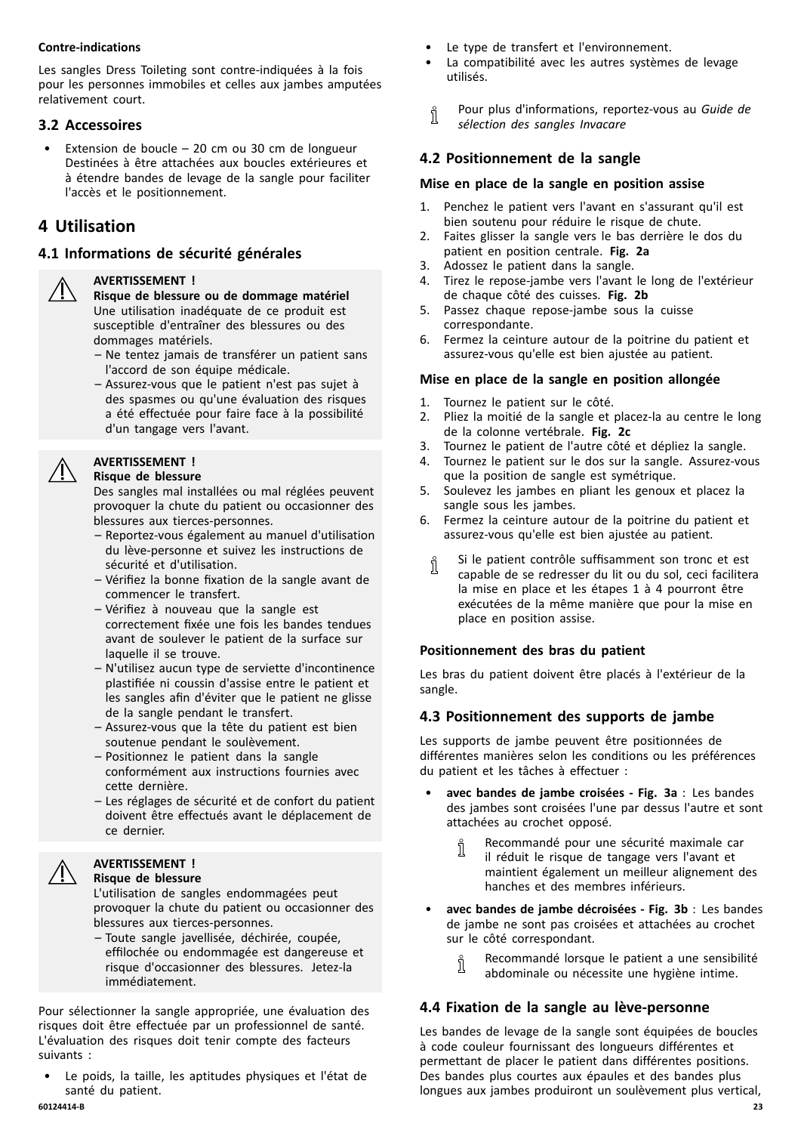#### <span id="page-22-0"></span>**Contre-indications**

Les sangles Dress Toileting sont contre-indiquées <sup>à</sup> la fois pour les personnes immobiles et celles aux jambes amputées relativement court.

# **3.2 Accessoires**

• Extension de boucle – <sup>20</sup> cm ou <sup>30</sup> cm de longueur Destinées <sup>à</sup> être attachées aux boucles extérieures et <sup>à</sup> étendre bandes de levage de la sangle pour faciliter l'accès et le positionnement.

# **<sup>4</sup> Utilisation**

# **4.1 Informations de sécurité générales**

#### **AVERTISSEMENT !**

**Risque de blessure ou de dommage matériel** Une utilisation inadéquate de ce produit est susceptible d'entraîner des blessures ou des dommages matériels.

- Ne tentez jamais de transférer un patient sans l'accord de son équipe médicale.
- Assurez-vous que le patient <sup>n</sup>'est pas sujet <sup>à</sup> des spasmes ou qu'une évaluation des risques <sup>a</sup> été effectuée pour faire face <sup>à</sup> la possibilité d'un tangage vers l'avant.

#### **AVERTISSEMENT !**

#### **Risque de blessure**

Des sangles mal installées ou mal réglées peuvent provoquer la chute du patient ou occasionner des blessures aux tierces-personnes.

- Reportez-vous également au manuel d'utilisation du lève-personne et suivez les instructions de sécurité et d'utilisation.
- Vérifiez la bonne fixation de la sangle avant de commencer le transfert.
- Vérifiez <sup>à</sup> nouveau que la sangle est correctement fixée une fois les bandes tendues avant de soulever le patient de la surface sur laquelle il se trouve.
- N'utilisez aucun type de serviette d'incontinence plastifiée ni coussin d'assise entre le patient et les sangles afin d'éviter que le patient ne glisse de la sangle pendant le transfert.
- Assurez-vous que la tête du patient est bien soutenue pendant le soulèvement.
- Positionnez le patient dans la sangle conformément aux instructions fournies avec cette dernière.
- Les réglages de sécurité et de confort du patient doivent être effectués avant le déplacement de ce dernier.

#### **AVERTISSEMENT ! Risque de blessure**

L'utilisation de sangles endommagées peut provoquer la chute du patient ou occasionner des blessures aux tierces-personnes.

– Toute sangle javellisée, déchirée, coupée, effilochée ou endommagée est dangereuse et risque d'occasionner des blessures. Jetez-la immédiatement.

Pour sélectionner la sangle appropriée, une évaluation des risques doit être effectuée par un professionnel de santé. L'évaluation des risques doit tenir compte des facteurs suivants :

Le poids, la taille, les aptitudes physiques et l'état de santé du patient.<br>60124414-B

- Le type de transfert et l'environnement.
- La compatibilité avec les autres systèmes de levage utilisés.
- Pour plus d'informations, reportez-vous au *Guide de* ĭ *sélection des sangles Invacare*

# **4.2 Positionnement de la sangle**

#### **Mise en place de la sangle en position assise**

- 1. Penchez le patient vers l'avant en <sup>s</sup>'assurant qu'il est bien soutenu pour réduire le risque de chute.
- 2. Faites glisser la sangle vers le bas derrière le dos du patient en position centrale. **Fig. 2a**
- 3. Adossez le patient dans la sangle.
- 4. Tirez le repose-jambe vers l'avant le long de l'extérieur de chaque côté des cuisses. **Fig. 2b**
- 5. Passez chaque repose-jambe sous la cuisse correspondante.
- 6. Fermez la ceinture autour de la poitrine du patient et assurez-vous qu'elle est bien ajustée au patient.

# **Mise en place de la sangle en position allongée**

- 1. Tournez le patient sur le côté.<br>2. Pliez la moitié de la sangle et
- Pliez la moitié de la sangle et placez-la au centre le long de la colonne vertébrale. **Fig. 2c**
- 3. Tournez le patient de l'autre côté et dépliez la sangle.
- Tournez le patient sur le dos sur la sangle. Assurez-vous que la position de sangle est symétrique.
- 5. Soulevez les jambes en pliant les genoux et placez la sangle sous les jambes.
- 6. Fermez la ceinture autour de la poitrine du patient et assurez-vous qu'elle est bien ajustée au patient.
	- Si le patient contrôle suffisamment son tronc et est Ĭ capable de se redresser du lit ou du sol, ceci facilitera la mise en place et les étapes <sup>1</sup> <sup>à</sup> <sup>4</sup> pourront être exécutées de la même manière que pour la mise en place en position assise.

# **Positionnement des bras du patient**

Les bras du patient doivent être placés <sup>à</sup> l'extérieur de la sangle.

# **4.3 Positionnement des supports de jambe**

Les supports de jambe peuvent être positionnées de différentes manières selon les conditions ou les préférences du patient et les tâches <sup>à</sup> effectuer :

- • **avec bandes de jambe croisées - Fig. 3a** : Les bandes des jambes sont croisées l'une par dessus l'autre et sont attachées au crochet opposé.
	- Recommandé pour une sécurité maximale car Ĭ il réduit le risque de tangage vers l'avant et maintient également un meilleur alignement des hanches et des membres inférieurs.
- • **avec bandes de jambe décroisées - Fig. 3b** : Les bandes de jambe ne sont pas croisées et attachées au crochet sur le côté correspondant.
	- Recommandé lorsque le patient <sup>a</sup> une sensibilité ĭ
	- abdominale ou nécessite une hygiène intime.

# **4.4 Fixation de la sangle au lève-personne**

Les bandes de levage de la sangle sont équipées de boucles <sup>à</sup> code couleur fournissant des longueurs différentes et permettant de placer le patient dans différentes positions. Des bandes plus courtes aux épaules et des bandes plus longues aux jambes produiront un soulèvement plus vertical,

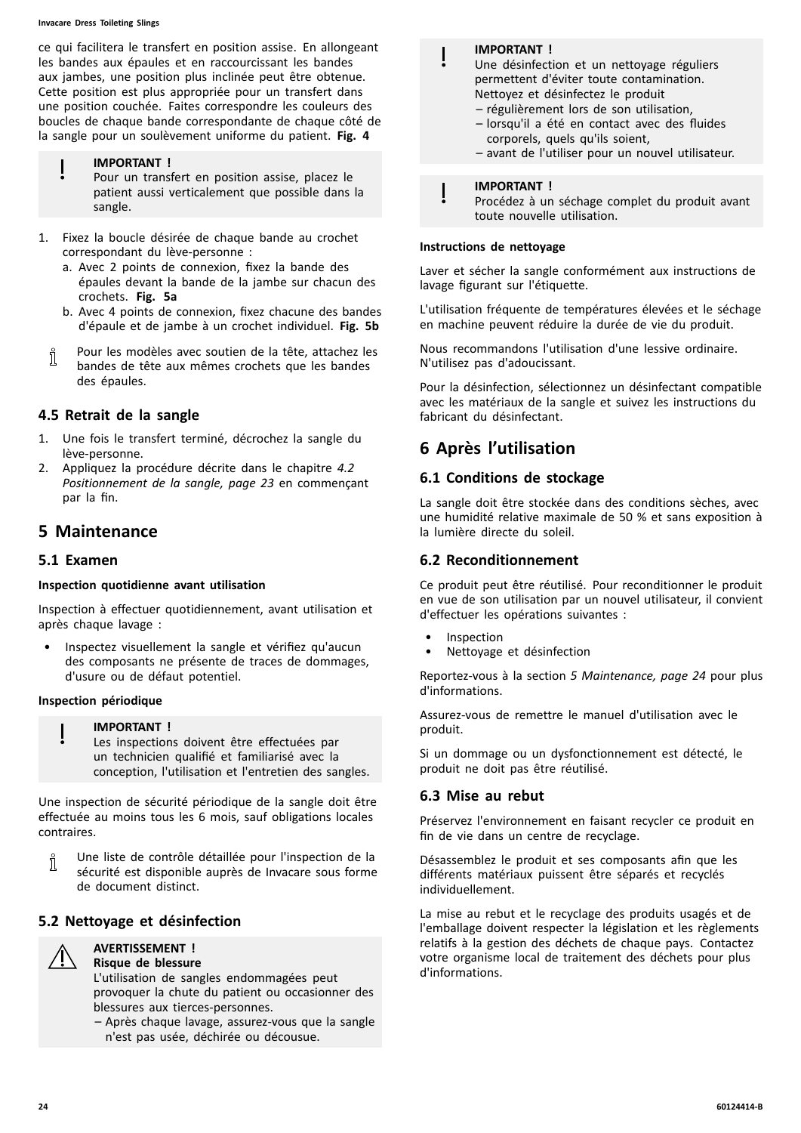#### **Invacare Dress Toileting Slings**

ce qui facilitera le transfert en position assise. En allongeant les bandes aux épaules et en raccourcissant les bandes aux jambes, une position plus inclinée peut être obtenue. Cette position est plus appropriée pour un transfert dans une position couchée. Faites correspondre les couleurs des boucles de chaque bande correspondante de chaque côté de la sangle pour un soulèvement uniforme du patient. **Fig. <sup>4</sup>**

#### **IMPORTANT !**

Pour un transfert en position assise, placez le patient aussi verticalement que possible dans la sangle.

- 1. Fixez la boucle désirée de chaque bande au crochet correspondant du lève-personne :
	- a. Avec <sup>2</sup> points de connexion, fixez la bande des épaules devant la bande de la jambe sur chacun des crochets. **Fig. 5a**
	- b. Avec <sup>4</sup> points de connexion, fixez chacune des bandes d'épaule et de jambe <sup>à</sup> un crochet individuel. **Fig. 5b**
- Pour les modèles avec soutien de la tête, attachez les Ī bandes de tête aux mêmes crochets que les bandes des épaules.

# **4.5 Retrait de la sangle**

- 1. Une fois le transfert terminé, décrochez la sangle du lève-personne.
- 2. Appliquez la procédure décrite dans le chapitre *[4.2](#page-22-0) [Positionnement](#page-22-0) de la sangle, page [23](#page-22-0)* en commençant par la fin.

# **<sup>5</sup> Maintenance**

#### **5.1 Examen**

#### **Inspection quotidienne avant utilisation**

Inspection <sup>à</sup> effectuer quotidiennement, avant utilisation et après chaque lavage :

Inspectez visuellement la sangle et vérifiez qu'aucun des composants ne présente de traces de dommages, d'usure ou de défaut potentiel.

#### **Inspection périodique**

#### **IMPORTANT !**

Les inspections doivent être effectuées par un technicien qualifié et familiarisé avec la conception, l'utilisation et l'entretien des sangles.

Une inspection de sécurité périodique de la sangle doit être effectuée au moins tous les <sup>6</sup> mois, sauf obligations locales contraires.

Une liste de contrôle détaillée pour l'inspection de la า sécurité est disponible auprès de Invacare sous forme de document distinct.

# **5.2 Nettoyage et désinfection**



#### **AVERTISSEMENT ! Risque de blessure**

L'utilisation de sangles endommagées peut provoquer la chute du patient ou occasionner des blessures aux tierces-personnes.

– Après chaque lavage, assurez-vous que la sangle <sup>n</sup>'est pas usée, déchirée ou décousue.

| <b>IMPORTANT!</b><br>Une désinfection et un nettoyage réguliers<br>permettent d'éviter toute contamination.<br>Nettoyez et désinfectez le produit<br>- régulièrement lors de son utilisation,<br>- lorsqu'il a été en contact avec des fluides<br>corporels, quels qu'ils soient,<br>- avant de l'utiliser pour un nouvel utilisateur. |
|----------------------------------------------------------------------------------------------------------------------------------------------------------------------------------------------------------------------------------------------------------------------------------------------------------------------------------------|
|                                                                                                                                                                                                                                                                                                                                        |
| <b>IMPORTANT!</b><br>Procédez à un séchage complet du produit avar                                                                                                                                                                                                                                                                     |

Procédez à un séchage complet du produit avant<br>teute nouvelle utilisation toute nouvelle utilisation.

#### **Instructions de nettoyage**

Laver et sécher la sangle conformément aux instructions de lavage figurant sur l'étiquette.

L'utilisation fréquente de températures élevées et le séchage en machine peuvent réduire la durée de vie du produit.

Nous recommandons l'utilisation d'une lessive ordinaire. N'utilisez pas d'adoucissant.

Pour la désinfection, sélectionnez un désinfectant compatible avec les matériaux de la sangle et suivez les instructions du fabricant du désinfectant.

# **<sup>6</sup> Après l'utilisation**

#### **6.1 Conditions de stockage**

La sangle doit être stockée dans des conditions sèches, avec une humidité relative maximale de <sup>50</sup> % et sans exposition <sup>à</sup> la lumière directe du soleil.

#### **6.2 Reconditionnement**

Ce produit peut être réutilisé. Pour reconditionner le produit en vue de son utilisation par un nouvel utilisateur, il convient d'effectuer les opérations suivantes :

- **Inspection**
- Nettoyage et désinfection

Reportez-vous <sup>à</sup> la section *<sup>5</sup> Maintenance, page <sup>24</sup>* pour plus d'informations.

Assurez-vous de remettre le manuel d'utilisation avec le produit.

Si un dommage ou un dysfonctionnement est détecté, le produit ne doit pas être réutilisé.

#### **6.3 Mise au rebut**

Préservez l'environnement en faisant recycler ce produit en fin de vie dans un centre de recyclage.

Désassemblez le produit et ses composants afin que les différents matériaux puissent être séparés et recyclés individuellement.

La mise au rebut et le recyclage des produits usagés et de l'emballage doivent respecter la législation et les règlements relatifs <sup>à</sup> la gestion des déchets de chaque pays. Contactez votre organisme local de traitement des déchets pour plus d'informations.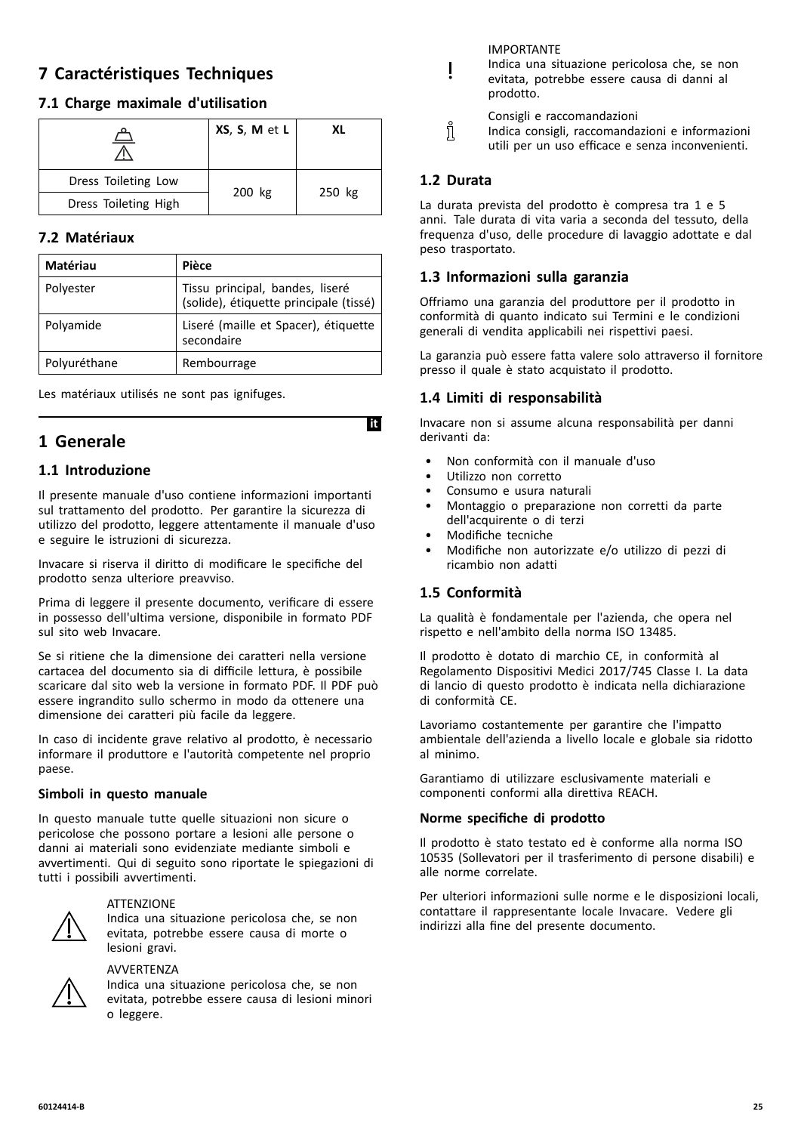# <span id="page-24-0"></span>**<sup>7</sup> Caractéristiques Techniques**

# **7.1 Charge maximale d'utilisation**

|                      | XS, S, M et L | ΧI     |
|----------------------|---------------|--------|
| Dress Toileting Low  |               | 250 kg |
| Dress Toileting High | 200 kg        |        |

# **7.2 Matériaux**

| Matériau     | Pièce                                                                     |
|--------------|---------------------------------------------------------------------------|
| Polyester    | Tissu principal, bandes, liseré<br>(solide), étiquette principale (tissé) |
| Polyamide    | Liseré (maille et Spacer), étiquette<br>secondaire                        |
| Polyuréthane | Rembourrage                                                               |

Les matériaux utilisés ne sont pas ignifuges.

# **<sup>1</sup> Generale**

# **1.1 Introduzione**

Il presente manuale d'uso contiene informazioni importanti sul trattamento del prodotto. Per garantire la sicurezza di utilizzo del prodotto, leggere attentamente il manuale d'uso <sup>e</sup> seguire le istruzioni di sicurezza.

Invacare si riserva il diritto di modificare le specifiche del prodotto senza ulteriore preavviso.

Prima di leggere il presente documento, verificare di essere in possesso dell'ultima versione, disponibile in formato PDF sul sito web Invacare.

Se si ritiene che la dimensione dei caratteri nella versione cartacea del documento sia di difficile lettura, <sup>è</sup> possibile scaricare dal sito web la versione in formato PDF. Il PDF può essere ingrandito sullo schermo in modo da ottenere una dimensione dei caratteri più facile da leggere.

In caso di incidente grave relativo al prodotto, <sup>è</sup> necessario informare il produttore <sup>e</sup> l'autorità competente nel proprio paese.

#### **Simboli in questo manuale**

In questo manuale tutte quelle situazioni non sicure <sup>o</sup> pericolose che possono portare <sup>a</sup> lesioni alle persone <sup>o</sup> danni ai materiali sono evidenziate mediante simboli <sup>e</sup> avvertimenti. Qui di seguito sono riportate le spiegazioni di tutti <sup>i</sup> possibili avvertimenti.



#### **ATTENZIONF**

Indica una situazione pericolosa che, se non evitata, potrebbe essere causa di morte <sup>o</sup> lesioni gravi.



#### AVVERTENZA

Indica una situazione pericolosa che, se non evitata, potrebbe essere causa di lesioni minori <sup>o</sup> leggere.

IMPORTANTE

- Indica una situazione pericolosa che, se non evitata, potrebbe essere causa di danni al prodotto.
	- Consigli <sup>e</sup> raccomandazioni
- Indica consigli, raccomandazioni <sup>e</sup> informazioni utili per un uso efficace <sup>e</sup> senza inconvenienti.

# **1.2 Durata**

Ĭ

La durata prevista del prodotto <sup>è</sup> compresa tra <sup>1</sup> <sup>e</sup> <sup>5</sup> anni. Tale durata di vita varia <sup>a</sup> seconda del tessuto, della frequenza d'uso, delle procedure di lavaggio adottate <sup>e</sup> dal peso trasportato.

# **1.3 Informazioni sulla garanzia**

Offriamo una garanzia del produttore per il prodotto in conformità di quanto indicato sui Termini <sup>e</sup> le condizioni generali di vendita applicabili nei rispettivi paesi.

La garanzia può essere fatta valere solo attraverso il fornitore presso il quale <sup>è</sup> stato acquistato il prodotto.

# **1.4 Limiti di responsabilità**

Invacare non si assume alcuna responsabilità per danni derivanti da:

- Non conformità con il manuale d'uso
- Utilizzo non corretto
- Consumo <sup>e</sup> usura naturali
- Montaggio <sup>o</sup> preparazione non corretti da parte dell'acquirente <sup>o</sup> di terzi
- Modifiche tecniche
- Modifiche non autorizzate e/o utilizzo di pezzi di ricambio non adatti

# **1.5 Conformità**

**Iit** 

La qualità <sup>è</sup> fondamentale per l'azienda, che opera nel rispetto <sup>e</sup> nell'ambito della norma ISO 13485.

Il prodotto <sup>è</sup> dotato di marchio CE, in conformità al Regolamento Dispositivi Medici 2017/745 Classe I. La data di lancio di questo prodotto <sup>è</sup> indicata nella dichiarazione di conformità CE.

Lavoriamo costantemente per garantire che l'impatto ambientale dell'azienda <sup>a</sup> livello locale <sup>e</sup> globale sia ridotto al minimo.

Garantiamo di utilizzare esclusivamente materiali <sup>e</sup> componenti conformi alla direttiva REACH.

# **Norme specifiche di prodotto**

Il prodotto <sup>è</sup> stato testato ed <sup>è</sup> conforme alla norma ISO <sup>10535</sup> (Sollevatori per il trasferimento di persone disabili) <sup>e</sup> alle norme correlate.

Per ulteriori informazioni sulle norme <sup>e</sup> le disposizioni locali, contattare il rappresentante locale Invacare. Vedere gli indirizzi alla fine del presente documento.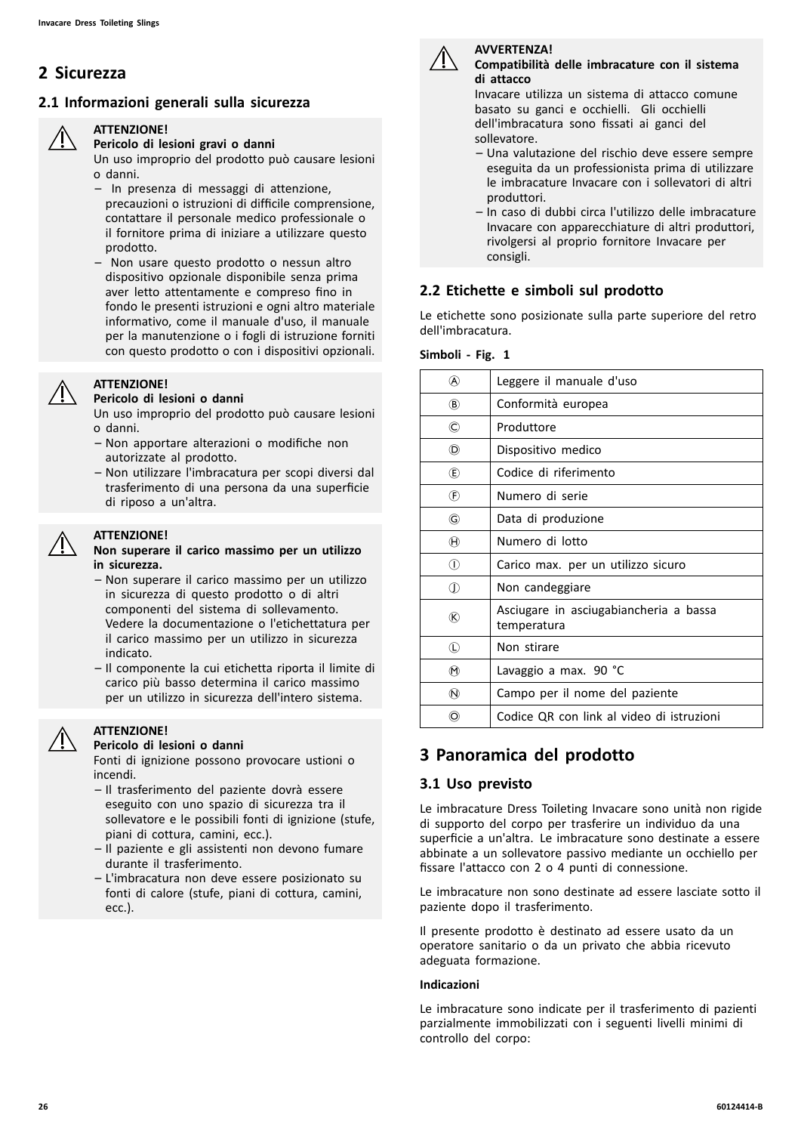# **<sup>2</sup> Sicurezza**

# **2.1 Informazioni generali sulla sicurezza**



#### **ATTENZIONE! Pericolo di lesioni gravi <sup>o</sup> danni**

Un uso improprio del prodotto può causare lesioni <sup>o</sup> danni.

- In presenza di messaggi di attenzione, precauzioni <sup>o</sup> istruzioni di difficile comprensione, contattare il personale medico professionale <sup>o</sup> il fornitore prima di iniziare <sup>a</sup> utilizzare questo prodotto.
- Non usare questo prodotto <sup>o</sup> nessun altro dispositivo opzionale disponibile senza prima aver letto attentamente <sup>e</sup> compreso fino in fondo le presenti istruzioni <sup>e</sup> ogni altro materiale informativo, come il manuale d'uso, il manuale per la manutenzione <sup>o</sup> <sup>i</sup> fogli di istruzione forniti con questo prodotto <sup>o</sup> con <sup>i</sup> dispositivi opzionali.

#### **ATTENZIONE! Pericolo di lesioni <sup>o</sup> danni**

Un uso improprio del prodotto può causare lesioni <sup>o</sup> danni.

- Non apportare alterazioni <sup>o</sup> modifiche non autorizzate al prodotto.
- Non utilizzare l'imbracatura per scopi diversi dal trasferimento di una persona da una superficie di riposo <sup>a</sup> un'altra.

# **ATTENZIONE!**

#### **Non superare il carico massimo per un utilizzo in sicurezza.**

- Non superare il carico massimo per un utilizzo in sicurezza di questo prodotto <sup>o</sup> di altri componenti del sistema di sollevamento. Vedere la documentazione <sup>o</sup> l'etichettatura per il carico massimo per un utilizzo in sicurezza indicato.
- Il componente la cui etichetta riporta il limite di carico più basso determina il carico massimo per un utilizzo in sicurezza dell'intero sistema.

#### **ATTENZIONE!**

#### **Pericolo di lesioni <sup>o</sup> danni**

Fonti di ignizione possono provocare ustioni <sup>o</sup> incendi.

- Il trasferimento del paziente dovrà essere eseguito con uno spazio di sicurezza tra il sollevatore <sup>e</sup> le possibili fonti di ignizione (stufe, piani di cottura, camini, ecc.).
- Il paziente <sup>e</sup> gli assistenti non devono fumare durante il trasferimento.
- L'imbracatura non deve essere posizionato su fonti di calore (stufe, piani di cottura, camini, ecc.).



#### **AVVERTENZA! Compatibilità delle imbracature con il sistema di attacco**

Invacare utilizza un sistema di attacco comune basato su ganci <sup>e</sup> occhielli. Gli occhielli dell'imbracatura sono fissati ai ganci del sollevatore.

- Una valutazione del rischio deve essere sempre eseguita da un professionista prima di utilizzare le imbracature Invacare con <sup>i</sup> sollevatori di altri produttori.
- In caso di dubbi circa l'utilizzo delle imbracature Invacare con apparecchiature di altri produttori, rivolgersi al proprio fornitore Invacare per consigli.

# **2.2 Etichette <sup>e</sup> simboli sul prodotto**

Le etichette sono posizionate sulla parte superiore del retro dell'imbracatura.

#### **Simboli - Fig. <sup>1</sup>**

| (A)                                  | Leggere il manuale d'uso                              |
|--------------------------------------|-------------------------------------------------------|
| $\circledR$                          | Conformità europea                                    |
| O                                    | Produttore                                            |
| (D)                                  | Dispositivo medico                                    |
| $\circled$                           | Codice di riferimento                                 |
| $\left(\widehat{F}\right)$           | Numero di serie                                       |
| G                                    | Data di produzione                                    |
| $\hspace{.1cm} \oplus \hspace{.1cm}$ | Numero di lotto                                       |
| ⋒                                    | Carico max. per un utilizzo sicuro                    |
| $\mathbb O$                          | Non candeggiare                                       |
| ®                                    | Asciugare in asciugabiancheria a bassa<br>temperatura |
| $\mathbb O$                          | Non stirare                                           |
| $^{\textregistered}$                 | Lavaggio a max. 90 °C                                 |
| $^\circledR$                         | Campo per il nome del paziente                        |
| (O)                                  | Codice QR con link al video di istruzioni             |
|                                      |                                                       |

# **<sup>3</sup> Panoramica del prodotto**

# **3.1 Uso previsto**

Le imbracature Dress Toileting Invacare sono unità non rigide di supporto del corpo per trasferire un individuo da una superficie <sup>a</sup> un'altra. Le imbracature sono destinate <sup>a</sup> essere abbinate <sup>a</sup> un sollevatore passivo mediante un occhiello per fissare l'attacco con <sup>2</sup> <sup>o</sup> <sup>4</sup> punti di connessione.

Le imbracature non sono destinate ad essere lasciate sotto il paziente dopo il trasferimento.

Il presente prodotto <sup>è</sup> destinato ad essere usato da un operatore sanitario <sup>o</sup> da un privato che abbia ricevuto adeguata formazione.

#### **Indicazioni**

Le imbracature sono indicate per il trasferimento di pazienti parzialmente immobilizzati con <sup>i</sup> seguenti livelli minimi di controllo del corpo: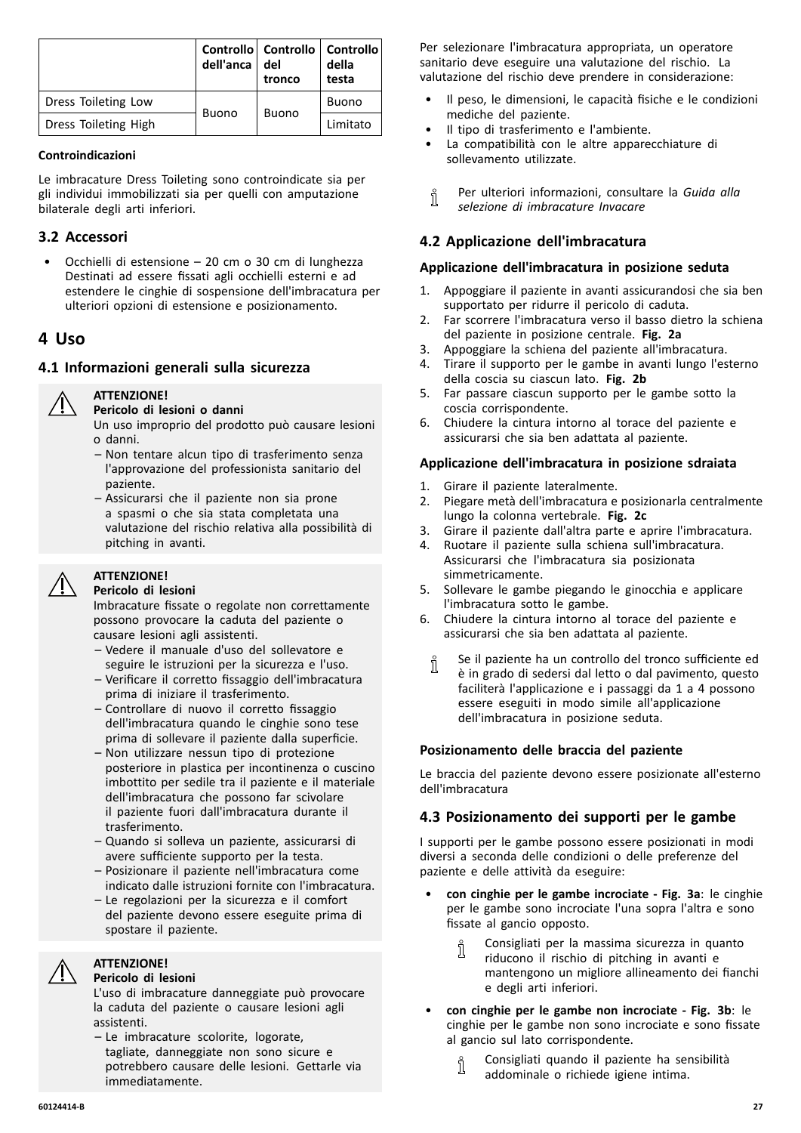<span id="page-26-0"></span>

|                      | dell'anca    | Controllo   Controllo   Controllo<br>del<br>tronco | della<br>testa |
|----------------------|--------------|----------------------------------------------------|----------------|
| Dress Toileting Low  | <b>Buono</b> | <b>Buono</b>                                       | Buono          |
| Dress Toileting High |              |                                                    | Limitato       |

#### **Controindicazioni**

Le imbracature Dress Toileting sono controindicate sia per gli individui immobilizzati sia per quelli con amputazione bilaterale degli arti inferiori.

# **3.2 Accessori**

• Occhielli di estensione – <sup>20</sup> cm <sup>o</sup> <sup>30</sup> cm di lunghezza Destinati ad essere fissati agli occhielli esterni <sup>e</sup> ad estendere le cinghie di sospensione dell'imbracatura per ulteriori opzioni di estensione <sup>e</sup> posizionamento.

# **<sup>4</sup> Uso**

# **4.1 Informazioni generali sulla sicurezza**



#### **ATTENZIONE! Pericolo di lesioni <sup>o</sup> danni**

Un uso improprio del prodotto può causare lesioni <sup>o</sup> danni.

- Non tentare alcun tipo di trasferimento senza l'approvazione del professionista sanitario del paziente.
- Assicurarsi che il paziente non sia prone <sup>a</sup> spasmi <sup>o</sup> che sia stata completata una valutazione del rischio relativa alla possibilità di pitching in avanti.

# **ATTENZIONE!**

#### **Pericolo di lesioni**

Imbracature fissate <sup>o</sup> regolate non correttamente possono provocare la caduta del paziente <sup>o</sup> causare lesioni agli assistenti.

- Vedere il manuale d'uso del sollevatore <sup>e</sup> seguire le istruzioni per la sicurezza <sup>e</sup> l'uso.
- Verificare il corretto fissaggio dell'imbracatura prima di iniziare il trasferimento.
- Controllare di nuovo il corretto fissaggio dell'imbracatura quando le cinghie sono tese prima di sollevare il paziente dalla superficie.
- Non utilizzare nessun tipo di protezione posteriore in plastica per incontinenza <sup>o</sup> cuscino imbottito per sedile tra il paziente <sup>e</sup> il materiale dell'imbracatura che possono far scivolare il paziente fuori dall'imbracatura durante il trasferimento.
- Quando si solleva un paziente, assicurarsi di avere sufficiente supporto per la testa.
- Posizionare il paziente nell'imbracatura come indicato dalle istruzioni fornite con l'imbracatura.
- Le regolazioni per la sicurezza <sup>e</sup> il comfort del paziente devono essere eseguite prima di spostare il paziente.

# **ATTENZIONE!**

# **Pericolo di lesioni**

L'uso di imbracature danneggiate può provocare la caduta del paziente <sup>o</sup> causare lesioni agli assistenti.

– Le imbracature scolorite, logorate, tagliate, danneggiate non sono sicure <sup>e</sup> potrebbero causare delle lesioni. Gettarle via immediatamente.

Per selezionare l'imbracatura appropriata, un operatore sanitario deve eseguire una valutazione del rischio. La valutazione del rischio deve prendere in considerazione:

- Il peso, le dimensioni, le capacità fisiche <sup>e</sup> le condizioni mediche del paziente.
- Il tipo di trasferimento <sup>e</sup> l'ambiente.
- La compatibilità con le altre apparecchiature di sollevamento utilizzate.
- Per ulteriori informazioni, consultare la *Guida alla* ĭ *selezione di imbracature Invacare*

# **4.2 Applicazione dell'imbracatura**

#### **Applicazione dell'imbracatura in posizione seduta**

- 1. Appoggiare il paziente in avanti assicurandosi che sia ben supportato per ridurre il pericolo di caduta.
- 2. Far scorrere l'imbracatura verso il basso dietro la schiena del paziente in posizione centrale. **Fig. 2a**
- 3. Appoggiare la schiena del paziente all'imbracatura.
- 4. Tirare il supporto per le gambe in avanti lungo l'esterno della coscia su ciascun lato. **Fig. 2b**
- 5. Far passare ciascun supporto per le gambe sotto la coscia corrispondente.
- 6. Chiudere la cintura intorno al torace del paziente <sup>e</sup> assicurarsi che sia ben adattata al paziente.

#### **Applicazione dell'imbracatura in posizione sdraiata**

- 
- 1. Girare il paziente lateralmente.<br>2. Piegare metà dell'imbracatura e 2. Piegare metà dell'imbracatura <sup>e</sup> posizionarla centralmente lungo la colonna vertebrale. **Fig. 2c**
- 3. Girare il paziente dall'altra parte <sup>e</sup> aprire l'imbracatura.
- Ruotare il paziente sulla schiena sull'imbracatura. Assicurarsi che l'imbracatura sia posizionata simmetricamente.
- 5. Sollevare le gambe piegando le ginocchia <sup>e</sup> applicare l'imbracatura sotto le gambe.
- 6. Chiudere la cintura intorno al torace del paziente <sup>e</sup> assicurarsi che sia ben adattata al paziente.
	- Se il paziente ha un controllo del tronco sufficiente ed Ĭ <sup>è</sup> in grado di sedersi dal letto <sup>o</sup> dal pavimento, questo faciliterà l'applicazione <sup>e</sup> <sup>i</sup> passaggi da <sup>1</sup> <sup>a</sup> <sup>4</sup> possono essere eseguiti in modo simile all'applicazione dell'imbracatura in posizione seduta.

# **Posizionamento delle braccia del paziente**

Le braccia del paziente devono essere posizionate all'esterno dell'imbracatura

# **4.3 Posizionamento dei supporti per le gambe**

<sup>I</sup> supporti per le gambe possono essere posizionati in modi diversi <sup>a</sup> seconda delle condizioni <sup>o</sup> delle preferenze del paziente <sup>e</sup> delle attività da eseguire:

- • **con cinghie per le gambe incrociate - Fig. 3a**: le cinghie per le gambe sono incrociate l'una sopra l'altra <sup>e</sup> sono fissate al gancio opposto.
	- Consigliati per la massima sicurezza in quanto ĭ riducono il rischio di pitching in avanti <sup>e</sup> mantengono un migliore allineamento dei fianchi <sup>e</sup> degli arti inferiori.
- • **con cinghie per le gambe non incrociate - Fig. 3b**: le cinghie per le gambe non sono incrociate <sup>e</sup> sono fissate al gancio sul lato corrispondente.
	- Consigliati quando il paziente ha sensibilità addominale <sup>o</sup> richiede igiene intima.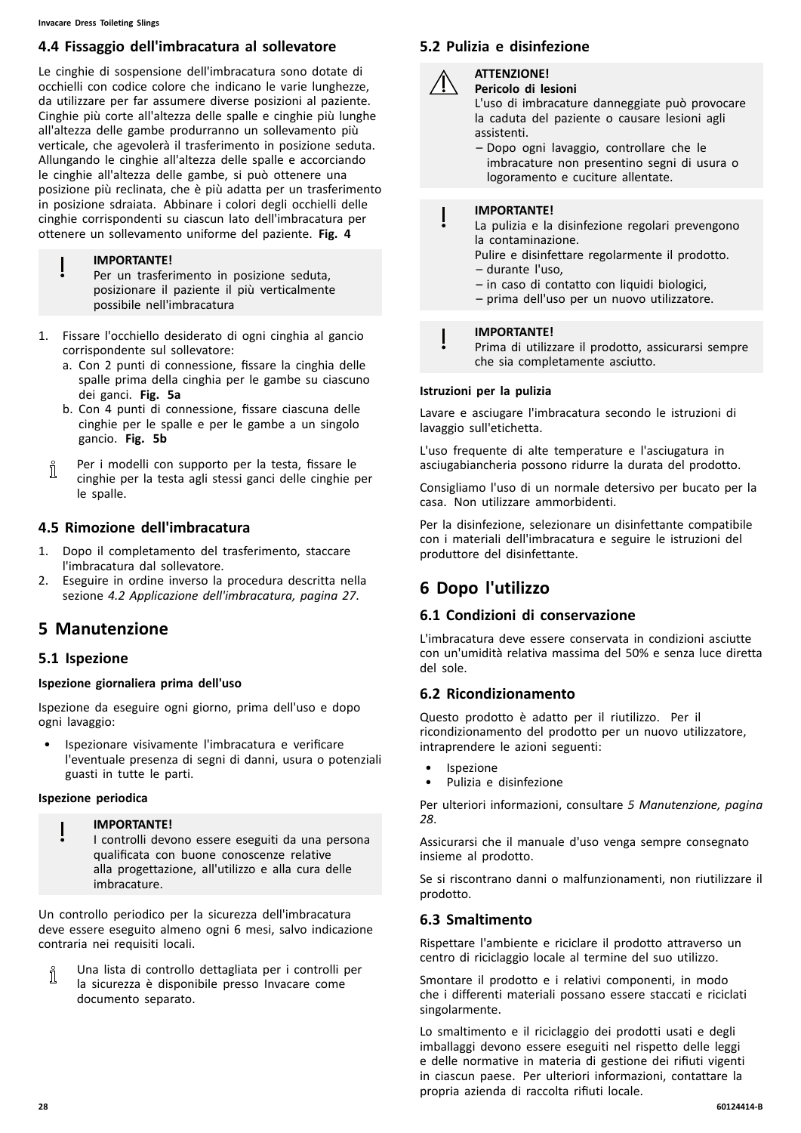# **4.4 Fissaggio dell'imbracatura al sollevatore**

Le cinghie di sospensione dell'imbracatura sono dotate di occhielli con codice colore che indicano le varie lunghezze, da utilizzare per far assumere diverse posizioni al paziente. Cinghie più corte all'altezza delle spalle <sup>e</sup> cinghie più lunghe all'altezza delle gambe produrranno un sollevamento più verticale, che agevolerà il trasferimento in posizione seduta. Allungando le cinghie all'altezza delle spalle <sup>e</sup> accorciando le cinghie all'altezza delle gambe, si può ottenere una posizione più reclinata, che <sup>è</sup> più adatta per un trasferimento in posizione sdraiata. Abbinare <sup>i</sup> colori degli occhielli delle cinghie corrispondenti su ciascun lato dell'imbracatura per ottenere un sollevamento uniforme del paziente. **Fig. <sup>4</sup>**

#### **IMPORTANTE!**

Per un trasferimento in posizione seduta, posizionare il paziente il più verticalmente possibile nell'imbracatura

- 1. Fissare l'occhiello desiderato di ogni cinghia al gancio corrispondente sul sollevatore:
	- a. Con <sup>2</sup> punti di connessione, fissare la cinghia delle spalle prima della cinghia per le gambe su ciascuno dei ganci. **Fig. 5a**
	- b. Con <sup>4</sup> punti di connessione, fissare ciascuna delle cinghie per le spalle <sup>e</sup> per le gambe <sup>a</sup> un singolo gancio. **Fig. 5b**
	- Per <sup>i</sup> modelli con supporto per la testa, fissare le Ĭ cinghie per la testa agli stessi ganci delle cinghie per le spalle.

# **4.5 Rimozione dell'imbracatura**

- 1. Dopo il completamento del trasferimento, staccare l'imbracatura dal sollevatore.
- 2. Eseguire in ordine inverso la procedura descritta nella sezione *4.2 Applicazione [dell'imbracatura,](#page-26-0) pagina [27](#page-26-0)*.

# **<sup>5</sup> Manutenzione**

# **5.1 Ispezione**

#### **Ispezione giornaliera prima dell'uso**

Ispezione da eseguire ogni giorno, prima dell'uso <sup>e</sup> dopo ogni lavaggio:

• Ispezionare visivamente l'imbracatura <sup>e</sup> verificare l'eventuale presenza di segni di danni, usura <sup>o</sup> potenziali guasti in tutte le parti.

#### **Ispezione periodica**

- **IMPORTANTE!**
- <sup>I</sup> controlli devono essere eseguiti da una persona qualificata con buone conoscenze relative alla progettazione, all'utilizzo <sup>e</sup> alla cura delle imbracature.

Un controllo periodico per la sicurezza dell'imbracatura deve essere eseguito almeno ogni <sup>6</sup> mesi, salvo indicazione contraria nei requisiti locali.

Una lista di controllo dettagliata per <sup>i</sup> controlli per Ĭ la sicurezza <sup>è</sup> disponibile presso Invacare come documento separato.

# **5.2 Pulizia <sup>e</sup> disinfezione**

**ATTENZIONE! Pericolo di lesioni**

L'uso di imbracature danneggiate può provocare la caduta del paziente <sup>o</sup> causare lesioni agli assistenti.

– Dopo ogni lavaggio, controllare che le imbracature non presentino segni di usura <sup>o</sup> logoramento <sup>e</sup> cuciture allentate.

#### **IMPORTANTE!**

La pulizia <sup>e</sup> la disinfezione regolari prevengono la contaminazione.

Pulire <sup>e</sup> disinfettare regolarmente il prodotto. – durante l'uso,

- in caso di contatto con liquidi biologici,
- prima dell'uso per un nuovo utilizzatore.

#### **IMPORTANTE!**

Prima di utilizzare il prodotto, assicurarsi sempre che sia completamente asciutto.

#### **Istruzioni per la pulizia**

Lavare <sup>e</sup> asciugare l'imbracatura secondo le istruzioni di lavaggio sull'etichetta.

L'uso frequente di alte temperature <sup>e</sup> l'asciugatura in asciugabiancheria possono ridurre la durata del prodotto.

Consigliamo l'uso di un normale detersivo per bucato per la casa. Non utilizzare ammorbidenti.

Per la disinfezione, selezionare un disinfettante compatibile con <sup>i</sup> materiali dell'imbracatura <sup>e</sup> seguire le istruzioni del produttore del disinfettante.

# **<sup>6</sup> Dopo l'utilizzo**

# **6.1 Condizioni di conservazione**

L'imbracatura deve essere conservata in condizioni asciutte con un'umidità relativa massima del 50% <sup>e</sup> senza luce diretta del sole.

# **6.2 Ricondizionamento**

Questo prodotto <sup>è</sup> adatto per il riutilizzo. Per il ricondizionamento del prodotto per un nuovo utilizzatore, intraprendere le azioni seguenti:

- **Ispezione**
- Pulizia <sup>e</sup> disinfezione

Per ulteriori informazioni, consultare *<sup>5</sup> Manutenzione, pagina 28*.

Assicurarsi che il manuale d'uso venga sempre consegnato insieme al prodotto.

Se si riscontrano danni <sup>o</sup> malfunzionamenti, non riutilizzare il prodotto.

# **6.3 Smaltimento**

Rispettare l'ambiente <sup>e</sup> riciclare il prodotto attraverso un centro di riciclaggio locale al termine del suo utilizzo.

Smontare il prodotto <sup>e</sup> <sup>i</sup> relativi componenti, in modo che <sup>i</sup> differenti materiali possano essere staccati <sup>e</sup> riciclati singolarmente.

Lo smaltimento <sup>e</sup> il riciclaggio dei prodotti usati <sup>e</sup> degli imballaggi devono essere eseguiti nel rispetto delle leggi <sup>e</sup> delle normative in materia di gestione dei rifiuti vigenti in ciascun paese. Per ulteriori informazioni, contattare la propria azienda di raccolta rifiuti locale.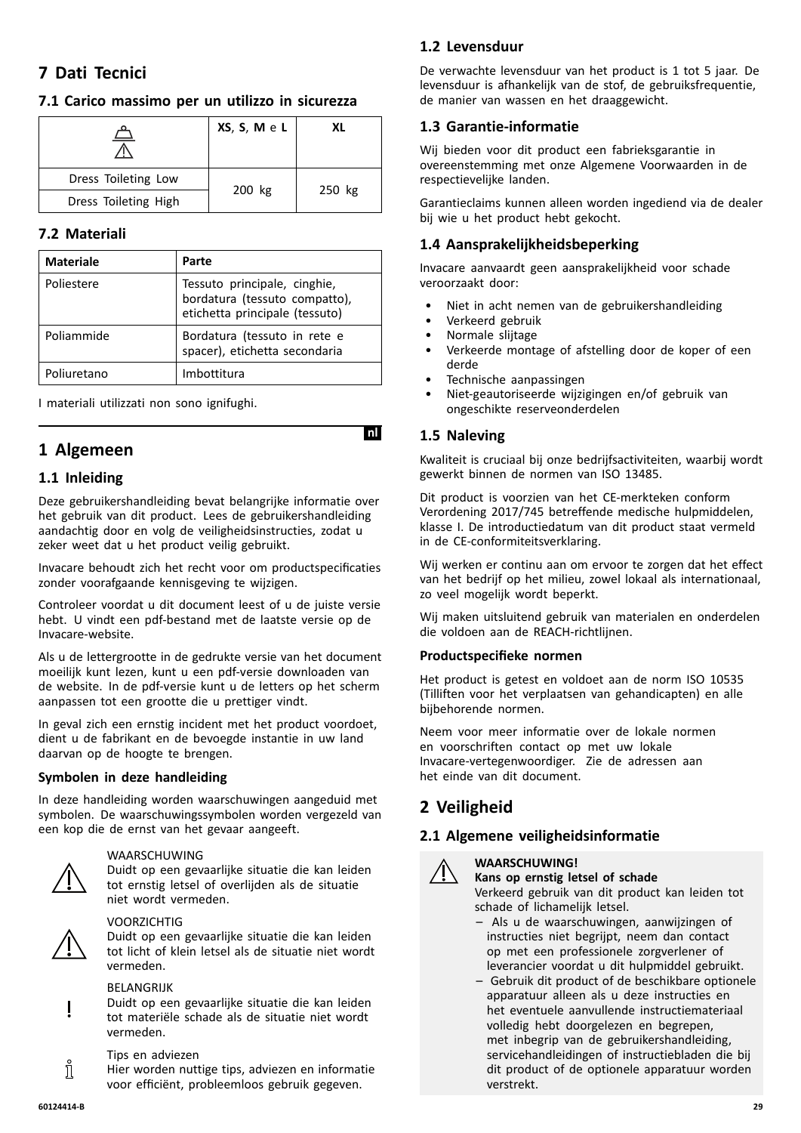# <span id="page-28-0"></span>**<sup>7</sup> Dati Tecnici**

# **7.1 Carico massimo per un utilizzo in sicurezza**

| $\overline{\phantom{0}}$ | XS, S, M e L | XL     |
|--------------------------|--------------|--------|
| Dress Toileting Low      |              |        |
| Dress Toileting High     | 200 kg       | 250 kg |

# **7.2 Materiali**

| <b>Materiale</b> | Parte                                                                                           |
|------------------|-------------------------------------------------------------------------------------------------|
| Poliestere       | Tessuto principale, cinghie,<br>bordatura (tessuto compatto),<br>etichetta principale (tessuto) |
| Poliammide       | Bordatura (tessuto in rete e<br>spacer), etichetta secondaria                                   |
| Poliuretano      | Imbottitura                                                                                     |

<sup>I</sup> materiali utilizzati non sono ignifughi.

# **<sup>1</sup> Algemeen**

# **1.1 Inleiding**

Deze gebruikershandleiding bevat belangrijke informatie over het gebruik van dit product. Lees de gebruikershandleiding aandachtig door en volg de veiligheidsinstructies, zodat <sup>u</sup> zeker weet dat <sup>u</sup> het product veilig gebruikt.

Invacare behoudt zich het recht voor om productspecificaties zonder voorafgaande kennisgeving te wijzigen.

Controleer voordat <sup>u</sup> dit document leest of <sup>u</sup> de juiste versie hebt. <sup>U</sup> vindt een pdf-bestand met de laatste versie op de Invacare-website.

Als <sup>u</sup> de lettergrootte in de gedrukte versie van het document moeilijk kunt lezen, kunt <sup>u</sup> een pdf-versie downloaden van de website. In de pdf-versie kunt <sup>u</sup> de letters op het scherm aanpassen tot een grootte die <sup>u</sup> prettiger vindt.

In geval zich een ernstig incident met het product voordoet, dient <sup>u</sup> de fabrikant en de bevoegde instantie in uw land daarvan op de hoogte te brengen.

# **Symbolen in deze handleiding**

In deze handleiding worden waarschuwingen aangeduid met symbolen. De waarschuwingssymbolen worden vergezeld van een kop die de ernst van het gevaar aangeeft.



#### WAARSCHUWING

Duidt op een gevaarlijke situatie die kan leiden tot ernstig letsel of overlijden als de situatie niet wordt vermeden.



# VOORZICHTIG

Duidt op een gevaarlijke situatie die kan leiden tot licht of klein letsel als de situatie niet wordt vermeden.

#### BELANGRIJK

Duidt op een gevaarlijke situatie die kan leiden tot materiële schade als de situatie niet wordt vermeden.

#### Tips en adviezen

Hier worden nuttige tips, adviezen en informatie voor efficiënt, probleemloos gebruik gegeven.

# **1.2 Levensduur**

De verwachte levensduur van het product is <sup>1</sup> tot <sup>5</sup> jaar. De levensduur is afhankelijk van de stof, de gebruiksfrequentie, de manier van wassen en het draaggewicht.

# **1.3 Garantie-informatie**

Wij bieden voor dit product een fabrieksgarantie in overeenstemming met onze Algemene Voorwaarden in de respectievelijke landen.

Garantieclaims kunnen alleen worden ingediend via de dealer bij wie <sup>u</sup> het product hebt gekocht.

# **1.4 Aansprakelijkheidsbeperking**

Invacare aanvaardt geen aansprakelijkheid voor schade veroorzaakt door:

- Niet in acht nemen van de gebruikershandleiding
- Verkeerd gebruik
- Normale slijtage
- Verkeerde montage of afstelling door de koper of een derde
- Technische aanpassingen
- Niet-geautoriseerde wijzigingen en/of gebruik van ongeschikte reserveonderdelen

# **1.5 Naleving**

Kwaliteit is cruciaal bij onze bedrijfsactiviteiten, waarbij wordt gewerkt binnen de normen van ISO 13485.

Dit product is voorzien van het CE-merkteken conform Verordening 2017/745 betreffende medische hulpmiddelen, klasse I. De introductiedatum van dit product staat vermeld in de CE-conformiteitsverklaring.

Wij werken er continu aan om ervoor te zorgen dat het effect van het bedrijf op het milieu, zowel lokaal als internationaal, zo veel mogelijk wordt beperkt.

Wij maken uitsluitend gebruik van materialen en onderdelen die voldoen aan de REACH-richtlijnen.

#### **Productspecifieke normen**

Het product is getest en voldoet aan de norm ISO <sup>10535</sup> (Tilliften voor het verplaatsen van gehandicapten) en alle bijbehorende normen.

Neem voor meer informatie over de lokale normen en voorschriften contact op met uw lokale Invacare-vertegenwoordiger. Zie de adressen aan het einde van dit document.

# **<sup>2</sup> Veiligheid**

# **2.1 Algemene veiligheidsinformatie**



**WAARSCHUWING! Kans op ernstig letsel of schade**

Verkeerd gebruik van dit product kan leiden tot schade of lichamelijk letsel.

- Als <sup>u</sup> de waarschuwingen, aanwijzingen of instructies niet begrijpt, neem dan contact op met een professionele zorgverlener of leverancier voordat <sup>u</sup> dit hulpmiddel gebruikt.
- Gebruik dit product of de beschikbare optionele apparatuur alleen als <sup>u</sup> deze instructies en het eventuele aanvullende instructiemateriaal volledig hebt doorgelezen en begrepen, met inbegrip van de gebruikershandleiding, servicehandleidingen of instructiebladen die bij dit product of de optionele apparatuur worden verstrekt.

ĭĬ

# **InlI**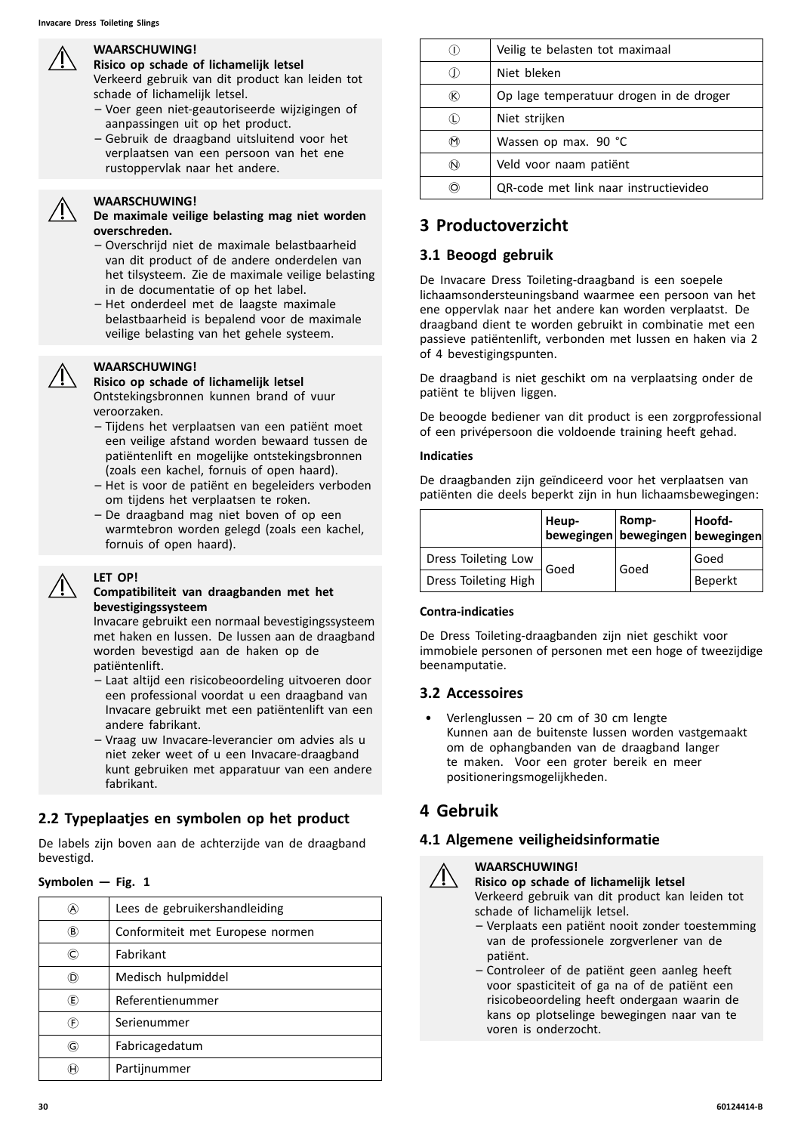#### **WAARSCHUWING!**

**Risico op schade of lichamelijk letsel** Verkeerd gebruik van dit product kan leiden tot

schade of lichamelijk letsel.

- Voer geen niet-geautoriseerde wijzigingen of aanpassingen uit op het product.
- Gebruik de draagband uitsluitend voor het verplaatsen van een persoon van het ene rustoppervlak naar het andere.

#### **WAARSCHUWING!**

**De maximale veilige belasting mag niet worden overschreden.**

- Overschrijd niet de maximale belastbaarheid van dit product of de andere onderdelen van het tilsysteem. Zie de maximale veilige belasting in de documentatie of op het label.
- Het onderdeel met de laagste maximale belastbaarheid is bepalend voor de maximale veilige belasting van het gehele systeem.

#### **WAARSCHUWING!**

**Risico op schade of lichamelijk letsel** Ontstekingsbronnen kunnen brand of vuur veroorzaken.

- Tijdens het verplaatsen van een patiënt moet een veilige afstand worden bewaard tussen de patiëntenlift en mogelijke ontstekingsbronnen (zoals een kachel, fornuis of open haard).
- Het is voor de patiënt en begeleiders verboden om tijdens het verplaatsen te roken.
- De draagband mag niet boven of op een warmtebron worden gelegd (zoals een kachel, fornuis of open haard).

#### **LET OP!**

#### **Compatibiliteit van draagbanden met het bevestigingssysteem**

Invacare gebruikt een normaal bevestigingssysteem met haken en lussen. De lussen aan de draagband worden bevestigd aan de haken op de patiëntenlift.

- Laat altijd een risicobeoordeling uitvoeren door een professional voordat <sup>u</sup> een draagband van Invacare gebruikt met een patiëntenlift van een andere fabrikant.
- Vraag uw Invacare-leverancier om advies als <sup>u</sup> niet zeker weet of <sup>u</sup> een Invacare-draagband kunt gebruiken met apparatuur van een andere fabrikant.

# **2.2 Typeplaatjes en symbolen op het product**

De labels zijn boven aan de achterzijde van de draagband bevestigd.

#### $Symbolen - Fig. 1$

| A)  | Lees de gebruikershandleiding    |
|-----|----------------------------------|
| ®   | Conformiteit met Europese normen |
| C)  | Fabrikant                        |
| (D) | Medisch hulpmiddel               |
| (E) | Referentienummer                 |
| (F) | Serienummer                      |
| G)  | Fabricagedatum                   |
|     | Partijnummer                     |

|   | Veilig te belasten tot maximaal         |
|---|-----------------------------------------|
|   | Niet bleken                             |
|   | Op lage temperatuur drogen in de droger |
|   | Niet strijken                           |
| M | Wassen op max. 90 °C                    |
| N | Veld voor naam patiënt                  |
|   | QR-code met link naar instructievideo   |

# **<sup>3</sup> Productoverzicht**

#### **3.1 Beoogd gebruik**

De Invacare Dress Toileting-draagband is een soepele lichaamsondersteuningsband waarmee een persoon van het ene oppervlak naar het andere kan worden verplaatst. De draagband dient te worden gebruikt in combinatie met een passieve patiëntenlift, verbonden met lussen en haken via <sup>2</sup> of <sup>4</sup> bevestigingspunten.

De draagband is niet geschikt om na verplaatsing onder de patiënt te blijven liggen.

De beoogde bediener van dit product is een zorgprofessional of een privépersoon die voldoende training heeft gehad.

#### **Indicaties**

De draagbanden zijn geïndiceerd voor het verplaatsen van patiënten die deels beperkt zijn in hun lichaamsbewegingen:

|                      | Heup- | Romp-<br>bewegingen bewegingen bewegingen | Hoofd-  |
|----------------------|-------|-------------------------------------------|---------|
| Dress Toileting Low  |       |                                           | Goed    |
| Dress Toileting High | Goed  | Goed                                      | Beperkt |

#### **Contra-indicaties**

De Dress Toileting-draagbanden zijn niet geschikt voor immobiele personen of personen met een hoge of tweezijdige beenamputatie.

#### **3.2 Accessoires**

• Verlenglussen – <sup>20</sup> cm of <sup>30</sup> cm lengte Kunnen aan de buitenste lussen worden vastgemaakt om de ophangbanden van de draagband langer te maken. Voor een groter bereik en meer positioneringsmogelijkheden.

# **<sup>4</sup> Gebruik**

#### **4.1 Algemene veiligheidsinformatie**



#### **WAARSCHUWING! Risico op schade of lichamelijk letsel**

Verkeerd gebruik van dit product kan leiden tot schade of lichamelijk letsel.

- Verplaats een patiënt nooit zonder toestemming van de professionele zorgverlener van de patiënt.
- Controleer of de patiënt geen aanleg heeft voor spasticiteit of ga na of de patiënt een risicobeoordeling heeft ondergaan waarin de kans op plotselinge bewegingen naar van te voren is onderzocht.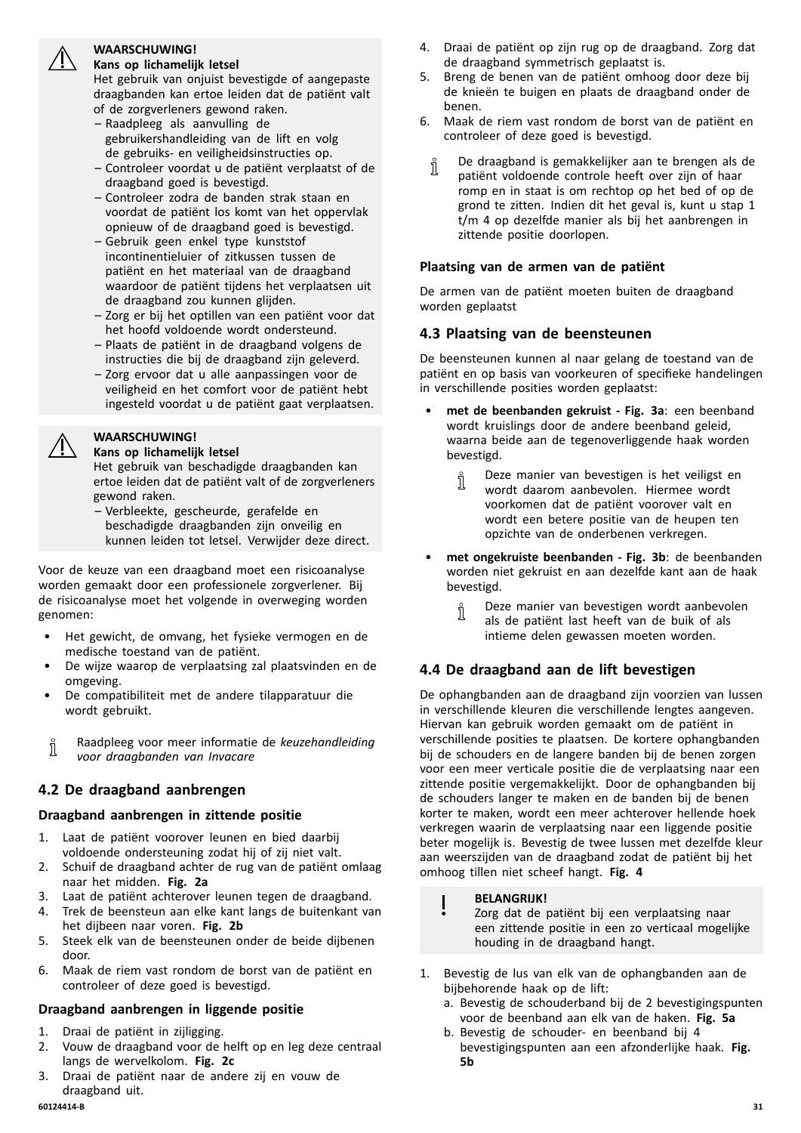#### **WAARSCHUWING! Kans op lichamelijk letsel**



- Raadpleeg als aanvulling de gebruikershandleiding van de lift en volg de gebruiks- en veiligheidsinstructies op.
- Controleer voordat <sup>u</sup> de patiënt verplaatst of de draagband goed is bevestigd.
- Controleer zodra de banden strak staan en voordat de patiënt los komt van het oppervlak opnieuw of de draagband goed is bevestigd.
- Gebruik geen enkel type kunststof incontinentieluier of zitkussen tussen de patiënt en het materiaal van de draagband waardoor de patiënt tijdens het verplaatsen uit de draagband zou kunnen glijden.
- Zorg er bij het optillen van een patiënt voor dat het hoofd voldoende wordt ondersteund.
- Plaats de patiënt in de draagband volgens de instructies die bij de draagband zijn geleverd.
- Zorg ervoor dat u alle aanpassingen voor de veiligheid en het comfort voor de patiënt hebt ingesteld voordat <sup>u</sup> de patiënt gaat verplaatsen.

# **WAARSCHUWING!**

**Kans op lichamelijk letsel**

Het gebruik van beschadigde draagbanden kan ertoe leiden dat de patiënt valt of de zorgverleners gewond raken.

– Verbleekte, gescheurde, gerafelde en beschadigde draagbanden zijn onveilig en kunnen leiden tot letsel. Verwijder deze direct.

Voor de keuze van een draagband moet een risicoanalyse worden gemaakt door een professionele zorgverlener. Bij de risicoanalyse moet het volgende in overweging worden genomen:

- Het gewicht, de omvang, het fysieke vermogen en de medische toestand van de patiënt.
- De wijze waarop de verplaatsing zal plaatsvinden en de omgeving.
- De compatibiliteit met de andere tilapparatuur die wordt gebruikt.

Raadpleeg voor meer informatie de *keuzehandleiding* Ĭ *voor draagbanden van Invacare*

# **4.2 De draagband aanbrengen**

# **Draagband aanbrengen in zittende positie**

- 1. Laat de patiënt voorover leunen en bied daarbij voldoende ondersteuning zodat hij of zij niet valt.
- 2. Schuif de draagband achter de rug van de patiënt omlaag naar het midden. **Fig. 2a**
- 3. Laat de patiënt achterover leunen tegen de draagband.
- Trek de beensteun aan elke kant langs de buitenkant van het dijbeen naar voren. **Fig. 2b**
- 5. Steek elk van de beensteunen onder de beide dijbenen door.
- 6. Maak de riem vast rondom de borst van de patiënt en controleer of deze goed is bevestigd.

# **Draagband aanbrengen in liggende positie**

- 1. Draai de patiënt in zijligging.<br>2. Vouw de draagband voor de
- 2. Vouw de draagband voor de helft op en leg deze centraal langs de wervelkolom. **Fig. 2c**
- 3. Draai de patiënt naar de andere zij en vouw de draagband uit.<br>60124414-B
- 4. Draai de patiënt op zijn rug op de draagband. Zorg dat de draagband symmetrisch geplaatst is.
- 5. Breng de benen van de patiënt omhoog door deze bij de knieën te buigen en plaats de draagband onder de benen.
- 6. Maak de riem vast rondom de borst van de patiënt en controleer of deze goed is bevestigd.
	- De draagband is gemakkelijker aan te brengen als de Ĭ patiënt voldoende controle heeft over zijn of haar romp en in staat is om rechtop op het bed of op de grond te zitten. Indien dit het geval is, kunt <sup>u</sup> stap <sup>1</sup> t/m <sup>4</sup> op dezelfde manier als bij het aanbrengen in zittende positie doorlopen.

#### **Plaatsing van de armen van de patiënt**

De armen van de patiënt moeten buiten de draagband worden geplaatst

# **4.3 Plaatsing van de beensteunen**

De beensteunen kunnen al naar gelang de toestand van de patiënt en op basis van voorkeuren of specifieke handelingen in verschillende posities worden geplaatst:

- • **met de beenbanden gekruist - Fig. 3a**: een beenband wordt kruislings door de andere beenband geleid, waarna beide aan de tegenoverliggende haak worden bevestigd.
	- Deze manier van bevestigen is het veiligst en ĭ wordt daarom aanbevolen. Hiermee wordt voorkomen dat de patiënt voorover valt en wordt een betere positie van de heupen ten opzichte van de onderbenen verkregen.
- • **met ongekruiste beenbanden - Fig. 3b**: de beenbanden worden niet gekruist en aan dezelfde kant aan de haak bevestigd.
	- Deze manier van bevestigen wordt aanbevolen าาี als de patiënt last heeft van de buik of als intieme delen gewassen moeten worden.

# **4.4 De draagband aan de lift bevestigen**

De ophangbanden aan de draagband zijn voorzien van lussen in verschillende kleuren die verschillende lengtes aangeven. Hiervan kan gebruik worden gemaakt om de patiënt in verschillende posities te plaatsen. De kortere ophangbanden bij de schouders en de langere banden bij de benen zorgen voor een meer verticale positie die de verplaatsing naar een zittende positie vergemakkelijkt. Door de ophangbanden bij de schouders langer te maken en de banden bij de benen korter te maken, wordt een meer achterover hellende hoek verkregen waarin de verplaatsing naar een liggende positie beter mogelijk is. Bevestig de twee lussen met dezelfde kleur aan weerszijden van de draagband zodat de patiënt bij het omhoog tillen niet scheef hangt. **Fig. <sup>4</sup>**

#### **BELANGRIJK!**

Zorg dat de patiënt bij een verplaatsing naar een zittende positie in een zo verticaal mogelijke houding in de draagband hangt.

- 1. Bevestig de lus van elk van de ophangbanden aan de bijbehorende haak op de lift:
	- a. Bevestig de schouderband bij de <sup>2</sup> bevestigingspunten voor de beenband aan elk van de haken. **Fig. 5a**
	- b. Bevestig de schouder- en beenband bij <sup>4</sup> bevestigingspunten aan een afzonderlijke haak. **Fig. 5b**

<span id="page-30-0"></span>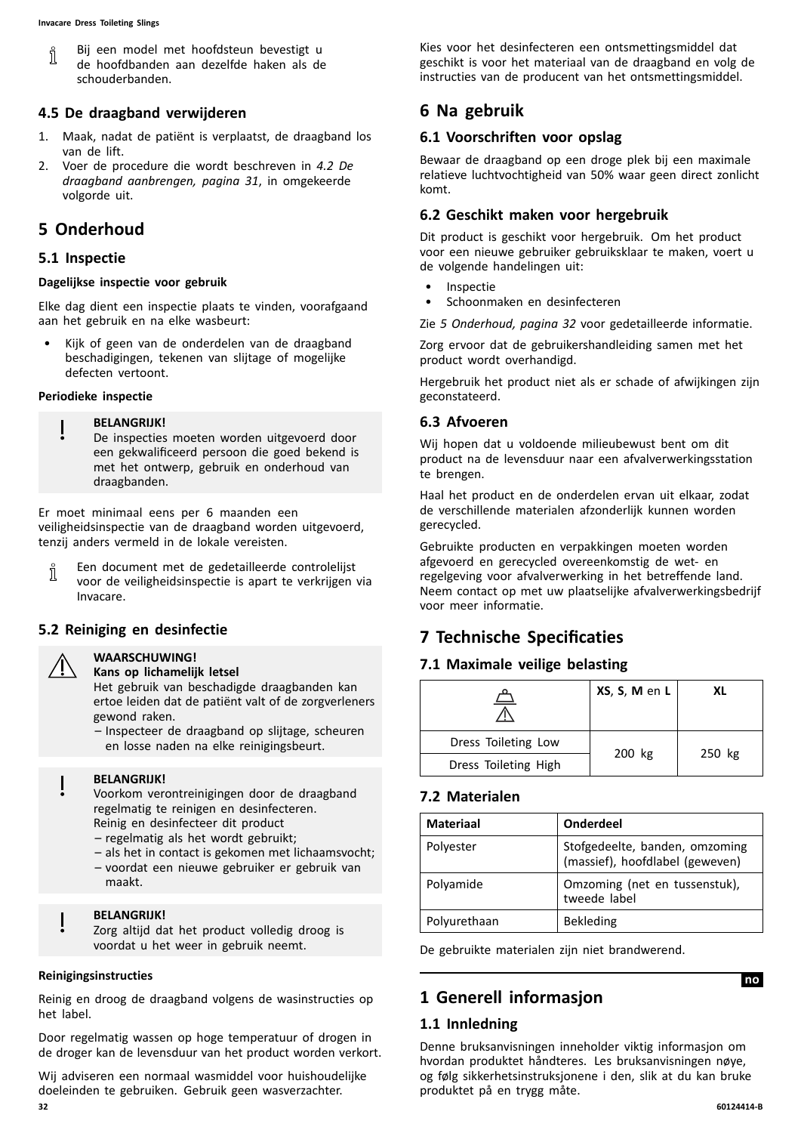<span id="page-31-0"></span>Bij een model met hoofdsteun bevestigt <sup>u</sup> Л de hoofdbanden aan dezelfde haken als de schouderbanden.

# **4.5 De draagband verwijderen**

- 1. Maak, nadat de patiënt is verplaatst, de draagband los van de lift.
- 2. Voer de procedure die wordt beschreven in *[4.2](#page-30-0) De draagband [aanbrengen,](#page-30-0) pagina [31](#page-30-0)*, in omgekeerde volgorde uit.

# **<sup>5</sup> Onderhoud**

#### **5.1 Inspectie**

#### **Dagelijkse inspectie voor gebruik**

Elke dag dient een inspectie plaats te vinden, voorafgaand aan het gebruik en na elke wasbeurt:

• Kijk of geen van de onderdelen van de draagband beschadigingen, tekenen van slijtage of mogelijke defecten vertoont.

#### **Periodieke inspectie**

#### **BELANGRIJK!**

De inspecties moeten worden uitgevoerd door een gekwalificeerd persoon die goed bekend is met het ontwerp, gebruik en onderhoud van draagbanden.

Er moet minimaal eens per <sup>6</sup> maanden een veiligheidsinspectie van de draagband worden uitgevoerd, tenzij anders vermeld in de lokale vereisten.

Een document met de gedetailleerde controlelijst Ĭ voor de veiligheidsinspectie is apart te verkrijgen via Invacare.

# **5.2 Reiniging en desinfectie**

# **WAARSCHUWING!**

**Kans op lichamelijk letsel**

Het gebruik van beschadigde draagbanden kan ertoe leiden dat de patiënt valt of de zorgverleners gewond raken.

– Inspecteer de draagband op slijtage, scheuren en losse naden na elke reinigingsbeurt.

#### **BELANGRIJK!**

Voorkom verontreinigingen door de draagband regelmatig te reinigen en desinfecteren. Reinig en desinfecteer dit product

- regelmatig als het wordt gebruikt;
- als het in contact is gekomen met lichaamsvocht; – voordat een nieuwe gebruiker er gebruik van
- maakt.

#### **BELANGRIJK!**

Zorg altijd dat het product volledig droog is voordat <sup>u</sup> het weer in gebruik neemt.

#### **Reinigingsinstructies**

Reinig en droog de draagband volgens de wasinstructies op het label.

Door regelmatig wassen op hoge temperatuur of drogen in de droger kan de levensduur van het product worden verkort.

Wij adviseren een normaal wasmiddel voor huishoudelijke doeleinden te gebruiken. Gebruik geen wasverzachter.<br>32 **32 60124414-B**

Kies voor het desinfecteren een ontsmettingsmiddel dat geschikt is voor het materiaal van de draagband en volg de instructies van de producent van het ontsmettingsmiddel.

# **<sup>6</sup> Na gebruik**

# **6.1 Voorschriften voor opslag**

Bewaar de draagband op een droge plek bij een maximale relatieve luchtvochtigheid van 50% waar geen direct zonlicht komt.

# **6.2 Geschikt maken voor hergebruik**

Dit product is geschikt voor hergebruik. Om het product voor een nieuwe gebruiker gebruiksklaar te maken, voert <sup>u</sup> de volgende handelingen uit:

- **Inspectie**
- Schoonmaken en desinfecteren
- Zie *<sup>5</sup> Onderhoud, pagina <sup>32</sup>* voor gedetailleerde informatie.

Zorg ervoor dat de gebruikershandleiding samen met het product wordt overhandigd.

Hergebruik het product niet als er schade of afwijkingen zijn geconstateerd.

# **6.3 Afvoeren**

Wij hopen dat <sup>u</sup> voldoende milieubewust bent om dit product na de levensduur naar een afvalverwerkingsstation te brengen.

Haal het product en de onderdelen ervan uit elkaar, zodat de verschillende materialen afzonderlijk kunnen worden gerecycled.

Gebruikte producten en verpakkingen moeten worden afgevoerd en gerecycled overeenkomstig de wet- en regelgeving voor afvalverwerking in het betreffende land. Neem contact op met uw plaatselijke afvalverwerkingsbedrijf voor meer informatie.

# **<sup>7</sup> Technische Specificaties**

# **7.1 Maximale veilige belasting**

| XS, S, M en L | XL     |
|---------------|--------|
|               |        |
|               | 250 kg |
|               | 200 kg |

# **7.2 Materialen**

| <b>Materiaal</b> | <b>Onderdeel</b>                                                  |
|------------------|-------------------------------------------------------------------|
| Polyester        | Stofgedeelte, banden, omzoming<br>(massief), hoofdlabel (geweven) |
| Polyamide        | Omzoming (net en tussenstuk),<br>tweede label                     |
| Polyurethaan     | <b>Bekleding</b>                                                  |
|                  |                                                                   |

De gebruikte materialen zijn niet brandwerend.

# **<sup>1</sup> Generell informasjon**

# **1.1 Innledning**

Denne bruksanvisningen inneholder viktig informasjon om hvordan produktet håndteres. Les bruksanvisningen nøye, og følg sikkerhetsinstruksjonene <sup>i</sup> den, slik at du kan bruke produktet på en trygg måte.

**InoI**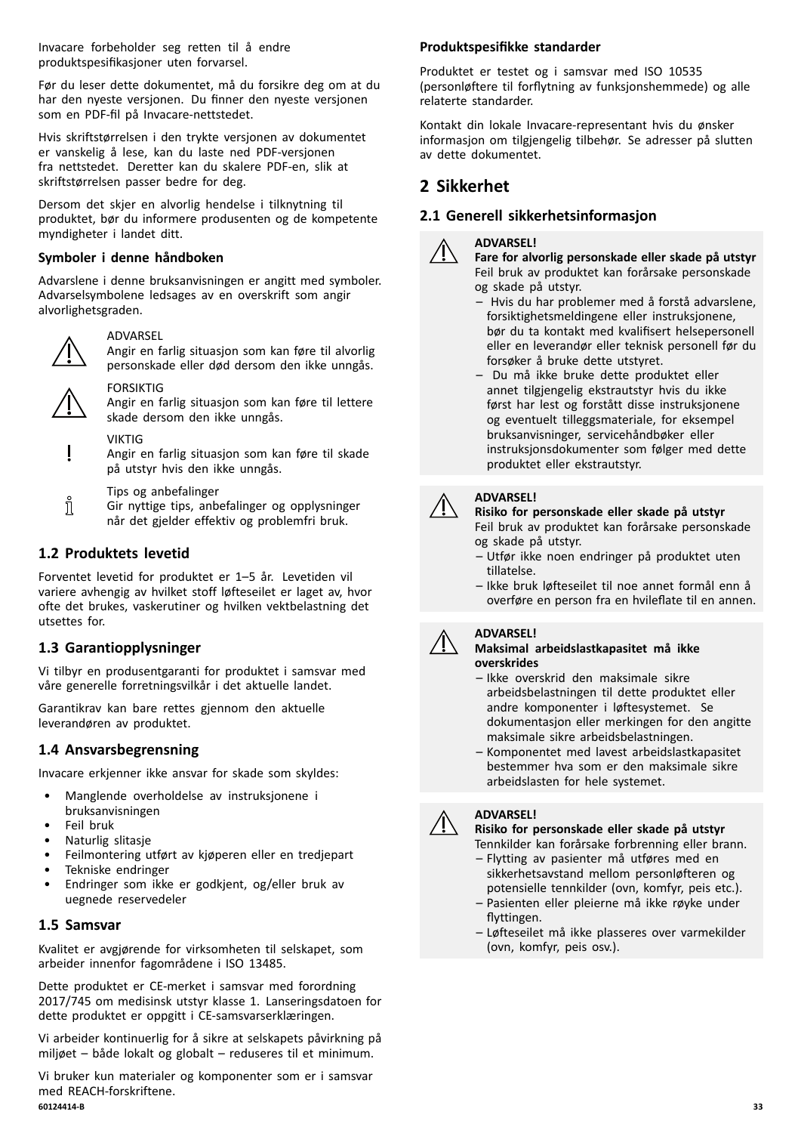Invacare forbeholder seg retten til <sup>å</sup> endre produktspesifikasjoner uten forvarsel.

Før du leser dette dokumentet, må du forsikre deg om at du har den nyeste versjonen. Du finner den nyeste versjonen som en PDF-fil på Invacare-nettstedet.

Hvis skriftstørrelsen <sup>i</sup> den trykte versjonen av dokumentet er vanskelig <sup>å</sup> lese, kan du laste ned PDF-versjonen fra nettstedet. Deretter kan du skalere PDF-en, slik at skriftstørrelsen passer bedre for deg.

Dersom det skjer en alvorlig hendelse <sup>i</sup> tilknytning til produktet, bør du informere produsenten og de kompetente myndigheter <sup>i</sup> landet ditt.

#### **Symboler <sup>i</sup> denne håndboken**

Advarslene <sup>i</sup> denne bruksanvisningen er angitt med symboler. Advarselsymbolene ledsages av en overskrift som angir alvorlighetsgraden.



#### ADVARSEL

Angir en farlig situasjon som kan føre til alvorlig personskade eller død dersom den ikke unngås.



FORSIKTIG

Angir en farlig situasjon som kan føre til lettere skade dersom den ikke unngås.

VIKTIG

Angir en farlig situasjon som kan føre til skade på utstyr hvis den ikke unngås.

- Tips og anbefalinger
- ິກເ Gir nyttige tips, anbefalinger og opplysninger når det gjelder effektiv og problemfri bruk.

# **1.2 Produktets levetid**

Forventet levetid for produktet er 1–5 år. Levetiden vil variere avhengig av hvilket stoff løfteseilet er laget av, hvor ofte det brukes, vaskerutiner og hvilken vektbelastning det utsettes for.

# **1.3 Garantiopplysninger**

Vi tilbyr en produsentgaranti for produktet <sup>i</sup> samsvar med våre generelle forretningsvilkår <sup>i</sup> det aktuelle landet.

Garantikrav kan bare rettes gjennom den aktuelle leverandøren av produktet.

# **1.4 Ansvarsbegrensning**

Invacare erkjenner ikke ansvar for skade som skyldes:

- Manglende overholdelse av instruksjonene <sup>i</sup> bruksanvisningen
- Feil bruk
- Naturlig slitasje
- Feilmontering utført av kjøperen eller en tredjepart
- Tekniske endringer
- Endringer som ikke er godkjent, og/eller bruk av uegnede reservedeler

# **1.5 Samsvar**

Kvalitet er avgjørende for virksomheten til selskapet, som arbeider innenfor fagområdene <sup>i</sup> ISO 13485.

Dette produktet er CE-merket <sup>i</sup> samsvar med forordning 2017/745 om medisinsk utstyr klasse 1. Lanseringsdatoen for dette produktet er oppgitt <sup>i</sup> CE-samsvarserklæringen.

Vi arbeider kontinuerlig for <sup>å</sup> sikre at selskapets påvirkning på miljøet – både lokalt og globalt – reduseres til et minimum.

Vi bruker kun materialer og komponenter som er <sup>i</sup> samsvar med REACH-forskriftene.<br>60124414-B **60124414-B 33**

#### **Produktspesifikke standarder**

Produktet er testet og <sup>i</sup> samsvar med ISO <sup>10535</sup> (personløftere til forflytning av funksjonshemmede) og alle relaterte standarder.

Kontakt din lokale Invacare-representant hvis du ønsker informasjon om tilgjengelig tilbehør. Se adresser på slutten av dette dokumentet.

# **<sup>2</sup> Sikkerhet**

# **2.1 Generell sikkerhetsinformasjon**

#### **ADVARSEL!**



**Fare for alvorlig personskade eller skade på utstyr** Feil bruk av produktet kan forårsake personskade og skade på utstyr.

- Hvis du har problemer med <sup>å</sup> forstå advarslene, forsiktighetsmeldingene eller instruksjonene, bør du ta kontakt med kvalifisert helsepersonell eller en leverandør eller teknisk personell før du forsøker <sup>å</sup> bruke dette utstyret.
- Du må ikke bruke dette produktet eller annet tilgjengelig ekstrautstyr hvis du ikke først har lest og forstått disse instruksjonene og eventuelt tilleggsmateriale, for eksempel bruksanvisninger, servicehåndbøker eller instruksjonsdokumenter som følger med dette produktet eller ekstrautstyr.

#### **ADVARSEL!**

# **Risiko for personskade eller skade på utstyr**

Feil bruk av produktet kan forårsake personskade og skade på utstyr.

- Utfør ikke noen endringer på produktet uten tillatelse.
- Ikke bruk løfteseilet til noe annet formål enn <sup>å</sup> overføre en person fra en hvileflate til en annen.

#### **ADVARSEL!**



**Maksimal arbeidslastkapasitet må ikke overskrides**

- Ikke overskrid den maksimale sikre arbeidsbelastningen til dette produktet eller andre komponenter <sup>i</sup> løftesystemet. Se dokumentasjon eller merkingen for den angitte maksimale sikre arbeidsbelastningen.
- Komponentet med lavest arbeidslastkapasitet bestemmer hva som er den maksimale sikre arbeidslasten for hele systemet.

#### **ADVARSEL!**

#### **Risiko for personskade eller skade på utstyr**

Tennkilder kan forårsake forbrenning eller brann.

- Flytting av pasienter må utføres med en sikkerhetsavstand mellom personløfteren og potensielle tennkilder (ovn, komfyr, peis etc.).
- Pasienten eller pleierne må ikke røyke under flyttingen.
- Løfteseilet må ikke plasseres over varmekilder (ovn, komfyr, peis osv.).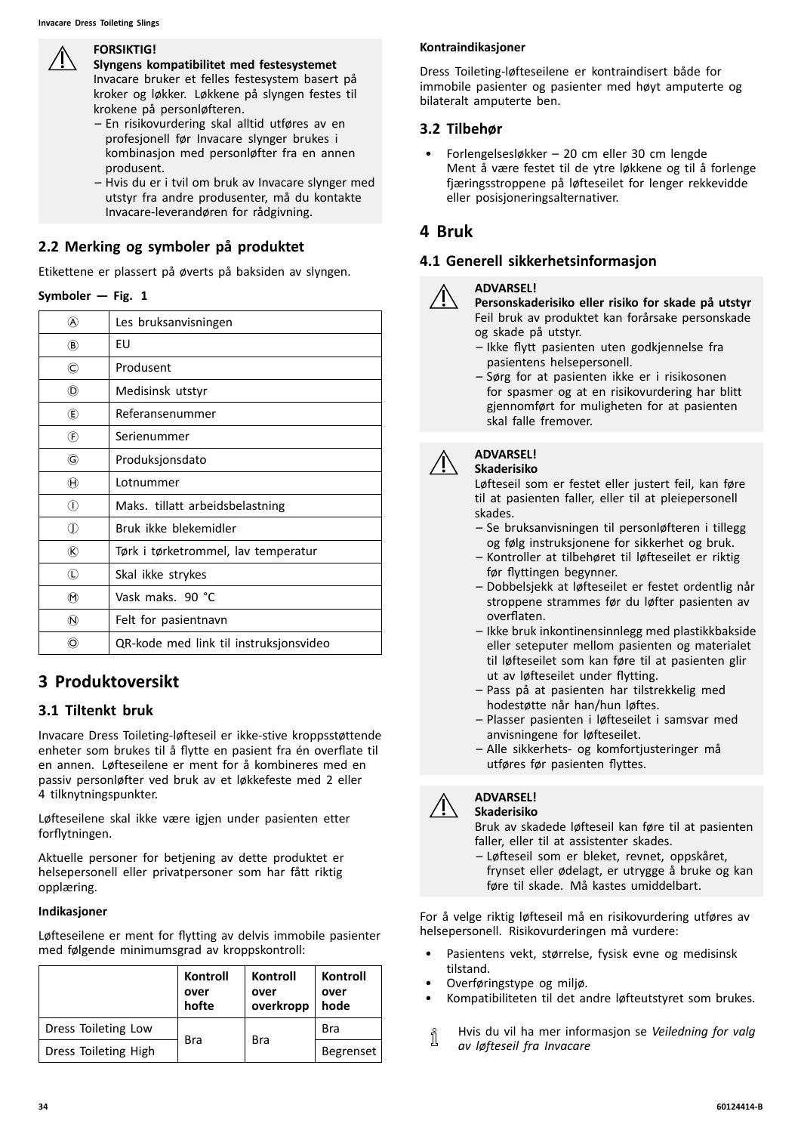#### **FORSIKTIG!**

**Slyngens kompatibilitet med festesystemet** Invacare bruker et felles festesystem basert på kroker og løkker. Løkkene på slyngen festes til krokene på personløfteren.

- En risikovurdering skal alltid utføres av en profesjonell før Invacare slynger brukes <sup>i</sup> kombinasjon med personløfter fra en annen produsent.
- Hvis du er <sup>i</sup> tvil om bruk av Invacare slynger med utstyr fra andre produsenter, må du kontakte Invacare-leverandøren for rådgivning.

# **2.2 Merking og symboler på produktet**

Etikettene er plassert på øverts på baksiden av slyngen.

| Symboler $-$ Fig. 1 |
|---------------------|
|                     |

| (A)                      | Les bruksanvisningen                   |
|--------------------------|----------------------------------------|
| (B)                      | EU                                     |
| O                        | Produsent                              |
| (D)                      | Medisinsk utstyr                       |
| (E)                      | Referansenummer                        |
| $^{\circledR}$           | Serienummer                            |
| G)                       | Produksjonsdato                        |
| $^{\circledR}$           | Lotnummer                              |
| ⋒                        | Maks. tillatt arbeidsbelastning        |
| ⋔                        | Bruk ikke blekemidler                  |
| ®                        | Tørk i tørketrommel, lav temperatur    |
| $\left( L\right)$        | Skal ikke strykes                      |
| $(\hbox{\large{\sf M}})$ | Vask maks. 90 °C                       |
| $\omega$                 | Felt for pasientnavn                   |
| O)                       | QR-kode med link til instruksjonsvideo |

# **<sup>3</sup> Produktoversikt**

# **3.1 Tiltenkt bruk**

Invacare Dress Toileting-løfteseil er ikke-stive kroppsstøttende enheter som brukes til <sup>å</sup> flytte en pasient fra én overflate til en annen. Løfteseilene er ment for <sup>å</sup> kombineres med en passiv personløfter ved bruk av et løkkefeste med <sup>2</sup> eller <sup>4</sup> tilknytningspunkter.

Løfteseilene skal ikke være igjen under pasienten etter forflytningen.

Aktuelle personer for betjening av dette produktet er helsepersonell eller privatpersoner som har fått riktig opplæring.

#### **Indikasjoner**

Løfteseilene er ment for flytting av delvis immobile pasienter med følgende minimumsgrad av kroppskontroll:

|                      | Kontroll<br>over<br>hofte | Kontroll<br>over<br>overkropp | Kontroll<br>over<br>hode |
|----------------------|---------------------------|-------------------------------|--------------------------|
| Dress Toileting Low  | <b>Bra</b>                | <b>Bra</b>                    | <b>Bra</b>               |
| Dress Toileting High |                           |                               | <b>Begrenset</b>         |

#### **Kontraindikasjoner**

Dress Toileting-løfteseilene er kontraindisert både for immobile pasienter og pasienter med høyt amputerte og bilateralt amputerte ben.

# **3.2 Tilbehør**

• Forlengelsesløkker – <sup>20</sup> cm eller <sup>30</sup> cm lengde Ment <sup>å</sup> være festet til de ytre løkkene og til <sup>å</sup> forlenge fjæringsstroppene på løfteseilet for lenger rekkevidde eller posisjoneringsalternativer.

# **<sup>4</sup> Bruk**

# **4.1 Generell sikkerhetsinformasjon**



#### **ADVARSEL!**

**Personskaderisiko eller risiko for skade på utstyr** Feil bruk av produktet kan forårsake personskade og skade på utstyr.

- Ikke flytt pasienten uten godkjennelse fra pasientens helsepersonell.
- Sørg for at pasienten ikke er <sup>i</sup> risikosonen for spasmer og at en risikovurdering har blitt gjennomført for muligheten for at pasienten skal falle fremover.



#### **ADVARSEL! Skaderisiko**

Løfteseil som er festet eller justert feil, kan føre til at pasienten faller, eller til at pleiepersonell skades.

- Se bruksanvisningen til personløfteren <sup>i</sup> tillegg og følg instruksjonene for sikkerhet og bruk.
- Kontroller at tilbehøret til løfteseilet er riktig før flyttingen begynner.
- Dobbelsjekk at løfteseilet er festet ordentlig når stroppene strammes før du løfter pasienten av overflaten.
- Ikke bruk inkontinensinnlegg med plastikkbakside eller seteputer mellom pasienten og materialet til løfteseilet som kan føre til at pasienten glir ut av løfteseilet under flytting.
- Pass på at pasienten har tilstrekkelig med hodestøtte når han/hun løftes.
- Plasser pasienten <sup>i</sup> løfteseilet <sup>i</sup> samsvar med anvisningene for løfteseilet.
- Alle sikkerhets- og komfortjusteringer må utføres før pasienten flyttes.



#### **ADVARSEL! Skaderisiko**

Bruk av skadede løfteseil kan føre til at pasienten faller, eller til at assistenter skades.

– Løfteseil som er bleket, revnet, oppskåret, frynset eller ødelagt, er utrygge <sup>å</sup> bruke og kan føre til skade. Må kastes umiddelbart.

For <sup>å</sup> velge riktig løfteseil må en risikovurdering utføres av helsepersonell. Risikovurderingen må vurdere:

- Pasientens vekt, størrelse, fysisk evne og medisinsk tilstand.
- Overføringstype og miljø.
- Kompatibiliteten til det andre løfteutstyret som brukes.
- Hvis du vil ha mer informasjon se *Veiledning for valg* ĭ *av løfteseil fra Invacare*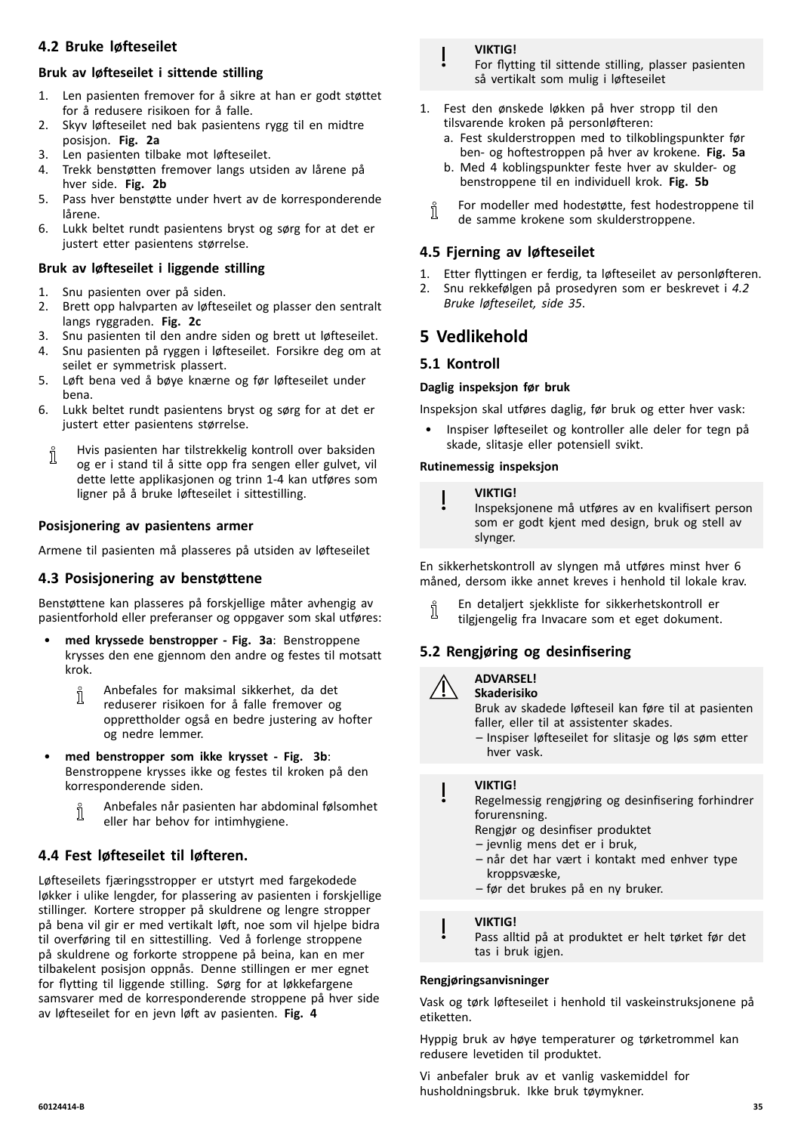# <span id="page-34-0"></span>**4.2 Bruke løfteseilet**

# **Bruk av løfteseilet <sup>i</sup> sittende stilling**

- 1. Len pasienten fremover for <sup>å</sup> sikre at han er godt støttet for <sup>å</sup> redusere risikoen for <sup>å</sup> falle.
- 2. Skyv løfteseilet ned bak pasientens rygg til en midtre posisjon. **Fig. 2a**
- 3. Len pasienten tilbake mot løfteseilet.
- 4. Trekk benstøtten fremover langs utsiden av lårene på hver side. **Fig. 2b**
- 5. Pass hver benstøtte under hvert av de korresponderende lårene.
- 6. Lukk beltet rundt pasientens bryst og sørg for at det er justert etter pasientens størrelse.

# **Bruk av løfteseilet <sup>i</sup> liggende stilling**

- 1. Snu pasienten over på siden.<br>2. Brett opp halvparten av løftes
- 2. Brett opp halvparten av løfteseilet og plasser den sentralt langs ryggraden. **Fig. 2c**
- 3. Snu pasienten til den andre siden og brett ut løfteseilet.
- 4. Snu pasienten på ryggen <sup>i</sup> løfteseilet. Forsikre deg om at seilet er symmetrisk plassert.
- 5. Løft bena ved <sup>å</sup> bøye knærne og før løfteseilet under bena.
- 6. Lukk beltet rundt pasientens bryst og sørg for at det er justert etter pasientens størrelse.
	- Hvis pasienten har tilstrekkelig kontroll over baksiden Ĭ og er <sup>i</sup> stand til <sup>å</sup> sitte opp fra sengen eller gulvet, vil dette lette applikasjonen og trinn 1-4 kan utføres som ligner på <sup>å</sup> bruke løfteseilet <sup>i</sup> sittestilling.

# **Posisjonering av pasientens armer**

Armene til pasienten må plasseres på utsiden av løfteseilet

# **4.3 Posisjonering av benstøttene**

Benstøttene kan plasseres på forskjellige måter avhengig av pasientforhold eller preferanser og oppgaver som skal utføres:

- • **med kryssede benstropper - Fig. 3a**: Benstroppene krysses den ene gjennom den andre og festes til motsatt krok.
	- Anbefales for maksimal sikkerhet, da det ິງໂ reduserer risikoen for <sup>å</sup> falle fremover og opprettholder også en bedre justering av hofter og nedre lemmer.
- • **med benstropper som ikke krysset - Fig. 3b**: Benstroppene krysses ikke og festes til kroken på den korresponderende siden.
	- Anbefales når pasienten har abdominal følsomhet ĭ eller har behov for intimhygiene.

# **4.4 Fest løfteseilet til løfteren.**

Løfteseilets fjæringsstropper er utstyrt med fargekodede løkker <sup>i</sup> ulike lengder, for plassering av pasienten <sup>i</sup> forskjellige stillinger. Kortere stropper på skuldrene og lengre stropper på bena vil gir er med vertikalt løft, noe som vil hjelpe bidra til overføring til en sittestilling. Ved <sup>å</sup> forlenge stroppene på skuldrene og forkorte stroppene på beina, kan en mer tilbakelent posisjon oppnås. Denne stillingen er mer egnet for flytting til liggende stilling. Sørg for at løkkefargene samsvarer med de korresponderende stroppene på hver side av løfteseilet for en jevn løft av pasienten. **Fig. <sup>4</sup>**

#### **VIKTIG!**

For flytting til sittende stilling, plasser pasienten så vertikalt som mulig <sup>i</sup> løfteseilet

- 1. Fest den ønskede løkken på hver stropp til den tilsvarende kroken på personløfteren:
	- a. Fest skulderstroppen med to tilkoblingspunkter før ben- og hoftestroppen på hver av krokene. **Fig. 5a**
	- b. Med <sup>4</sup> koblingspunkter feste hver av skulder- og benstroppene til en individuell krok. **Fig. 5b**
	- For modeller med hodestøtte, fest hodestroppene til ງໃ de samme krokene som skulderstroppene.

# **4.5 Fjerning av løfteseilet**

- 
- 1. Etter flyttingen er ferdig, ta løfteseilet av personløfteren.<br>2. Snu rekkefølgen på prosedvren som er beskrevet i 4.2 2. Snu rekkefølgen på prosedyren som er beskrevet <sup>i</sup> *4.2 Bruke løfteseilet, side <sup>35</sup>*.

# **<sup>5</sup> Vedlikehold**

# **5.1 Kontroll**

#### **Daglig inspeksjon før bruk**

Inspeksjon skal utføres daglig, før bruk og etter hver vask:

• Inspiser løfteseilet og kontroller alle deler for tegn på skade, slitasje eller potensiell svikt.

#### **Rutinemessig inspeksjon**

#### **VIKTIG!**

Inspeksjonene må utføres av en kvalifisert person som er godt kjent med design, bruk og stell av slynger.

En sikkerhetskontroll av slyngen må utføres minst hver <sup>6</sup> måned, dersom ikke annet kreves <sup>i</sup> henhold til lokale krav.

En detaljert sjekkliste for sikkerhetskontroll er ĭ tilgjengelig fra Invacare som et eget dokument.

# **5.2 Rengjøring og desinfisering**



#### **ADVARSEL! Skaderisiko**

Bruk av skadede løfteseil kan føre til at pasienten faller, eller til at assistenter skades.

– Inspiser løfteseilet for slitasje og løs søm etter hver vask.

#### **VIKTIG!**

Regelmessig rengjøring og desinfisering forhindrer forurensning.

- Rengjør og desinfiser produktet
- jevnlig mens det er <sup>i</sup> bruk,
- når det har vært <sup>i</sup> kontakt med enhver type kroppsvæske,
- før det brukes på en ny bruker.

#### **VIKTIG!**

Pass alltid på at produktet er helt tørket før det tas i bruk igjen.

#### **Rengjøringsanvisninger**

Vask og tørk løfteseilet <sup>i</sup> henhold til vaskeinstruksjonene på etiketten.

Hyppig bruk av høye temperaturer og tørketrommel kan redusere levetiden til produktet.

Vi anbefaler bruk av et vanlig vaskemiddel for husholdningsbruk. Ikke bruk tøymykner.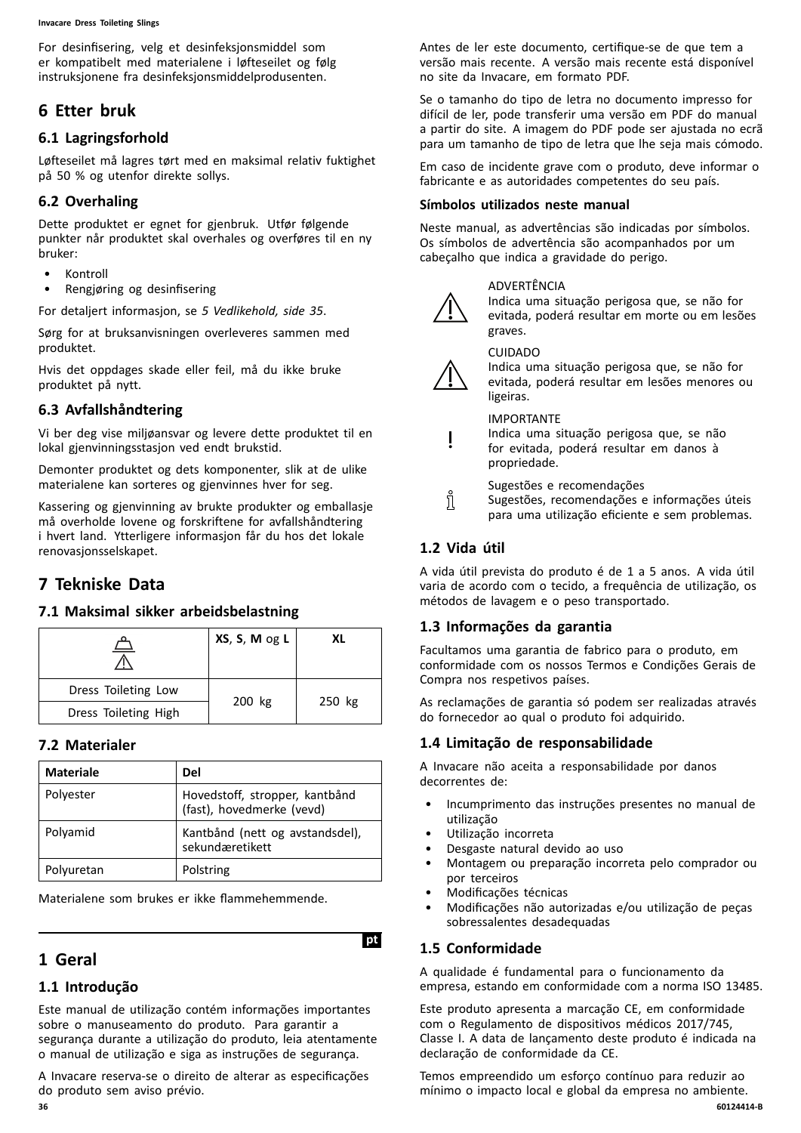<span id="page-35-0"></span>For desinfisering, velg et desinfeksjonsmiddel som er kompatibelt med materialene <sup>i</sup> løfteseilet og følg instruksjonene fra desinfeksjonsmiddelprodusenten.

# **<sup>6</sup> Etter bruk**

# **6.1 Lagringsforhold**

Løfteseilet må lagres tørt med en maksimal relativ fuktighet på <sup>50</sup> % og utenfor direkte sollys.

# **6.2 Overhaling**

Dette produktet er egnet for gjenbruk. Utfør følgende punkter når produktet skal overhales og overføres til en ny bruker:

- Kontroll<br>• Rengiøri
- Rengjøring og desinfisering

For detaljert informasjon, se *<sup>5</sup> [Vedlikehold,](#page-34-0) side [35](#page-34-0)*.

Sørg for at bruksanvisningen overleveres sammen med produktet.

Hvis det oppdages skade eller feil, må du ikke bruke produktet på nytt.

# **6.3 Avfallshåndtering**

Vi ber deg vise miljøansvar og levere dette produktet til en lokal gjenvinningsstasjon ved endt brukstid.

Demonter produktet og dets komponenter, slik at de ulike materialene kan sorteres og gjenvinnes hver for seg.

Kassering og gjenvinning av brukte produkter og emballasje må overholde lovene og forskriftene for avfallshåndtering <sup>i</sup> hvert land. Ytterligere informasjon får du hos det lokale renovasjonsselskapet.

# **<sup>7</sup> Tekniske Data**

# **7.1 Maksimal sikker arbeidsbelastning**

|                      | XS, S, M og L | XL     |  |
|----------------------|---------------|--------|--|
| Dress Toileting Low  |               |        |  |
| Dress Toileting High | 200 kg        | 250 kg |  |

# **7.2 Materialer**

| <b>Materiale</b> | Del                                                         |
|------------------|-------------------------------------------------------------|
| Polyester        | Hovedstoff, stropper, kantbånd<br>(fast), hovedmerke (vevd) |
| Polyamid         | Kantbånd (nett og avstandsdel),<br>sekundæretikett          |
| Polyuretan       | Polstring                                                   |

Materialene som brukes er ikke flammehemmende.

# **<sup>1</sup> Geral**

# **1.1 Introdução**

Este manual de utilização contém informações importantes sobre <sup>o</sup> manuseamento do produto. Para garantir <sup>a</sup> segurança durante <sup>a</sup> utilização do produto, leia atentamente <sup>o</sup> manual de utilização <sup>e</sup> siga as instruções de segurança.

<sup>A</sup> Invacare reserva-se <sup>o</sup> direito de alterar as especificações do produto sem aviso prévio.

Antes de ler este documento, certifique-se de que tem <sup>a</sup> versão mais recente. <sup>A</sup> versão mais recente está disponível no site da Invacare, em formato PDF.

Se <sup>o</sup> tamanho do tipo de letra no documento impresso for difícil de ler, pode transferir uma versão em PDF do manual <sup>a</sup> partir do site. <sup>A</sup> imagem do PDF pode ser ajustada no ecrã para um tamanho de tipo de letra que lhe seja mais cómodo.

Em caso de incidente grave com <sup>o</sup> produto, deve informar <sup>o</sup> fabricante <sup>e</sup> as autoridades competentes do seu país.

#### **Símbolos utilizados neste manual**

Neste manual, as advertências são indicadas por símbolos. Os símbolos de advertência são acompanhados por um cabeçalho que indica <sup>a</sup> gravidade do perigo.

#### ADVERTÊNCIA

Indica uma situação perigosa que, se não for evitada, poderá resultar em morte ou em lesões graves.

CUIDADO



Indica uma situação perigosa que, se não for evitada, poderá resultar em lesões menores ou ligeiras.

#### IMPORTANTE

Indica uma situação perigosa que, se não for evitada, poderá resultar em danos <sup>à</sup> propriedade.

Sugestões <sup>e</sup> recomendações

Sugestões, recomendações <sup>e</sup> informações úteis para uma utilização eficiente <sup>e</sup> sem problemas.

# **1.2 Vida útil**

i

<sup>A</sup> vida útil prevista do produto <sup>é</sup> de <sup>1</sup> <sup>a</sup> <sup>5</sup> anos. <sup>A</sup> vida útil varia de acordo com <sup>o</sup> tecido, <sup>a</sup> frequência de utilização, os métodos de lavagem <sup>e</sup> <sup>o</sup> peso transportado.

# **1.3 Informações da garantia**

Facultamos uma garantia de fabrico para <sup>o</sup> produto, em conformidade com os nossos Termos <sup>e</sup> Condições Gerais de Compra nos respetivos países.

As reclamações de garantia só podem ser realizadas através do fornecedor ao qual <sup>o</sup> produto foi adquirido.

# **1.4 Limitação de responsabilidade**

<sup>A</sup> Invacare não aceita <sup>a</sup> responsabilidade por danos decorrentes de:

- Incumprimento das instruções presentes no manual de utilização
- Utilização incorreta
- Desgaste natural devido ao uso
- Montagem ou preparação incorreta pelo comprador ou por terceiros
- Modificações técnicas
- Modificações não autorizadas e/ou utilização de peças sobressalentes desadequadas

# **1.5 Conformidade**

**IptI**

<sup>A</sup> qualidade <sup>é</sup> fundamental para <sup>o</sup> funcionamento da empresa, estando em conformidade com <sup>a</sup> norma ISO 13485.

Este produto apresenta <sup>a</sup> marcação CE, em conformidade com <sup>o</sup> Regulamento de dispositivos médicos 2017/745, Classe I. <sup>A</sup> data de lançamento deste produto <sup>é</sup> indicada na declaração de conformidade da CE.

Temos empreendido um esforço contínuo para reduzir ao mínimo o impacto local e global da empresa no ambiente.<br>60124414-B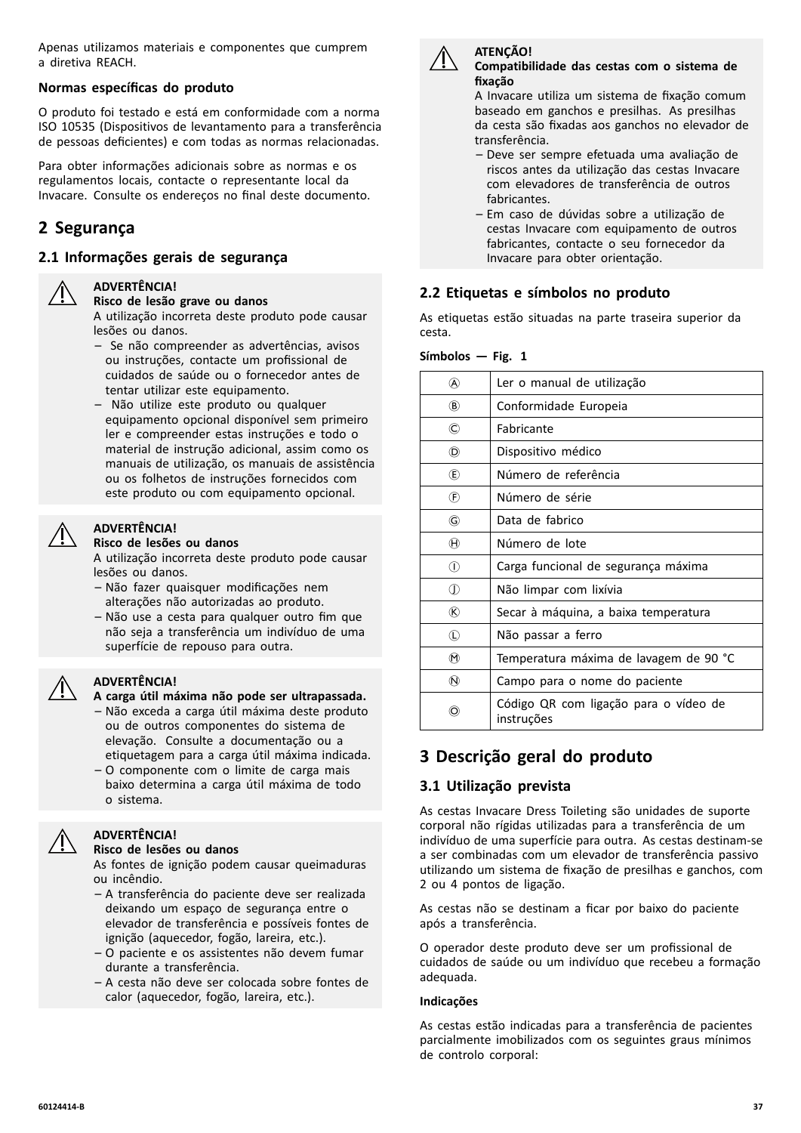Apenas utilizamos materiais <sup>e</sup> componentes que cumprem <sup>a</sup> diretiva REACH.

#### **Normas específicas do produto**

<sup>O</sup> produto foi testado <sup>e</sup> está em conformidade com <sup>a</sup> norma ISO <sup>10535</sup> (Dispositivos de levantamento para <sup>a</sup> transferência de pessoas deficientes) <sup>e</sup> com todas as normas relacionadas.

Para obter informações adicionais sobre as normas <sup>e</sup> os regulamentos locais, contacte <sup>o</sup> representante local da Invacare. Consulte os endereços no final deste documento.

# **<sup>2</sup> Segurança**

# **2.1 Informações gerais de segurança**



#### **ADVERTÊNCIA! Risco de lesão grave ou danos**

<sup>A</sup> utilização incorreta deste produto pode causar lesões ou danos.

- Se não compreender as advertências, avisos ou instruções, contacte um profissional de cuidados de saúde ou <sup>o</sup> fornecedor antes de tentar utilizar este equipamento.
- Não utilize este produto ou qualquer equipamento opcional disponível sem primeiro ler <sup>e</sup> compreender estas instruções <sup>e</sup> todo <sup>o</sup> material de instrução adicional, assim como os manuais de utilização, os manuais de assistência ou os folhetos de instruções fornecidos com este produto ou com equipamento opcional.



# **ADVERTÊNCIA!**

#### **Risco de lesões ou danos** <sup>A</sup> utilização incorreta deste produto pode causar lesões ou danos.

- Não fazer quaisquer modificações nem alterações não autorizadas ao produto.
- Não use <sup>a</sup> cesta para qualquer outro fim que não seja <sup>a</sup> transferência um indivíduo de uma superfície de repouso para outra.

#### **ADVERTÊNCIA!**

#### **<sup>A</sup> carga útil máxima não pode ser ultrapassada.**

- Não exceda <sup>a</sup> carga útil máxima deste produto ou de outros componentes do sistema de elevação. Consulte <sup>a</sup> documentação ou <sup>a</sup> etiquetagem para <sup>a</sup> carga útil máxima indicada.
- <sup>O</sup> componente com <sup>o</sup> limite de carga mais baixo determina <sup>a</sup> carga útil máxima de todo <sup>o</sup> sistema.

#### **Risco de lesões ou danos**

**ADVERTÊNCIA!**

As fontes de ignição podem causar queimaduras ou incêndio.

- <sup>A</sup> transferência do paciente deve ser realizada deixando um espaço de segurança entre <sup>o</sup> elevador de transferência <sup>e</sup> possíveis fontes de ignição (aquecedor, fogão, lareira, etc.).
- <sup>O</sup> paciente <sup>e</sup> os assistentes não devem fumar durante <sup>a</sup> transferência.
- <sup>A</sup> cesta não deve ser colocada sobre fontes de calor (aquecedor, fogão, lareira, etc.).



#### **ATENÇÃO! Compatibilidade das cestas com <sup>o</sup> sistema de fixação**

<sup>A</sup> Invacare utiliza um sistema de fixação comum baseado em ganchos <sup>e</sup> presilhas. As presilhas da cesta são fixadas aos ganchos no elevador de transferência.

- Deve ser sempre efetuada uma avaliação de riscos antes da utilização das cestas Invacare com elevadores de transferência de outros fabricantes.
- Em caso de dúvidas sobre <sup>a</sup> utilização de cestas Invacare com equipamento de outros fabricantes, contacte <sup>o</sup> seu fornecedor da Invacare para obter orientação.

# **2.2 Etiquetas <sup>e</sup> símbolos no produto**

As etiquetas estão situadas na parte traseira superior da cesta.

#### **Símbolos — Fig. <sup>1</sup>**

| @                                                | Ler o manual de utilização                          |
|--------------------------------------------------|-----------------------------------------------------|
| $\circledR$                                      | Conformidade Europeia                               |
| $\circledcirc$                                   | Fabricante                                          |
| (D)                                              | Dispositivo médico                                  |
| $\mathbf{\mathbf{\mathsf{\mathsf{\mathbb{E}}}}}$ | Número de referência                                |
| $^{\circledR}$                                   | Número de série                                     |
| G                                                | Data de fabrico                                     |
| $^{\textcircled{\text{H}}}$                      | Número de lote                                      |
| ⋒                                                | Carga funcional de segurança máxima                 |
| $^\circledR$                                     | Não limpar com lixívia                              |
| ®                                                | Secar à máquina, a baixa temperatura                |
| $\mathbb O$                                      | Não passar a ferro                                  |
| $^\circledR$                                     | Temperatura máxima de lavagem de 90 °C              |
| $^\circledR$                                     | Campo para o nome do paciente                       |
| O)                                               | Código QR com ligação para o vídeo de<br>instruções |
|                                                  |                                                     |

# **<sup>3</sup> Descrição geral do produto**

# **3.1 Utilização prevista**

As cestas Invacare Dress Toileting são unidades de suporte corporal não rígidas utilizadas para <sup>a</sup> transferência de um indivíduo de uma superfície para outra. As cestas destinam-se <sup>a</sup> ser combinadas com um elevador de transferência passivo utilizando um sistema de fixação de presilhas <sup>e</sup> ganchos, com <sup>2</sup> ou <sup>4</sup> pontos de ligação.

As cestas não se destinam <sup>a</sup> ficar por baixo do paciente após <sup>a</sup> transferência.

<sup>O</sup> operador deste produto deve ser um profissional de cuidados de saúde ou um indivíduo que recebeu <sup>a</sup> formação adequada.

#### **Indicações**

As cestas estão indicadas para <sup>a</sup> transferência de pacientes parcialmente imobilizados com os seguintes graus mínimos de controlo corporal: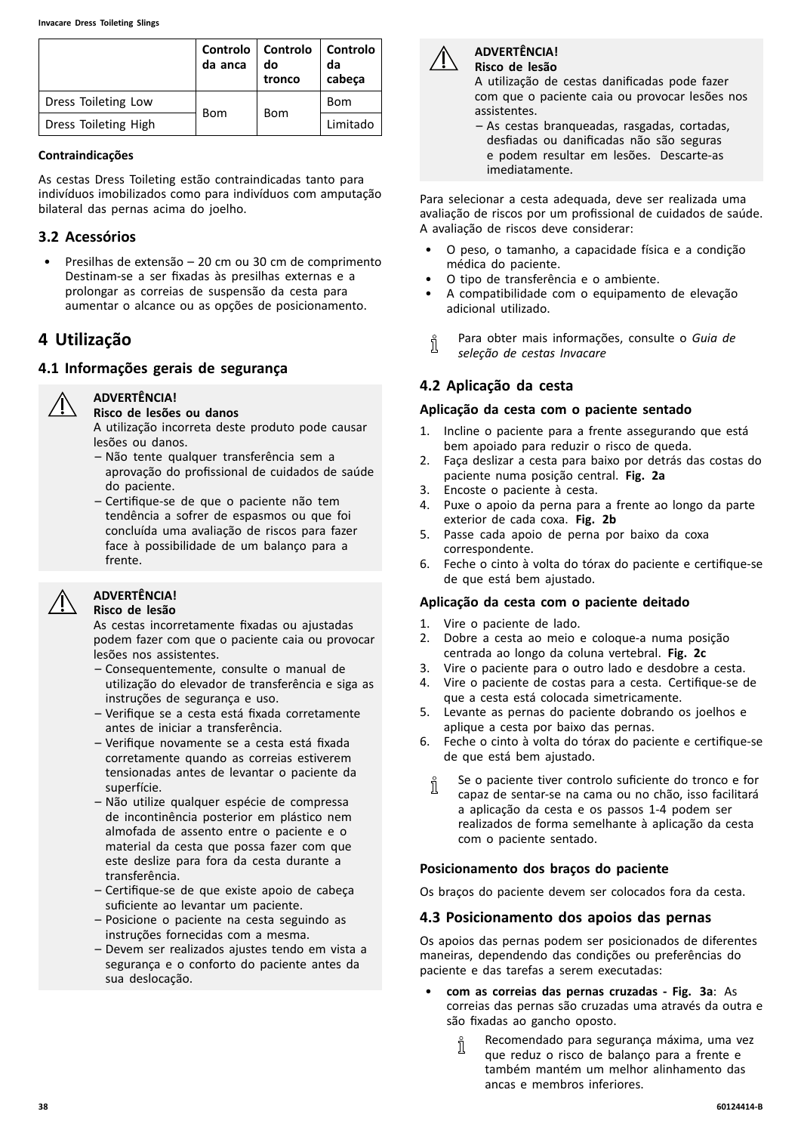<span id="page-37-0"></span>

|                      | da anca    | Controlo   Controlo<br>do<br>tronco | Controlo<br>da<br>cabeça |
|----------------------|------------|-------------------------------------|--------------------------|
| Dress Toileting Low  | <b>Bom</b> | <b>Bom</b>                          | Bom                      |
| Dress Toileting High |            |                                     | Limitado                 |

#### **Contraindicações**

As cestas Dress Toileting estão contraindicadas tanto para indivíduos imobilizados como para indivíduos com amputação bilateral das pernas acima do joelho.

# **3.2 Acessórios**

• Presilhas de extensão – <sup>20</sup> cm ou <sup>30</sup> cm de comprimento Destinam-se <sup>a</sup> ser fixadas às presilhas externas <sup>e</sup> <sup>a</sup> prolongar as correias de suspensão da cesta para aumentar <sup>o</sup> alcance ou as opções de posicionamento.

# **<sup>4</sup> Utilização**

# **4.1 Informações gerais de segurança**

**ADVERTÊNCIA!**



#### **Risco de lesões ou danos**

<sup>A</sup> utilização incorreta deste produto pode causar lesões ou danos.

- Não tente qualquer transferência sem <sup>a</sup> aprovação do profissional de cuidados de saúde do paciente.
- Certifique-se de que <sup>o</sup> paciente não tem tendência <sup>a</sup> sofrer de espasmos ou que foi concluída uma avaliação de riscos para fazer face <sup>à</sup> possibilidade de um balanço para <sup>a</sup> frente.

# **ADVERTÊNCIA!**

#### **Risco de lesão**

As cestas incorretamente fixadas ou ajustadas podem fazer com que <sup>o</sup> paciente caia ou provocar lesões nos assistentes.

- Consequentemente, consulte <sup>o</sup> manual de utilização do elevador de transferência <sup>e</sup> siga as instruções de segurança <sup>e</sup> uso.
- Verifique se <sup>a</sup> cesta está fixada corretamente antes de iniciar <sup>a</sup> transferência.
- Verifique novamente se <sup>a</sup> cesta está fixada corretamente quando as correias estiverem tensionadas antes de levantar <sup>o</sup> paciente da superfície.
- Não utilize qualquer espécie de compressa de incontinência posterior em plástico nem almofada de assento entre <sup>o</sup> paciente <sup>e</sup> <sup>o</sup> material da cesta que possa fazer com que este deslize para fora da cesta durante <sup>a</sup> transferência.
- Certifique-se de que existe apoio de cabeça suficiente ao levantar um paciente.
- Posicione <sup>o</sup> paciente na cesta seguindo as instruções fornecidas com <sup>a</sup> mesma.
- Devem ser realizados ajustes tendo em vista <sup>a</sup> segurança <sup>e</sup> <sup>o</sup> conforto do paciente antes da sua deslocação.



#### **ADVERTÊNCIA! Risco de lesão**

<sup>A</sup> utilização de cestas danificadas pode fazer com que <sup>o</sup> paciente caia ou provocar lesões nos assistentes.

– As cestas branqueadas, rasgadas, cortadas, desfiadas ou danificadas não são seguras <sup>e</sup> podem resultar em lesões. Descarte-as imediatamente.

Para selecionar <sup>a</sup> cesta adequada, deve ser realizada uma avaliação de riscos por um profissional de cuidados de saúde. <sup>A</sup> avaliação de riscos deve considerar:

- <sup>O</sup> peso, <sup>o</sup> tamanho, <sup>a</sup> capacidade física <sup>e</sup> <sup>a</sup> condição médica do paciente.
- <sup>O</sup> tipo de transferência <sup>e</sup> <sup>o</sup> ambiente.
- <sup>A</sup> compatibilidade com <sup>o</sup> equipamento de elevação adicional utilizado.
- Para obter mais informações, consulte <sup>o</sup> *Guia de* ĭ *seleção de cestas Invacare*

# **4.2 Aplicação da cesta**

# **Aplicação da cesta com <sup>o</sup> paciente sentado**

- 1. Incline <sup>o</sup> paciente para <sup>a</sup> frente assegurando que está bem apoiado para reduzir <sup>o</sup> risco de queda.
- 2. Faça deslizar <sup>a</sup> cesta para baixo por detrás das costas do paciente numa posição central. **Fig. 2a**
- 3. Encoste o paciente à cesta.<br>4. Puxe o apoio da perna para
- Puxe o apoio da perna para a frente ao longo da parte exterior de cada coxa. **Fig. 2b**
- 5. Passe cada apoio de perna por baixo da coxa correspondente.
- 6. Feche <sup>o</sup> cinto <sup>à</sup> volta do tórax do paciente <sup>e</sup> certifique-se de que está bem ajustado.

# **Aplicação da cesta com <sup>o</sup> paciente deitado**

- 1. Vire o paciente de lado.<br>2. Dobre a cesta ao meio
- 2. Dobre <sup>a</sup> cesta ao meio <sup>e</sup> coloque-a numa posição centrada ao longo da coluna vertebral. **Fig. 2c**
- 3. Vire <sup>o</sup> paciente para <sup>o</sup> outro lado <sup>e</sup> desdobre <sup>a</sup> cesta.
- 4. Vire <sup>o</sup> paciente de costas para <sup>a</sup> cesta. Certifique-se de que <sup>a</sup> cesta está colocada simetricamente.
- 5. Levante as pernas do paciente dobrando os joelhos <sup>e</sup> aplique <sup>a</sup> cesta por baixo das pernas.
- 6. Feche <sup>o</sup> cinto <sup>à</sup> volta do tórax do paciente <sup>e</sup> certifique-se de que está bem ajustado.
	- Se <sup>o</sup> paciente tiver controlo suficiente do tronco <sup>e</sup> for ĭ capaz de sentar-se na cama ou no chão, isso facilitará <sup>a</sup> aplicação da cesta <sup>e</sup> os passos 1-4 podem ser realizados de forma semelhante <sup>à</sup> aplicação da cesta com <sup>o</sup> paciente sentado.

# **Posicionamento dos braços do paciente**

Os braços do paciente devem ser colocados fora da cesta.

# **4.3 Posicionamento dos apoios das pernas**

Os apoios das pernas podem ser posicionados de diferentes maneiras, dependendo das condições ou preferências do paciente <sup>e</sup> das tarefas <sup>a</sup> serem executadas:

- • **com as correias das pernas cruzadas - Fig. 3a**: As correias das pernas são cruzadas uma através da outra <sup>e</sup> são fixadas ao gancho oposto.
	- Recomendado para segurança máxima, uma vez Ĭ que reduz <sup>o</sup> risco de balanço para <sup>a</sup> frente <sup>e</sup> também mantém um melhor alinhamento das ancas <sup>e</sup> membros inferiores.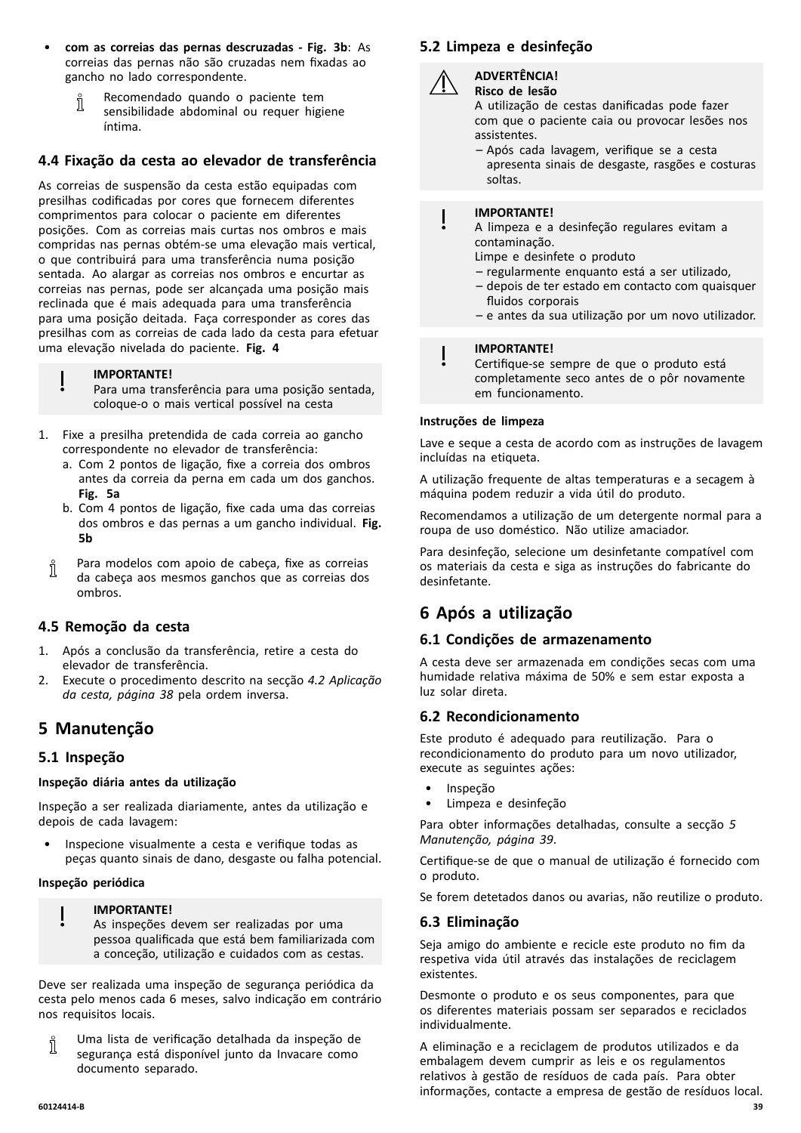- • **com as correias das pernas descruzadas - Fig. 3b**: As correias das pernas não são cruzadas nem fixadas ao gancho no lado correspondente.
	- Recomendado quando <sup>o</sup> paciente tem ĬĬ sensibilidade abdominal ou requer higiene íntima.

# **4.4 Fixação da cesta ao elevador de transferência**

As correias de suspensão da cesta estão equipadas com presilhas codificadas por cores que fornecem diferentes comprimentos para colocar <sup>o</sup> paciente em diferentes posições. Com as correias mais curtas nos ombros <sup>e</sup> mais compridas nas pernas obtém-se uma elevação mais vertical, <sup>o</sup> que contribuirá para uma transferência numa posição sentada. Ao alargar as correias nos ombros <sup>e</sup> encurtar as correias nas pernas, pode ser alcançada uma posição mais reclinada que <sup>é</sup> mais adequada para uma transferência para uma posição deitada. Faça corresponder as cores das presilhas com as correias de cada lado da cesta para efetuar uma elevação nivelada do paciente. **Fig. <sup>4</sup>**

#### **IMPORTANTE!**

Para uma transferência para uma posição sentada, coloque-o <sup>o</sup> mais vertical possível na cesta

- 1. Fixe <sup>a</sup> presilha pretendida de cada correia ao gancho correspondente no elevador de transferência:
	- a. Com <sup>2</sup> pontos de ligação, fixe <sup>a</sup> correia dos ombros antes da correia da perna em cada um dos ganchos. **Fig. 5a**
	- b. Com <sup>4</sup> pontos de ligação, fixe cada uma das correias dos ombros <sup>e</sup> das pernas <sup>a</sup> um gancho individual. **Fig. 5b**
	- Para modelos com apoio de cabeça, fixe as correias Ĭ da cabeça aos mesmos ganchos que as correias dos ombros.

#### **4.5 Remoção da cesta**

- 1. Após <sup>a</sup> conclusão da transferência, retire <sup>a</sup> cesta do elevador de transferência.
- 2. Execute <sup>o</sup> procedimento descrito na secção *4.2 [Aplicação](#page-37-0) da cesta, [página](#page-37-0) [38](#page-37-0)* pela ordem inversa.

# **<sup>5</sup> Manutenção**

# **5.1 Inspeção**

#### **Inspeção diária antes da utilização**

Inspeção <sup>a</sup> ser realizada diariamente, antes da utilização <sup>e</sup> depois de cada lavagem:

Inspecione visualmente a cesta e verifique todas as peças quanto sinais de dano, desgaste ou falha potencial.

#### **Inspeção periódica**

#### **IMPORTANTE!**

As inspeções devem ser realizadas por uma pessoa qualificada que está bem familiarizada com <sup>a</sup> conceção, utilização <sup>e</sup> cuidados com as cestas.

Deve ser realizada uma inspeção de segurança periódica da cesta pelo menos cada <sup>6</sup> meses, salvo indicação em contrário nos requisitos locais.

Uma lista de verificação detalhada da inspeção de Ñ segurança está disponível junto da Invacare como documento separado.

# **5.2 Limpeza <sup>e</sup> desinfeção**



**ADVERTÊNCIA! Risco de lesão**

- <sup>A</sup> utilização de cestas danificadas pode fazer com que <sup>o</sup> paciente caia ou provocar lesões nos assistentes.
- Após cada lavagem, verifique se <sup>a</sup> cesta apresenta sinais de desgaste, rasgões <sup>e</sup> costuras soltas.

#### **IMPORTANTE!**

- <sup>A</sup> limpeza <sup>e</sup> <sup>a</sup> desinfeção regulares evitam <sup>a</sup> contaminação.
	- Limpe <sup>e</sup> desinfete <sup>o</sup> produto
	- regularmente enquanto está <sup>a</sup> ser utilizado,
	- depois de ter estado em contacto com quaisquer fluidos corporais
	- <sup>e</sup> antes da sua utilização por um novo utilizador.

#### **IMPORTANTE!**

Certifique-se sempre de que <sup>o</sup> produto está completamente seco antes de <sup>o</sup> pôr novamente em funcionamento.

#### **Instruções de limpeza**

Lave <sup>e</sup> seque <sup>a</sup> cesta de acordo com as instruções de lavagem incluídas na etiqueta.

<sup>A</sup> utilização frequente de altas temperaturas <sup>e</sup> <sup>a</sup> secagem <sup>à</sup> máquina podem reduzir <sup>a</sup> vida útil do produto.

Recomendamos <sup>a</sup> utilização de um detergente normal para <sup>a</sup> roupa de uso doméstico. Não utilize amaciador.

Para desinfeção, selecione um desinfetante compatível com os materiais da cesta <sup>e</sup> siga as instruções do fabricante do desinfetante.

# **<sup>6</sup> Após <sup>a</sup> utilização**

#### **6.1 Condições de armazenamento**

<sup>A</sup> cesta deve ser armazenada em condições secas com uma humidade relativa máxima de 50% <sup>e</sup> sem estar exposta <sup>a</sup> luz solar direta.

# **6.2 Recondicionamento**

Este produto <sup>é</sup> adequado para reutilização. Para <sup>o</sup> recondicionamento do produto para um novo utilizador, execute as seguintes ações:

- Inspeção
- Limpeza e desinfeção

Para obter informações detalhadas, consulte <sup>a</sup> secção *<sup>5</sup> Manutenção, página <sup>39</sup>*.

Certifique-se de que <sup>o</sup> manual de utilização <sup>é</sup> fornecido com <sup>o</sup> produto.

Se forem detetados danos ou avarias, não reutilize <sup>o</sup> produto.

#### **6.3 Eliminação**

Seja amigo do ambiente <sup>e</sup> recicle este produto no fim da respetiva vida útil através das instalações de reciclagem existentes.

Desmonte <sup>o</sup> produto <sup>e</sup> os seus componentes, para que os diferentes materiais possam ser separados <sup>e</sup> reciclados individualmente.

<sup>A</sup> eliminação <sup>e</sup> <sup>a</sup> reciclagem de produtos utilizados <sup>e</sup> da embalagem devem cumprir as leis <sup>e</sup> os regulamentos relativos <sup>à</sup> gestão de resíduos de cada país. Para obter informações, contacte <sup>a</sup> empresa de gestão de resíduos local.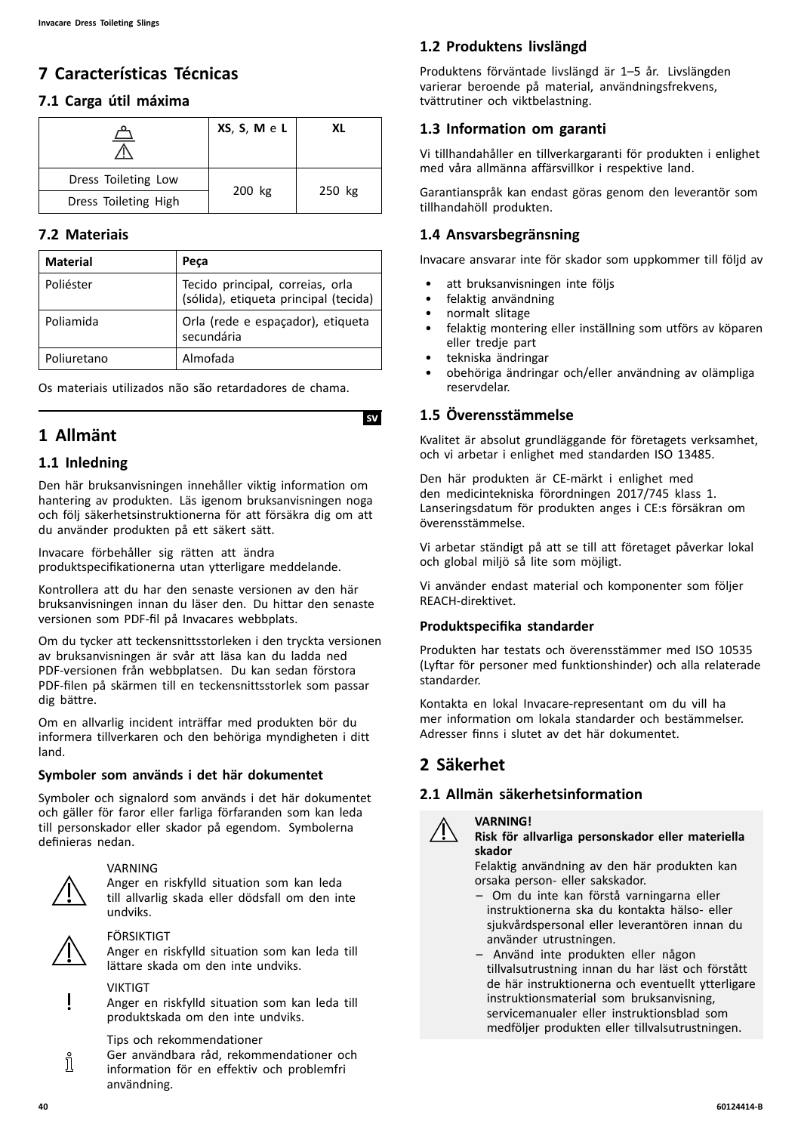# <span id="page-39-0"></span>**<sup>7</sup> Características Técnicas**

# **7.1 Carga útil máxima**

|                      | $XS, S, M \in L$ | XL     |  |
|----------------------|------------------|--------|--|
| Dress Toileting Low  |                  |        |  |
| Dress Toileting High | 200 kg           | 250 kg |  |

# **7.2 Materiais**

| <b>Material</b> | Peca                                                                      |
|-----------------|---------------------------------------------------------------------------|
| Poliéster       | Tecido principal, correias, orla<br>(sólida), etiqueta principal (tecida) |
| Poliamida       | Orla (rede e espaçador), etiqueta<br>secundária                           |
| Poliuretano     | Almofada                                                                  |

Os materiais utilizados não são retardadores de chama.

# **<sup>1</sup> Allmänt**

# **1.1 Inledning**

Den här bruksanvisningen innehåller viktig information om hantering av produkten. Läs igenom bruksanvisningen noga och följ säkerhetsinstruktionerna för att försäkra dig om att du använder produkten på ett säkert sätt.

Invacare förbehåller sig rätten att ändra produktspecifikationerna utan ytterligare meddelande.

Kontrollera att du har den senaste versionen av den här bruksanvisningen innan du läser den. Du hittar den senaste versionen som PDF-fil på Invacares webbplats.

Om du tycker att teckensnittsstorleken <sup>i</sup> den tryckta versionen av bruksanvisningen är svår att läsa kan du ladda ned PDF-versionen från webbplatsen. Du kan sedan förstora PDF-filen på skärmen till en teckensnittsstorlek som passar dig bättre.

Om en allvarlig incident inträffar med produkten bör du informera tillverkaren och den behöriga myndigheten <sup>i</sup> ditt land.

# **Symboler som används <sup>i</sup> det här dokumentet**

Symboler och signalord som används <sup>i</sup> det här dokumentet och gäller för faror eller farliga förfaranden som kan leda till personskador eller skador på egendom. Symbolerna definieras nedan.



# VARNING

Anger en riskfylld situation som kan leda till allvarlig skada eller dödsfall om den inte undviks.



i

# FÖRSIKTIGT

Anger en riskfylld situation som kan leda till lättare skada om den inte undviks.



Anger en riskfylld situation som kan leda till produktskada om den inte undviks.

Tips och rekommendationer

Ger användbara råd, rekommendationer och information för en effektiv och problemfri användning.

# **1.2 Produktens livslängd**

Produktens förväntade livslängd är 1–5 år. Livslängden varierar beroende på material, användningsfrekvens, tvättrutiner och viktbelastning.

# **1.3 Information om garanti**

Vi tillhandahåller en tillverkargaranti för produkten <sup>i</sup> enlighet med våra allmänna affärsvillkor <sup>i</sup> respektive land.

Garantianspråk kan endast göras genom den leverantör som tillhandahöll produkten.

# **1.4 Ansvarsbegränsning**

Invacare ansvarar inte för skador som uppkommer till följd av

- att bruksanvisningen inte följs
- felaktig användning
- normalt slitage
- felaktig montering eller inställning som utförs av köparen eller tredje part
- tekniska ändringar
- obehöriga ändringar och/eller användning av olämpliga reservdelar.

# **1.5 Överensstämmelse**

**IsvI**

Kvalitet är absolut grundläggande för företagets verksamhet, och vi arbetar <sup>i</sup> enlighet med standarden ISO 13485.

Den här produkten är CE-märkt <sup>i</sup> enlighet med den medicintekniska förordningen 2017/745 klass 1. Lanseringsdatum för produkten anges <sup>i</sup> CE:s försäkran om överensstämmelse.

Vi arbetar ständigt på att se till att företaget påverkar lokal och global miljö så lite som möjligt.

Vi använder endast material och komponenter som följer REACH-direktivet.

# **Produktspecifika standarder**

Produkten har testats och överensstämmer med ISO <sup>10535</sup> (Lyftar för personer med funktionshinder) och alla relaterade standarder.

Kontakta en lokal Invacare-representant om du vill ha mer information om lokala standarder och bestämmelser. Adresser finns <sup>i</sup> slutet av det här dokumentet.

# **<sup>2</sup> Säkerhet**

# **2.1 Allmän säkerhetsinformation**

#### **VARNING!**



#### **Risk för allvarliga personskador eller materiella skador**

Felaktig användning av den här produkten kan orsaka person- eller sakskador.

- Om du inte kan förstå varningarna eller instruktionerna ska du kontakta hälso- eller sjukvårdspersonal eller leverantören innan du använder utrustningen.
- Använd inte produkten eller någon tillvalsutrustning innan du har läst och förstått de här instruktionerna och eventuellt ytterligare instruktionsmaterial som bruksanvisning, servicemanualer eller instruktionsblad som medföljer produkten eller tillvalsutrustningen.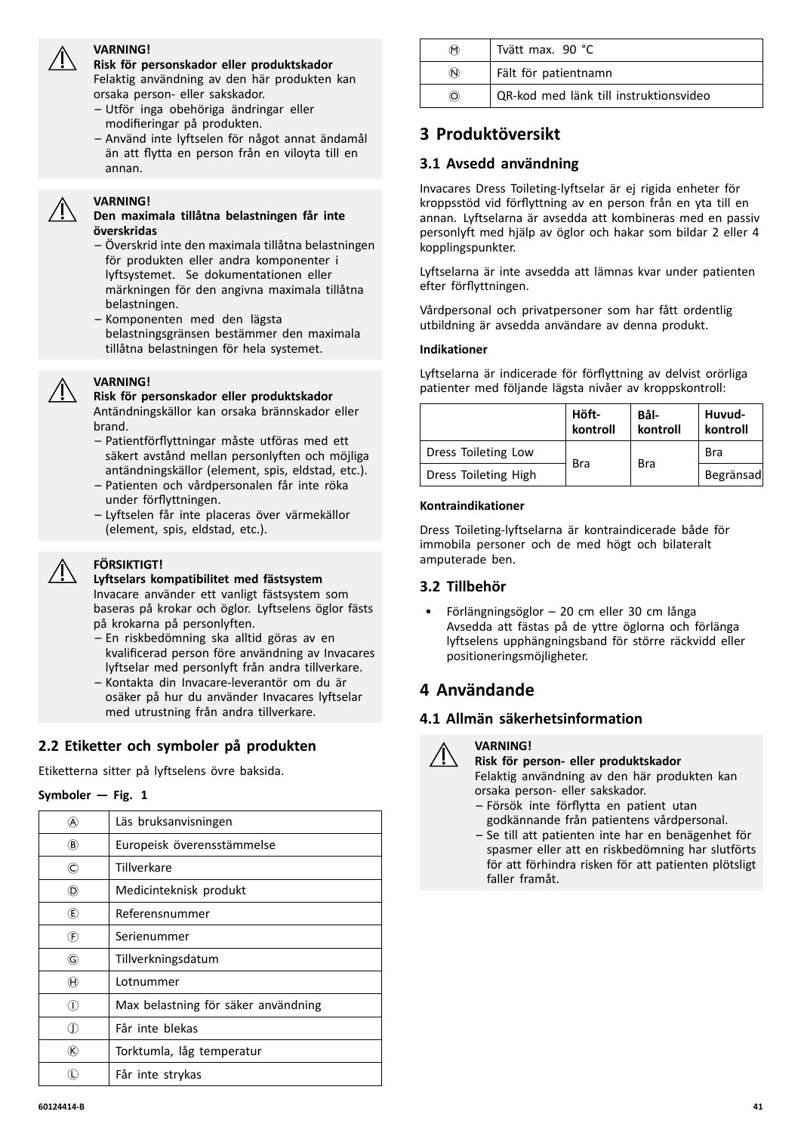#### **VARNING!**

**Risk för personskador eller produktskador** Felaktig användning av den här produkten kan orsaka person- eller sakskador.

- Utför inga obehöriga ändringar eller modifieringar på produkten.
- Använd inte lyftselen för något annat ändamål än att flytta en person från en viloyta till en annan.

#### **VARNING!**

#### **Den maximala tillåtna belastningen får inte överskridas**

- Överskrid inte den maximala tillåtna belastningen för produkten eller andra komponenter <sup>i</sup> lyftsystemet. Se dokumentationen eller märkningen för den angivna maximala tillåtna belastningen.
- Komponenten med den lägsta belastningsgränsen bestämmer den maximala tillåtna belastningen för hela systemet.

# **VARNING!**

**Risk för personskador eller produktskador** Antändningskällor kan orsaka brännskador eller brand.

- Patientförflyttningar måste utföras med ett säkert avstånd mellan personlyften och möjliga antändningskällor (element, spis, eldstad, etc.).
- Patienten och vårdpersonalen får inte röka under förflyttningen.
- Lyftselen får inte placeras över värmekällor (element, spis, eldstad, etc.).



#### **FÖRSIKTIGT!**

**Lyftselars kompatibilitet med fästsystem** Invacare använder ett vanligt fästsystem som baseras på krokar och öglor. Lyftselens öglor fästs på krokarna på personlyften.

- En riskbedömning ska alltid göras av en kvalificerad person före användning av Invacares lyftselar med personlyft från andra tillverkare.
- Kontakta din Invacare-leverantör om du är osäker på hur du använder Invacares lyftselar med utrustning från andra tillverkare.

# **2.2 Etiketter och symboler på produkten**

Etiketterna sitter på lyftselens övre baksida.

#### $Symboler - Fig. 1$

|                            | Läs bruksanvisningen                |
|----------------------------|-------------------------------------|
| ®                          | Europeisk överensstämmelse          |
| C)                         | Tillverkare                         |
| (D)                        | Medicinteknisk produkt              |
| œ)                         | Referensnummer                      |
| $\left(\widehat{F}\right)$ | Serienummer                         |
| G)                         | Tillverkningsdatum                  |
| $^{(\!\! \!\! )}$          | Lotnummer                           |
| O)                         | Max belastning för säker användning |
|                            | Får inte blekas                     |
| (K)                        | Torktumla, låg temperatur           |
|                            | Får inte strykas                    |

| ⋒           | Tvätt max. 90 °C                       |
|-------------|----------------------------------------|
| $\circledR$ | Fält för patientnamn                   |
| O)          | QR-kod med länk till instruktionsvideo |

# **<sup>3</sup> Produktöversikt**

# **3.1 Avsedd användning**

Invacares Dress Toileting-lyftselar är ej rigida enheter för kroppsstöd vid förflyttning av en person från en yta till en annan. Lyftselarna är avsedda att kombineras med en passiv personlyft med hjälp av öglor och hakar som bildar <sup>2</sup> eller <sup>4</sup> kopplingspunkter.

Lyftselarna är inte avsedda att lämnas kvar under patienten efter förflyttningen.

Vårdpersonal och privatpersoner som har fått ordentlig utbildning är avsedda användare av denna produkt.

#### **Indikationer**

Lyftselarna är indicerade för förflyttning av delvist orörliga patienter med följande lägsta nivåer av kroppskontroll:

|                      | Höft-<br>kontroll | Bål-<br>kontroll | Huvud-<br>kontroll |
|----------------------|-------------------|------------------|--------------------|
| Dress Toileting Low  |                   | <b>Bra</b>       | Bra                |
| Dress Toileting High | Bra               |                  | Begränsad          |

#### **Kontraindikationer**

Dress Toileting-lyftselarna är kontraindicerade både för immobila personer och de med högt och bilateralt amputerade ben.

# **3.2 Tillbehör**

• Förlängningsöglor – <sup>20</sup> cm eller <sup>30</sup> cm långa Avsedda att fästas på de yttre öglorna och förlänga lyftselens upphängningsband för större räckvidd eller positioneringsmöjligheter.

# **<sup>4</sup> Användande**

# **4.1 Allmän säkerhetsinformation**

#### **VARNING!**

**Risk för person- eller produktskador**

Felaktig användning av den här produkten kan orsaka person- eller sakskador.

- Försök inte förflytta en patient utan godkännande från patientens vårdpersonal.
- Se till att patienten inte har en benägenhet för spasmer eller att en riskbedömning har slutförts för att förhindra risken för att patienten plötsligt faller framåt.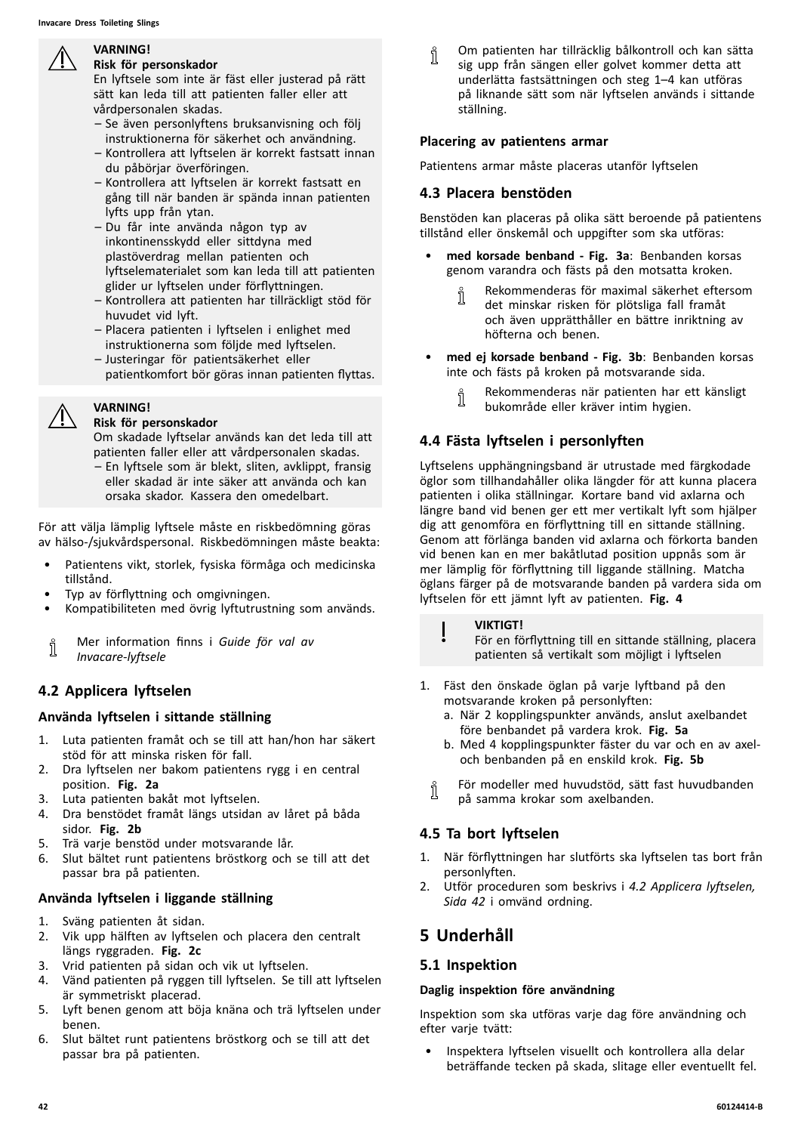<span id="page-41-0"></span>

#### **VARNING! Risk för personskador**

En lyftsele som inte är fäst eller justerad på rätt sätt kan leda till att patienten faller eller att vårdpersonalen skadas.

- Se även personlyftens bruksanvisning och följ instruktionerna för säkerhet och användning.
- Kontrollera att lyftselen är korrekt fastsatt innan du påbörjar överföringen.
- Kontrollera att lyftselen är korrekt fastsatt en gång till när banden är spända innan patienten lyfts upp från ytan.
- Du får inte använda någon typ av inkontinensskydd eller sittdyna med plastöverdrag mellan patienten och lyftselematerialet som kan leda till att patienten glider ur lyftselen under förflyttningen.
- Kontrollera att patienten har tillräckligt stöd för huvudet vid lyft.
- Placera patienten <sup>i</sup> lyftselen <sup>i</sup> enlighet med instruktionerna som följde med lyftselen.
- Justeringar för patientsäkerhet eller patientkomfort bör göras innan patienten flyttas.

#### **Risk för personskador**

**VARNING!**

Om skadade lyftselar används kan det leda till att patienten faller eller att vårdpersonalen skadas.

– En lyftsele som är blekt, sliten, avklippt, fransig eller skadad är inte säker att använda och kan orsaka skador. Kassera den omedelbart.

För att välja lämplig lyftsele måste en riskbedömning göras av hälso-/sjukvårdspersonal. Riskbedömningen måste beakta:

- Patientens vikt, storlek, fysiska förmåga och medicinska tillstånd.
- Typ av förflyttning och omgivningen.
- Kompatibiliteten med övrig lyftutrustning som används.

Mer information finns <sup>i</sup> *Guide för val av* Ĭ *Invacare-lyftsele*

# **4.2 Applicera lyftselen**

# **Använda lyftselen <sup>i</sup> sittande ställning**

- 1. Luta patienten framåt och se till att han/hon har säkert stöd för att minska risken för fall.
- 2. Dra lyftselen ner bakom patientens rygg <sup>i</sup> en central position. **Fig. 2a**
- 3. Luta patienten bakåt mot lyftselen.<br>4. Dra benstödet framåt längs utsidan
- 4. Dra benstödet framåt längs utsidan av låret på båda sidor. **Fig. 2b**
- 5. Trä varje benstöd under motsvarande lår.
- 6. Slut bältet runt patientens bröstkorg och se till att det passar bra på patienten.

# **Använda lyftselen <sup>i</sup> liggande ställning**

- 1. Sväng patienten åt sidan.<br>2. Vik upp hälften av lyftseld
- 2. Vik upp hälften av lyftselen och placera den centralt längs ryggraden. **Fig. 2c**
- 3. Vrid patienten på sidan och vik ut lyftselen.
- 4. Vänd patienten på ryggen till lyftselen. Se till att lyftselen är symmetriskt placerad.
- 5. Lyft benen genom att böja knäna och trä lyftselen under benen.
- 6. Slut bältet runt patientens bröstkorg och se till att det passar bra på patienten.

Om patienten har tillräcklig bålkontroll och kan sätta ĭ sig upp från sängen eller golvet kommer detta att underlätta fastsättningen och steg 1–4 kan utföras på liknande sätt som när lyftselen används <sup>i</sup> sittande ställning.

#### **Placering av patientens armar**

Patientens armar måste placeras utanför lyftselen

# **4.3 Placera benstöden**

Benstöden kan placeras på olika sätt beroende på patientens tillstånd eller önskemål och uppgifter som ska utföras:

- • **med korsade benband - Fig. 3a**: Benbanden korsas genom varandra och fästs på den motsatta kroken.
	- Rekommenderas för maximal säkerhet eftersom det minskar risken för plötsliga fall framåt och även upprätthåller en bättre inriktning av höfterna och benen.
- • **med ej korsade benband - Fig. 3b**: Benbanden korsas inte och fästs på kroken på motsvarande sida.
	- Rekommenderas när patienten har ett känsligt Ñ
	- bukområde eller kräver intim hygien.

# **4.4 Fästa lyftselen <sup>i</sup> personlyften**

Lyftselens upphängningsband är utrustade med färgkodade öglor som tillhandahåller olika längder för att kunna placera patienten <sup>i</sup> olika ställningar. Kortare band vid axlarna och längre band vid benen ger ett mer vertikalt lyft som hjälper dig att genomföra en förflyttning till en sittande ställning. Genom att förlänga banden vid axlarna och förkorta banden vid benen kan en mer bakåtlutad position uppnås som är mer lämplig för förflyttning till liggande ställning. Matcha öglans färger på de motsvarande banden på vardera sida om lyftselen för ett jämnt lyft av patienten. **Fig. <sup>4</sup>**

#### **VIKTIGT!**

- För en förflyttning till en sittande ställning, placera patienten så vertikalt som möjligt <sup>i</sup> lyftselen
- 1. Fäst den önskade öglan på varje lyftband på den motsvarande kroken på personlyften:
	- a. När <sup>2</sup> kopplingspunkter används, anslut axelbandet före benbandet på vardera krok. **Fig. 5a**
	- b. Med <sup>4</sup> kopplingspunkter fäster du var och en av axeloch benbanden på en enskild krok. **Fig. 5b**
	- För modeller med huvudstöd, sätt fast huvudbanden ĭ på samma krokar som axelbanden.

# **4.5 Ta bort lyftselen**

- 1. När förflyttningen har slutförts ska lyftselen tas bort från personlyften.
- 2. Utför proceduren som beskrivs <sup>i</sup> *4.2 Applicera lyftselen, Sida <sup>42</sup>* <sup>i</sup> omvänd ordning.

# **<sup>5</sup> Underhåll**

# **5.1 Inspektion**

#### **Daglig inspektion före användning**

Inspektion som ska utföras varje dag före användning och efter varje tvätt:

• Inspektera lyftselen visuellt och kontrollera alla delar beträffande tecken på skada, slitage eller eventuellt fel.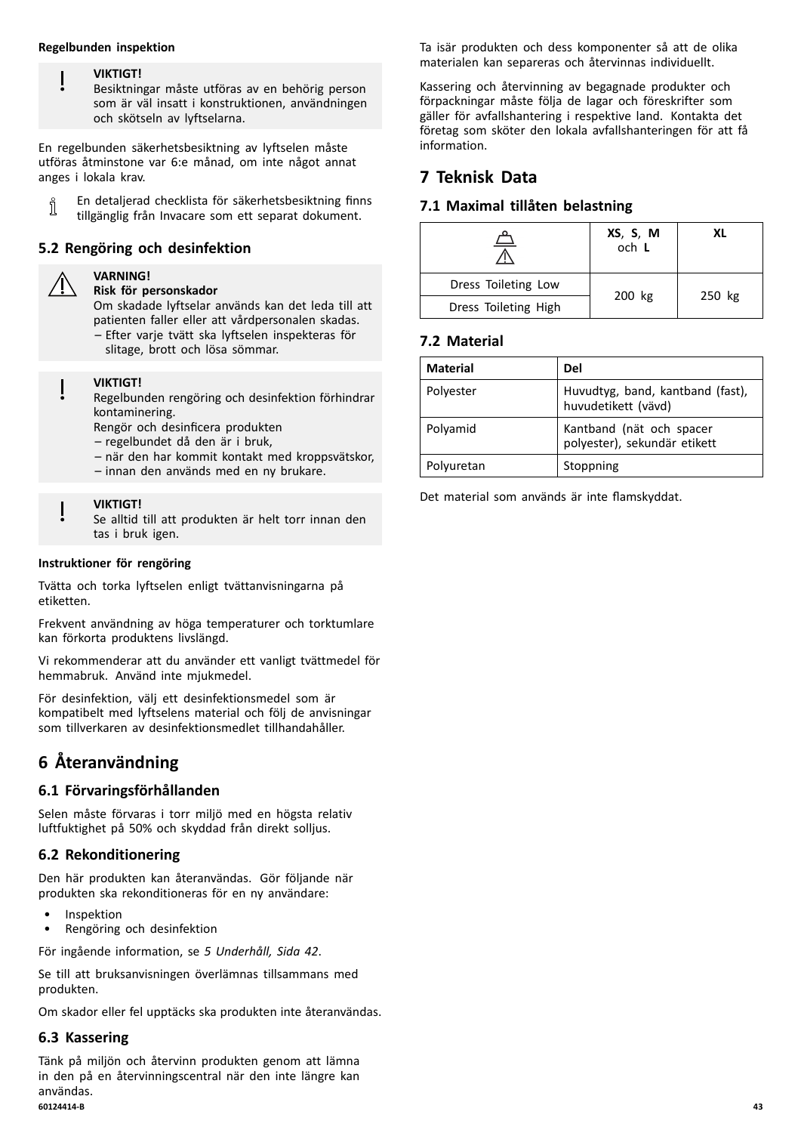#### **Regelbunden inspektion**

#### **VIKTIGT!**

Besiktningar måste utföras av en behörig person som är väl insatt <sup>i</sup> konstruktionen, användningen och skötseln av lyftselarna.

En regelbunden säkerhetsbesiktning av lyftselen måste utföras åtminstone var 6:e månad, om inte något annat anges <sup>i</sup> lokala krav.

En detaljerad checklista för säkerhetsbesiktning finns า tillgänglig från Invacare som ett separat dokument.

# **5.2 Rengöring och desinfektion**

# **VARNING!**

**Risk för personskador**

Om skadade lyftselar används kan det leda till att patienten faller eller att vårdpersonalen skadas. – Efter varje tvätt ska lyftselen inspekteras för

slitage, brott och lösa sömmar.

#### **VIKTIGT!**

Regelbunden rengöring och desinfektion förhindrar kontaminering.

Rengör och desinficera produkten

– regelbundet då den är <sup>i</sup> bruk,

- när den har kommit kontakt med kroppsvätskor,
- innan den används med en ny brukare.

#### **VIKTIGT!**

Se alltid till att produkten är helt torr innan den tas <sup>i</sup> bruk igen.

#### **Instruktioner för rengöring**

Tvätta och torka lyftselen enligt tvättanvisningarna på etiketten.

Frekvent användning av höga temperaturer och torktumlare kan förkorta produktens livslängd.

Vi rekommenderar att du använder ett vanligt tvättmedel för hemmabruk. Använd inte mjukmedel.

För desinfektion, välj ett desinfektionsmedel som är kompatibelt med lyftselens material och följ de anvisningar som tillverkaren av desinfektionsmedlet tillhandahåller.

# **<sup>6</sup> Återanvändning**

# **6.1 Förvaringsförhållanden**

Selen måste förvaras <sup>i</sup> torr miljö med en högsta relativ luftfuktighet på 50% och skyddad från direkt solljus.

# **6.2 Rekonditionering**

Den här produkten kan återanvändas. Gör följande när produkten ska rekonditioneras för en ny användare:

- **Inspektion**
- Rengöring och desinfektion

För ingående information, se *<sup>5</sup> [Underhåll,](#page-41-0) Sida [42](#page-41-0)*.

Se till att bruksanvisningen överlämnas tillsammans med produkten.

Om skador eller fel upptäcks ska produkten inte återanvändas.

#### **6.3 Kassering**

Tänk på miljön och återvinn produkten genom att lämna in den på en återvinningscentral när den inte längre kan användas. **60124414-B 43**

Ta isär produkten och dess komponenter så att de olika materialen kan separeras och återvinnas individuellt.

Kassering och återvinning av begagnade produkter och förpackningar måste följa de lagar och föreskrifter som gäller för avfallshantering <sup>i</sup> respektive land. Kontakta det företag som sköter den lokala avfallshanteringen för att få information.

# **<sup>7</sup> Teknisk Data**

# **7.1 Maximal tillåten belastning**

| 2                    | XS, S, M<br>och L | ΧI |
|----------------------|-------------------|----|
| Dress Toileting Low  | 250 kg<br>200 kg  |    |
| Dress Toileting High |                   |    |

# **7.2 Material**

| <b>Material</b> | Del                                                      |
|-----------------|----------------------------------------------------------|
| Polyester       | Huvudtyg, band, kantband (fast),<br>huvudetikett (vävd)  |
| Polyamid        | Kantband (nät och spacer<br>polyester), sekundär etikett |
| Polyuretan      | Stoppning                                                |

Det material som används är inte flamskyddat.